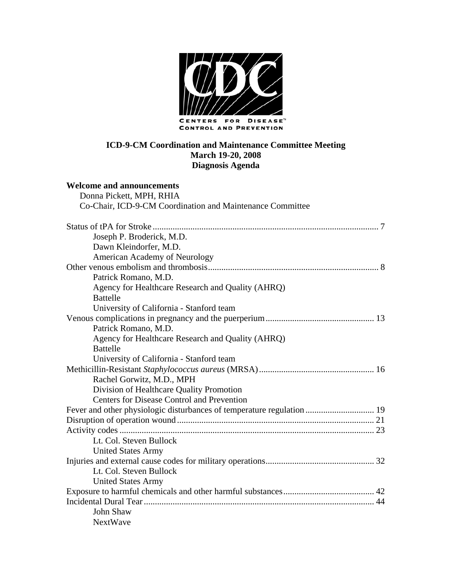

#### **ICD-9-CM Coordination and Maintenance Committee Meeting March 19-20, 2008 Diagnosis Agenda**

## **Welcome and announcements**

| Donna Pickett, MPH, RHIA                                               |
|------------------------------------------------------------------------|
| Co-Chair, ICD-9-CM Coordination and Maintenance Committee              |
|                                                                        |
| Joseph P. Broderick, M.D.                                              |
| Dawn Kleindorfer, M.D.                                                 |
| American Academy of Neurology                                          |
|                                                                        |
| Patrick Romano, M.D.                                                   |
| Agency for Healthcare Research and Quality (AHRQ)                      |
| <b>Battelle</b>                                                        |
| University of California - Stanford team                               |
|                                                                        |
| Patrick Romano, M.D.                                                   |
| Agency for Healthcare Research and Quality (AHRQ)                      |
| <b>Battelle</b>                                                        |
| University of California - Stanford team                               |
|                                                                        |
| Rachel Gorwitz, M.D., MPH                                              |
| Division of Healthcare Quality Promotion                               |
| <b>Centers for Disease Control and Prevention</b>                      |
| Fever and other physiologic disturbances of temperature regulation  19 |
|                                                                        |
|                                                                        |
| Lt. Col. Steven Bullock                                                |
| <b>United States Army</b>                                              |
|                                                                        |
| Lt. Col. Steven Bullock                                                |
| <b>United States Army</b>                                              |
|                                                                        |
|                                                                        |
| <b>John Shaw</b>                                                       |
| <b>NextWave</b>                                                        |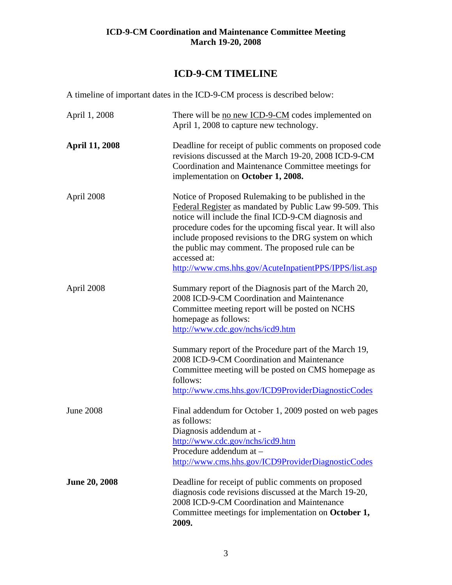## **ICD-9-CM TIMELINE**

A timeline of important dates in the ICD-9-CM process is described below:

| April 1, 2008         | There will be no new ICD-9-CM codes implemented on<br>April 1, 2008 to capture new technology.                                                                                                                                                                                                                                                                                                                               |
|-----------------------|------------------------------------------------------------------------------------------------------------------------------------------------------------------------------------------------------------------------------------------------------------------------------------------------------------------------------------------------------------------------------------------------------------------------------|
| <b>April 11, 2008</b> | Deadline for receipt of public comments on proposed code<br>revisions discussed at the March 19-20, 2008 ICD-9-CM<br>Coordination and Maintenance Committee meetings for<br>implementation on October 1, 2008.                                                                                                                                                                                                               |
| April 2008            | Notice of Proposed Rulemaking to be published in the<br>Federal Register as mandated by Public Law 99-509. This<br>notice will include the final ICD-9-CM diagnosis and<br>procedure codes for the upcoming fiscal year. It will also<br>include proposed revisions to the DRG system on which<br>the public may comment. The proposed rule can be<br>accessed at:<br>http://www.cms.hhs.gov/AcuteInpatientPPS/IPPS/list.asp |
| April 2008            | Summary report of the Diagnosis part of the March 20,<br>2008 ICD-9-CM Coordination and Maintenance<br>Committee meeting report will be posted on NCHS<br>homepage as follows:<br>http://www.cdc.gov/nchs/icd9.htm<br>Summary report of the Procedure part of the March 19,<br>2008 ICD-9-CM Coordination and Maintenance<br>Committee meeting will be posted on CMS homepage as                                             |
|                       | follows:<br>http://www.cms.hhs.gov/ICD9ProviderDiagnosticCodes                                                                                                                                                                                                                                                                                                                                                               |
| <b>June 2008</b>      | Final addendum for October 1, 2009 posted on web pages<br>as follows:<br>Diagnosis addendum at -<br>http://www.cdc.gov/nchs/icd9.htm<br>Procedure addendum at -<br>http://www.cms.hhs.gov/ICD9ProviderDiagnosticCodes                                                                                                                                                                                                        |
| <b>June 20, 2008</b>  | Deadline for receipt of public comments on proposed<br>diagnosis code revisions discussed at the March 19-20,<br>2008 ICD-9-CM Coordination and Maintenance<br>Committee meetings for implementation on October 1,<br>2009.                                                                                                                                                                                                  |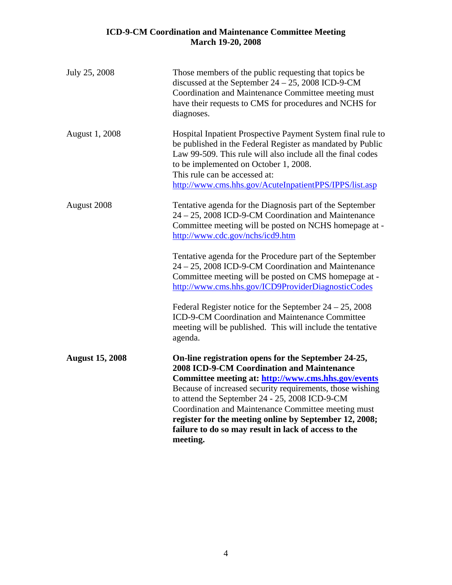| July 25, 2008          | Those members of the public requesting that topics be<br>discussed at the September $24 - 25$ , 2008 ICD-9-CM<br>Coordination and Maintenance Committee meeting must<br>have their requests to CMS for procedures and NCHS for<br>diagnoses.                                                                                                                                                                                                                                                                                                                                                                                              |
|------------------------|-------------------------------------------------------------------------------------------------------------------------------------------------------------------------------------------------------------------------------------------------------------------------------------------------------------------------------------------------------------------------------------------------------------------------------------------------------------------------------------------------------------------------------------------------------------------------------------------------------------------------------------------|
| August 1, 2008         | Hospital Inpatient Prospective Payment System final rule to<br>be published in the Federal Register as mandated by Public<br>Law 99-509. This rule will also include all the final codes<br>to be implemented on October 1, 2008.<br>This rule can be accessed at:<br>http://www.cms.hhs.gov/AcuteInpatientPPS/IPPS/list.asp                                                                                                                                                                                                                                                                                                              |
| August 2008            | Tentative agenda for the Diagnosis part of the September<br>24 - 25, 2008 ICD-9-CM Coordination and Maintenance<br>Committee meeting will be posted on NCHS homepage at -<br>http://www.cdc.gov/nchs/icd9.htm<br>Tentative agenda for the Procedure part of the September<br>24 – 25, 2008 ICD-9-CM Coordination and Maintenance<br>Committee meeting will be posted on CMS homepage at -<br>http://www.cms.hhs.gov/ICD9ProviderDiagnosticCodes<br>Federal Register notice for the September $24 - 25$ , 2008<br>ICD-9-CM Coordination and Maintenance Committee<br>meeting will be published. This will include the tentative<br>agenda. |
| <b>August 15, 2008</b> | On-line registration opens for the September 24-25,<br><b>2008 ICD-9-CM Coordination and Maintenance</b><br>Committee meeting at: http://www.cms.hhs.gov/events<br>Because of increased security requirements, those wishing<br>to attend the September 24 - 25, 2008 ICD-9-CM<br>Coordination and Maintenance Committee meeting must<br>register for the meeting online by September 12, 2008;<br>failure to do so may result in lack of access to the<br>meeting.                                                                                                                                                                       |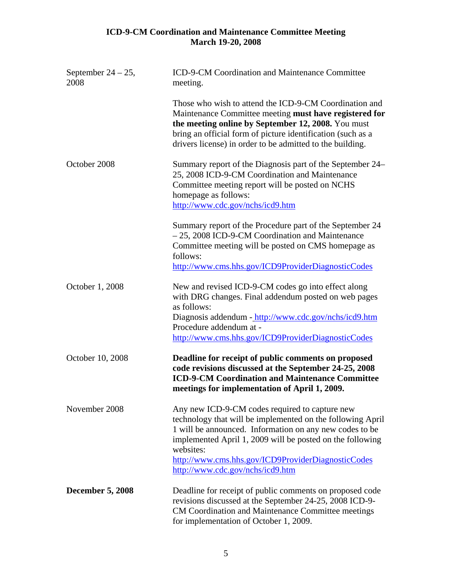| September $24 - 25$ ,<br>2008 | ICD-9-CM Coordination and Maintenance Committee<br>meeting.                                                                                                                                                                                                                                                                                 |
|-------------------------------|---------------------------------------------------------------------------------------------------------------------------------------------------------------------------------------------------------------------------------------------------------------------------------------------------------------------------------------------|
|                               | Those who wish to attend the ICD-9-CM Coordination and<br>Maintenance Committee meeting must have registered for<br>the meeting online by September 12, 2008. You must<br>bring an official form of picture identification (such as a<br>drivers license) in order to be admitted to the building.                                          |
| October 2008                  | Summary report of the Diagnosis part of the September 24–<br>25, 2008 ICD-9-CM Coordination and Maintenance<br>Committee meeting report will be posted on NCHS<br>homepage as follows:<br>http://www.cdc.gov/nchs/icd9.htm                                                                                                                  |
|                               | Summary report of the Procedure part of the September 24<br>- 25, 2008 ICD-9-CM Coordination and Maintenance<br>Committee meeting will be posted on CMS homepage as<br>follows:<br>http://www.cms.hhs.gov/ICD9ProviderDiagnosticCodes                                                                                                       |
| October 1, 2008               | New and revised ICD-9-CM codes go into effect along<br>with DRG changes. Final addendum posted on web pages<br>as follows:<br>Diagnosis addendum - http://www.cdc.gov/nchs/icd9.htm<br>Procedure addendum at -<br>http://www.cms.hhs.gov/ICD9ProviderDiagnosticCodes                                                                        |
| October 10, 2008              | Deadline for receipt of public comments on proposed<br>code revisions discussed at the September 24-25, 2008<br><b>ICD-9-CM Coordination and Maintenance Committee</b><br>meetings for implementation of April 1, 2009.                                                                                                                     |
| November 2008                 | Any new ICD-9-CM codes required to capture new<br>technology that will be implemented on the following April<br>1 will be announced. Information on any new codes to be<br>implemented April 1, 2009 will be posted on the following<br>websites:<br>http://www.cms.hhs.gov/ICD9ProviderDiagnosticCodes<br>http://www.cdc.gov/nchs/icd9.htm |
| <b>December 5, 2008</b>       | Deadline for receipt of public comments on proposed code<br>revisions discussed at the September 24-25, 2008 ICD-9-<br>CM Coordination and Maintenance Committee meetings<br>for implementation of October 1, 2009.                                                                                                                         |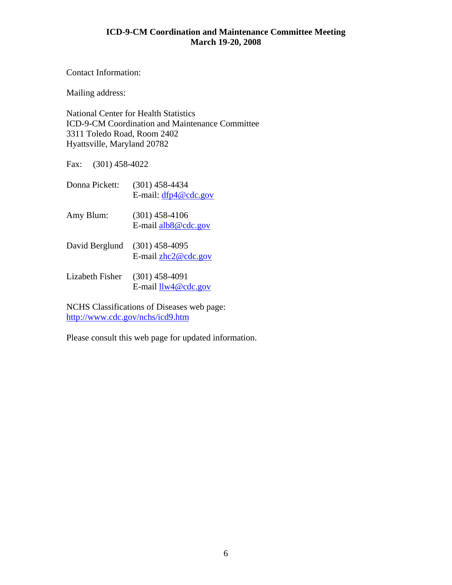Contact Information:

Mailing address:

National Center for Health Statistics ICD-9-CM Coordination and Maintenance Committee 3311 Toledo Road, Room 2402 Hyattsville, Maryland 20782

Fax: (301) 458-4022

| Donna Pickett:  | (301) 458-4434<br>E-mail: $dfp4@cdc.gov$   |
|-----------------|--------------------------------------------|
| Amy Blum:       | $(301)$ 458-4106<br>E-mail $alb8@$ cdc.gov |
| David Berglund  | $(301)$ 458-4095<br>E-mail $zhc2@cdc.gov$  |
| Lizabeth Fisher | $(301)$ 458-4091<br>E-mail $llw4@cdc.gov$  |

NCHS Classifications of Diseases web page: <http://www.cdc.gov/nchs/icd9.htm>

Please consult this web page for updated information.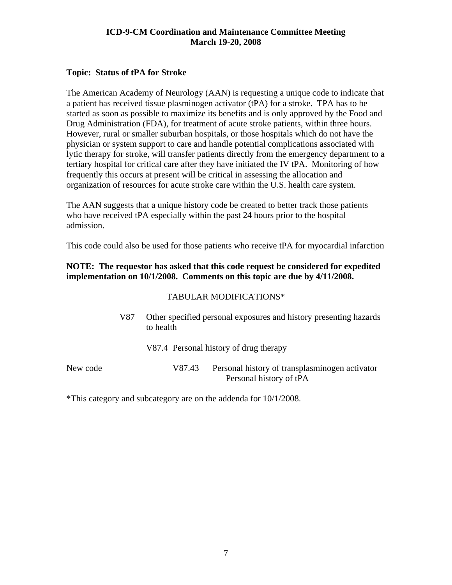#### <span id="page-6-0"></span>**Topic: Status of tPA for Stroke**

The American Academy of Neurology (AAN) is requesting a unique code to indicate that a patient has received tissue plasminogen activator (tPA) for a stroke. TPA has to be started as soon as possible to maximize its benefits and is only approved by the Food and Drug Administration (FDA), for treatment of acute stroke patients, within three hours. However, rural or smaller suburban hospitals, or those hospitals which do not have the physician or system support to care and handle potential complications associated with lytic therapy for stroke, will transfer patients directly from the emergency department to a tertiary hospital for critical care after they have initiated the IV tPA. Monitoring of how frequently this occurs at present will be critical in assessing the allocation and organization of resources for acute stroke care within the U.S. health care system.

The AAN suggests that a unique history code be created to better track those patients who have received tPA especially within the past 24 hours prior to the hospital admission.

This code could also be used for those patients who receive tPA for myocardial infarction

#### **NOTE: The requestor has asked that this code request be considered for expedited implementation on 10/1/2008. Comments on this topic are due by 4/11/2008.**

#### TABULAR MODIFICATIONS\*

| V87      | Other specified personal exposures and history presenting hazards<br>to health |        |                                                |
|----------|--------------------------------------------------------------------------------|--------|------------------------------------------------|
|          |                                                                                |        | V87.4 Personal history of drug therapy         |
| New code |                                                                                | V87.43 | Personal history of transplasminogen activator |

Personal history of tPA

\*This category and subcategory are on the addenda for 10/1/2008.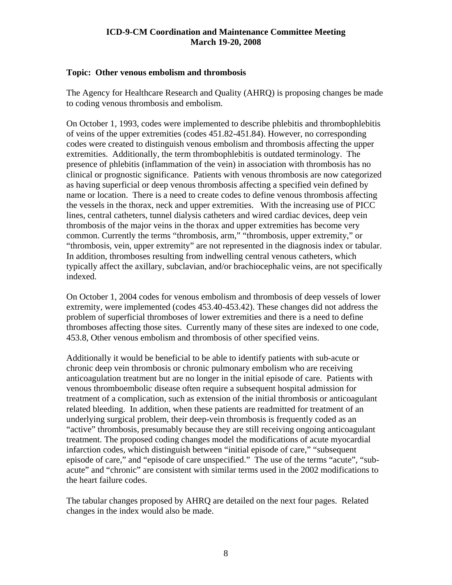#### <span id="page-7-0"></span>**Topic: Other venous embolism and thrombosis**

The Agency for Healthcare Research and Quality (AHRQ) is proposing changes be made to coding venous thrombosis and embolism.

On October 1, 1993, codes were implemented to describe phlebitis and thrombophlebitis of veins of the upper extremities (codes 451.82-451.84). However, no corresponding codes were created to distinguish venous embolism and thrombosis affecting the upper extremities. Additionally, the term thrombophlebitis is outdated terminology. The presence of phlebitis (inflammation of the vein) in association with thrombosis has no clinical or prognostic significance. Patients with venous thrombosis are now categorized as having superficial or deep venous thrombosis affecting a specified vein defined by name or location. There is a need to create codes to define venous thrombosis affecting the vessels in the thorax, neck and upper extremities. With the increasing use of PICC lines, central catheters, tunnel dialysis catheters and wired cardiac devices, deep vein thrombosis of the major veins in the thorax and upper extremities has become very common. Currently the terms "thrombosis, arm," "thrombosis, upper extremity," or "thrombosis, vein, upper extremity" are not represented in the diagnosis index or tabular. In addition, thromboses resulting from indwelling central venous catheters, which typically affect the axillary, subclavian, and/or brachiocephalic veins, are not specifically indexed.

On October 1, 2004 codes for venous embolism and thrombosis of deep vessels of lower extremity, were implemented (codes 453.40-453.42). These changes did not address the problem of superficial thromboses of lower extremities and there is a need to define thromboses affecting those sites. Currently many of these sites are indexed to one code, 453.8, Other venous embolism and thrombosis of other specified veins.

Additionally it would be beneficial to be able to identify patients with sub-acute or chronic deep vein thrombosis or chronic pulmonary embolism who are receiving anticoagulation treatment but are no longer in the initial episode of care. Patients with venous thromboembolic disease often require a subsequent hospital admission for treatment of a complication, such as extension of the initial thrombosis or anticoagulant related bleeding. In addition, when these patients are readmitted for treatment of an underlying surgical problem, their deep-vein thrombosis is frequently coded as an "active" thrombosis, presumably because they are still receiving ongoing anticoagulant treatment. The proposed coding changes model the modifications of acute myocardial infarction codes, which distinguish between "initial episode of care," "subsequent episode of care," and "episode of care unspecified." The use of the terms "acute", "subacute" and "chronic" are consistent with similar terms used in the 2002 modifications to the heart failure codes.

The tabular changes proposed by AHRQ are detailed on the next four pages. Related changes in the index would also be made.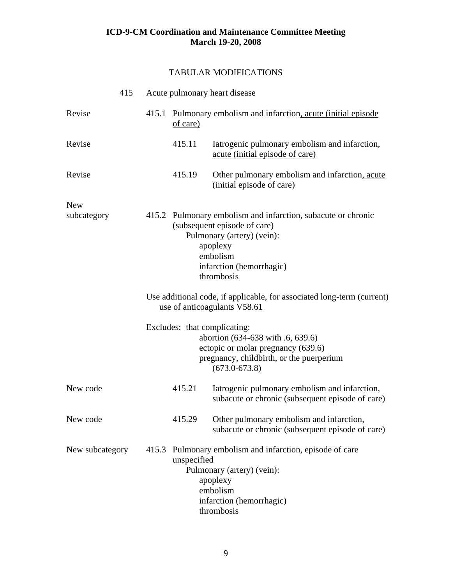#### TABULAR MODIFICATIONS

|                 | 415 |                                                                                                                                                                                              | Acute pulmonary heart disease                                                                          |                                                                                                                                                    |
|-----------------|-----|----------------------------------------------------------------------------------------------------------------------------------------------------------------------------------------------|--------------------------------------------------------------------------------------------------------|----------------------------------------------------------------------------------------------------------------------------------------------------|
| Revise          |     |                                                                                                                                                                                              | of care)                                                                                               | 415.1 Pulmonary embolism and infarction, acute (initial episode)                                                                                   |
| Revise          |     |                                                                                                                                                                                              | 415.11                                                                                                 | Iatrogenic pulmonary embolism and infarction,<br>acute (initial episode of care)                                                                   |
| Revise          |     |                                                                                                                                                                                              | 415.19                                                                                                 | Other pulmonary embolism and infarction, acute<br>(initial episode of care)                                                                        |
| <b>New</b>      |     |                                                                                                                                                                                              |                                                                                                        |                                                                                                                                                    |
| subcategory     |     | 415.2 Pulmonary embolism and infarction, subacute or chronic<br>(subsequent episode of care)<br>Pulmonary (artery) (vein):<br>apoplexy<br>embolism<br>infarction (hemorrhagic)<br>thrombosis |                                                                                                        |                                                                                                                                                    |
|                 |     |                                                                                                                                                                                              | Use additional code, if applicable, for associated long-term (current)<br>use of anticoagulants V58.61 |                                                                                                                                                    |
|                 |     |                                                                                                                                                                                              | Excludes: that complicating:                                                                           | abortion (634-638 with .6, 639.6)<br>ectopic or molar pregnancy (639.6)<br>pregnancy, childbirth, or the puerperium<br>$(673.0 - 673.8)$           |
| New code        |     |                                                                                                                                                                                              | 415.21                                                                                                 | Iatrogenic pulmonary embolism and infarction,<br>subacute or chronic (subsequent episode of care)                                                  |
| New code        |     |                                                                                                                                                                                              | 415.29                                                                                                 | Other pulmonary embolism and infarction,<br>subacute or chronic (subsequent episode of care)                                                       |
| New subcategory |     | 415.3                                                                                                                                                                                        | unspecified                                                                                            | Pulmonary embolism and infarction, episode of care<br>Pulmonary (artery) (vein):<br>apoplexy<br>embolism<br>infarction (hemorrhagic)<br>thrombosis |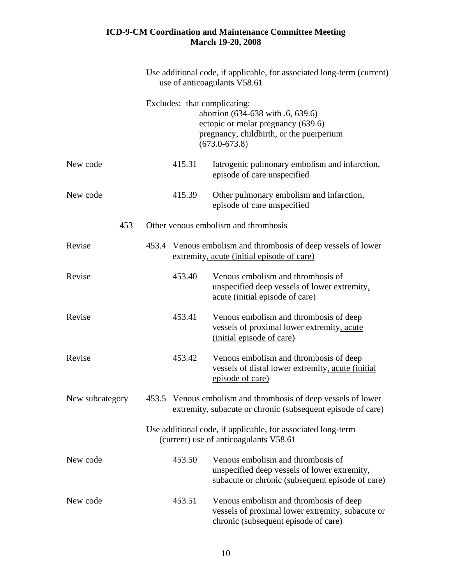|          | Use additional code, if applicable, for associated long-term (current)<br>use of anticoagulants V58.61 |        |                                                                                                                                                                          |
|----------|--------------------------------------------------------------------------------------------------------|--------|--------------------------------------------------------------------------------------------------------------------------------------------------------------------------|
|          |                                                                                                        |        | Excludes: that complicating:<br>abortion (634-638 with .6, 639.6)<br>ectopic or molar pregnancy (639.6)<br>pregnancy, childbirth, or the puerperium<br>$(673.0 - 673.8)$ |
| New code |                                                                                                        | 415.31 | Iatrogenic pulmonary embolism and infarction,<br>episode of care unspecified                                                                                             |
| New code |                                                                                                        | 415.39 | Other pulmonary embolism and infarction,<br>episode of care unspecified                                                                                                  |
| 453      |                                                                                                        |        | Other venous embolism and thrombosis                                                                                                                                     |
| Revise   |                                                                                                        |        | 453.4 Venous embolism and thrombosis of deep vessels of lower<br>extremity, acute (initial episode of care)                                                              |
| Revise   |                                                                                                        | 453.40 | Venous embolism and thrombosis of<br>unspecified deep vessels of lower extremity,<br><u>acute</u> (initial episode of care)                                              |
| Revise   |                                                                                                        | 453.41 | Venous embolism and thrombosis of deep<br>vessels of proximal lower extremity, acute<br>(initial episode of care)                                                        |
| Revise   |                                                                                                        | 453.42 | Venous embolism and thrombosis of deep<br>vessels of distal lower extremity, acute (initial<br>episode of care)                                                          |
|          |                                                                                                        |        | New subcategory 453.5 Venous embolism and thrombosis of deep vessels of lower<br>extremity, subacute or chronic (subsequent episode of care)                             |
|          |                                                                                                        |        | Use additional code, if applicable, for associated long-term<br>(current) use of anticoagulants V58.61                                                                   |
| New code |                                                                                                        | 453.50 | Venous embolism and thrombosis of<br>unspecified deep vessels of lower extremity,<br>subacute or chronic (subsequent episode of care)                                    |
| New code |                                                                                                        | 453.51 | Venous embolism and thrombosis of deep<br>vessels of proximal lower extremity, subacute or<br>chronic (subsequent episode of care)                                       |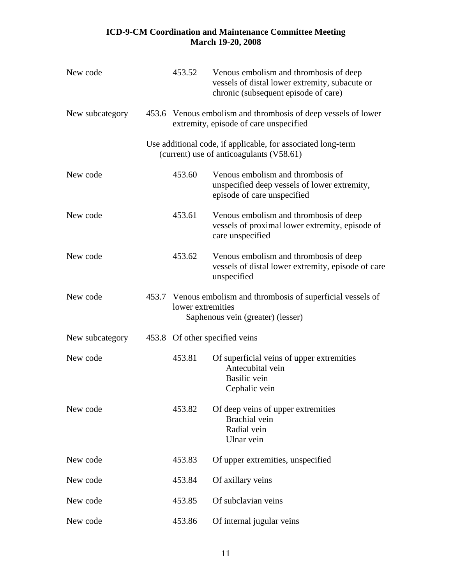| New code        | 453.52            | Venous embolism and thrombosis of deep<br>vessels of distal lower extremity, subacute or<br>chronic (subsequent episode of care) |
|-----------------|-------------------|----------------------------------------------------------------------------------------------------------------------------------|
| New subcategory |                   | 453.6 Venous embolism and thrombosis of deep vessels of lower<br>extremity, episode of care unspecified                          |
|                 |                   | Use additional code, if applicable, for associated long-term<br>(current) use of anticoagulants (V58.61)                         |
| New code        | 453.60            | Venous embolism and thrombosis of<br>unspecified deep vessels of lower extremity,<br>episode of care unspecified                 |
| New code        | 453.61            | Venous embolism and thrombosis of deep<br>vessels of proximal lower extremity, episode of<br>care unspecified                    |
| New code        | 453.62            | Venous embolism and thrombosis of deep<br>vessels of distal lower extremity, episode of care<br>unspecified                      |
| New code        | lower extremities | 453.7 Venous embolism and thrombosis of superficial vessels of<br>Saphenous vein (greater) (lesser)                              |
| New subcategory |                   | 453.8 Of other specified veins                                                                                                   |
| New code        | 453.81            | Of superficial veins of upper extremities<br>Antecubital vein<br><b>Basilic</b> vein<br>Cephalic vein                            |
| New code        | 453.82            | Of deep veins of upper extremities<br>Brachial vein<br>Radial vein<br>Ulnar vein                                                 |
| New code        | 453.83            | Of upper extremities, unspecified                                                                                                |
| New code        | 453.84            | Of axillary veins                                                                                                                |
| New code        | 453.85            | Of subclavian veins                                                                                                              |
| New code        | 453.86            | Of internal jugular veins                                                                                                        |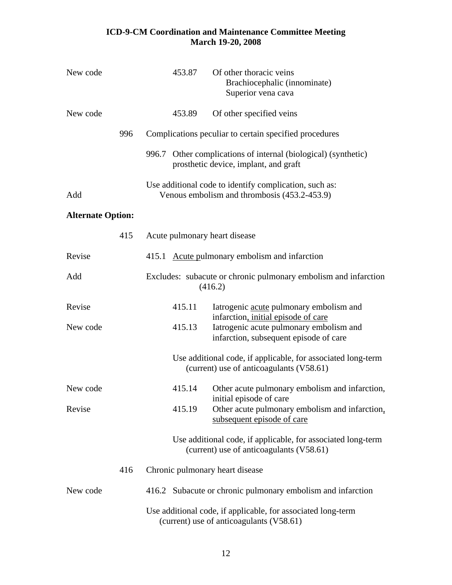| New code                 | 453.87                          | Of other thoracic veins<br>Brachiocephalic (innominate)<br>Superior vena cava                                                                                       |
|--------------------------|---------------------------------|---------------------------------------------------------------------------------------------------------------------------------------------------------------------|
| New code                 | 453.89                          | Of other specified veins                                                                                                                                            |
| 996                      |                                 | Complications peculiar to certain specified procedures                                                                                                              |
|                          | 996.7                           | Other complications of internal (biological) (synthetic)<br>prosthetic device, implant, and graft                                                                   |
| Add                      |                                 | Use additional code to identify complication, such as:<br>Venous embolism and thrombosis (453.2-453.9)                                                              |
| <b>Alternate Option:</b> |                                 |                                                                                                                                                                     |
| 415                      | Acute pulmonary heart disease   |                                                                                                                                                                     |
| Revise                   |                                 | 415.1 Acute pulmonary embolism and infarction                                                                                                                       |
| Add                      |                                 | Excludes: subacute or chronic pulmonary embolism and infarction<br>(416.2)                                                                                          |
| Revise<br>New code       | 415.11<br>415.13                | Iatrogenic acute pulmonary embolism and<br>infarction, initial episode of care<br>Iatrogenic acute pulmonary embolism and<br>infarction, subsequent episode of care |
|                          |                                 | Use additional code, if applicable, for associated long-term<br>(current) use of anticoagulants (V58.61)                                                            |
| New code                 | 415.14                          | Other acute pulmonary embolism and infarction,                                                                                                                      |
| Revise                   | 415.19                          | initial episode of care<br>Other acute pulmonary embolism and infarction,<br>subsequent episode of care                                                             |
|                          |                                 | Use additional code, if applicable, for associated long-term<br>(current) use of anticoagulants (V58.61)                                                            |
| 416                      | Chronic pulmonary heart disease |                                                                                                                                                                     |
| New code                 |                                 | 416.2 Subacute or chronic pulmonary embolism and infarction                                                                                                         |
|                          |                                 | Use additional code, if applicable, for associated long-term<br>(current) use of anticoagulants (V58.61)                                                            |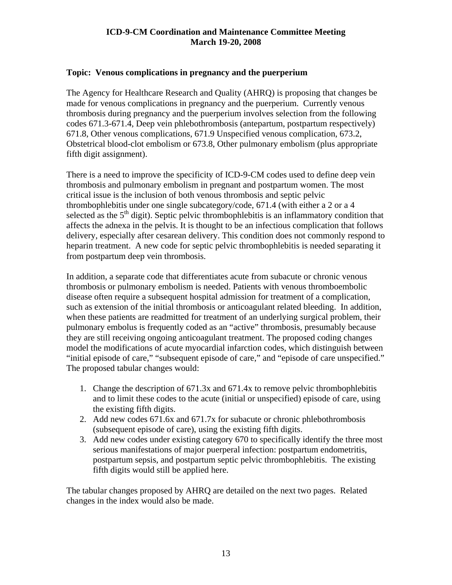#### <span id="page-12-0"></span>**Topic: Venous complications in pregnancy and the puerperium**

The Agency for Healthcare Research and Quality (AHRQ) is proposing that changes be made for venous complications in pregnancy and the puerperium. Currently venous thrombosis during pregnancy and the puerperium involves selection from the following codes 671.3-671.4, Deep vein phlebothrombosis (antepartum, postpartum respectively) 671.8, Other venous complications, 671.9 Unspecified venous complication, 673.2, Obstetrical blood-clot embolism or 673.8, Other pulmonary embolism (plus appropriate fifth digit assignment).

There is a need to improve the specificity of ICD-9-CM codes used to define deep vein thrombosis and pulmonary embolism in pregnant and postpartum women. The most critical issue is the inclusion of both venous thrombosis and septic pelvic thrombophlebitis under one single subcategory/code, 671.4 (with either a 2 or a 4 selected as the  $5<sup>th</sup>$  digit). Septic pelvic thrombophlebitis is an inflammatory condition that affects the adnexa in the pelvis. It is thought to be an infectious complication that follows delivery, especially after cesarean delivery. This condition does not commonly respond to heparin treatment. A new code for septic pelvic thrombophlebitis is needed separating it from postpartum deep vein thrombosis.

In addition, a separate code that differentiates acute from subacute or chronic venous thrombosis or pulmonary embolism is needed. Patients with venous thromboembolic disease often require a subsequent hospital admission for treatment of a complication, such as extension of the initial thrombosis or anticoagulant related bleeding. In addition, when these patients are readmitted for treatment of an underlying surgical problem, their pulmonary embolus is frequently coded as an "active" thrombosis, presumably because they are still receiving ongoing anticoagulant treatment. The proposed coding changes model the modifications of acute myocardial infarction codes, which distinguish between "initial episode of care," "subsequent episode of care," and "episode of care unspecified." The proposed tabular changes would:

- 1. Change the description of 671.3x and 671.4x to remove pelvic thrombophlebitis and to limit these codes to the acute (initial or unspecified) episode of care, using the existing fifth digits.
- 2. Add new codes 671.6x and 671.7x for subacute or chronic phlebothrombosis (subsequent episode of care), using the existing fifth digits.
- 3. Add new codes under existing category 670 to specifically identify the three most serious manifestations of major puerperal infection: postpartum endometritis, postpartum sepsis, and postpartum septic pelvic thrombophlebitis. The existing fifth digits would still be applied here.

The tabular changes proposed by AHRQ are detailed on the next two pages. Related changes in the index would also be made.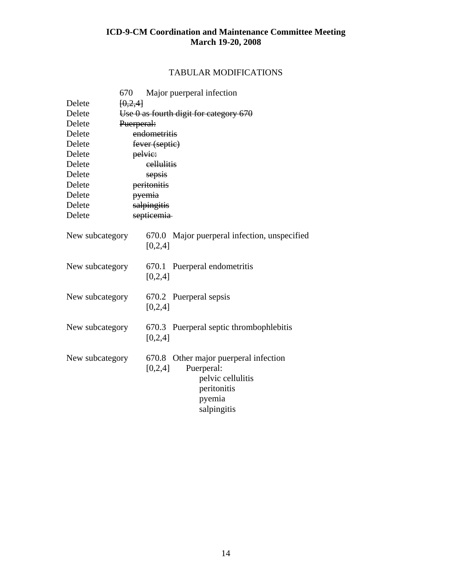#### TABULAR MODIFICATIONS

| 670             | Major puerperal infection                    |
|-----------------|----------------------------------------------|
| Delete          | [0,2,4]                                      |
| Delete          | Use $0$ as fourth digit for category $670$   |
| Delete          | Puerperal:                                   |
| Delete          | endometritis                                 |
| Delete          | fever (septic)                               |
| Delete          | pelvic:                                      |
| Delete          | eellulitis                                   |
| Delete          | sepsis                                       |
| Delete          | peritonitis                                  |
| Delete          | pyemia                                       |
| Delete          | salpingitis                                  |
| Delete          | septicemia                                   |
|                 |                                              |
| New subcategory | 670.0 Major puerperal infection, unspecified |
|                 | [0,2,4]                                      |
|                 |                                              |
| New subcategory | 670.1 Puerperal endometritis                 |
|                 | [0,2,4]                                      |
|                 |                                              |
| New subcategory | 670.2 Puerperal sepsis                       |
|                 | [0,2,4]                                      |
|                 |                                              |
| New subcategory | 670.3 Puerperal septic thrombophlebitis      |
|                 | [0,2,4]                                      |
|                 |                                              |
| New subcategory | 670.8 Other major puerperal infection        |
|                 | [0,2,4]<br>Puerperal:                        |
|                 | pelvic cellulitis                            |
|                 | peritonitis                                  |
|                 | pyemia                                       |
|                 | salpingitis                                  |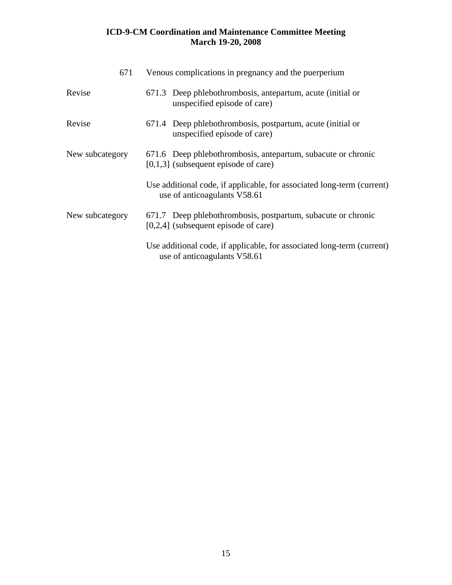| 671             | Venous complications in pregnancy and the puerperium                                                   |
|-----------------|--------------------------------------------------------------------------------------------------------|
| Revise          | 671.3 Deep phlebothrombosis, antepartum, acute (initial or<br>unspecified episode of care)             |
| Revise          | 671.4 Deep phlebothrombosis, postpartum, acute (initial or<br>unspecified episode of care)             |
| New subcategory | 671.6 Deep phlebothrombosis, antepartum, subacute or chronic<br>$[0,1,3]$ (subsequent episode of care) |
|                 | Use additional code, if applicable, for associated long-term (current)<br>use of anticoagulants V58.61 |
| New subcategory | 671.7 Deep phlebothrombosis, postpartum, subacute or chronic<br>$[0,2,4]$ (subsequent episode of care) |
|                 | Use additional code, if applicable, for associated long-term (current)<br>use of anticoagulants V58.61 |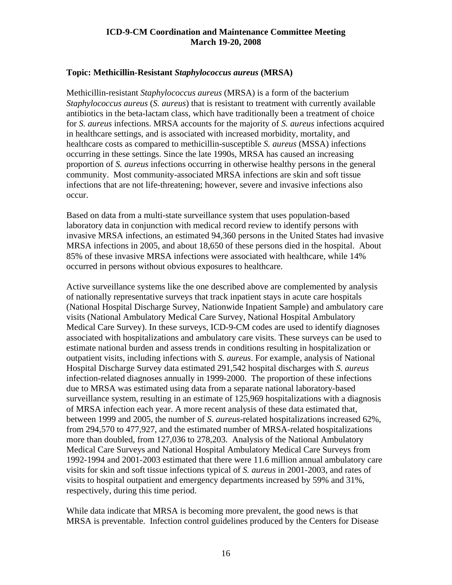#### <span id="page-15-0"></span>**Topic: Methicillin-Resistant** *Staphylococcus aureus* **(MRSA)**

Methicillin-resistant *Staphylococcus aureus* (MRSA) is a form of the bacterium *Staphylococcus aureus* (*S. aureus*) that is resistant to treatment with currently available antibiotics in the beta-lactam class, which have traditionally been a treatment of choice for *S. aureus* infections. MRSA accounts for the majority of *S. aureus* infections acquired in healthcare settings, and is associated with increased morbidity, mortality, and healthcare costs as compared to methicillin-susceptible *S. aureus* (MSSA) infections occurring in these settings. Since the late 1990s, MRSA has caused an increasing proportion of *S. aureus* infections occurring in otherwise healthy persons in the general community. Most community-associated MRSA infections are skin and soft tissue infections that are not life-threatening; however, severe and invasive infections also occur.

Based on data from a multi-state surveillance system that uses population-based laboratory data in conjunction with medical record review to identify persons with invasive MRSA infections, an estimated 94,360 persons in the United States had invasive MRSA infections in 2005, and about 18,650 of these persons died in the hospital. About 85% of these invasive MRSA infections were associated with healthcare, while 14% occurred in persons without obvious exposures to healthcare.

Active surveillance systems like the one described above are complemented by analysis of nationally representative surveys that track inpatient stays in acute care hospitals (National Hospital Discharge Survey, Nationwide Inpatient Sample) and ambulatory care visits (National Ambulatory Medical Care Survey, National Hospital Ambulatory Medical Care Survey). In these surveys, ICD-9-CM codes are used to identify diagnoses associated with hospitalizations and ambulatory care visits. These surveys can be used to estimate national burden and assess trends in conditions resulting in hospitalization or outpatient visits, including infections with *S. aureus*. For example, analysis of National Hospital Discharge Survey data estimated 291,542 hospital discharges with *S. aureus* infection-related diagnoses annually in 1999-2000. The proportion of these infections due to MRSA was estimated using data from a separate national laboratory-based surveillance system, resulting in an estimate of 125,969 hospitalizations with a diagnosis of MRSA infection each year. A more recent analysis of these data estimated that, between 1999 and 2005, the number of *S. aureus*-related hospitalizations increased 62%, from 294,570 to 477,927, and the estimated number of MRSA-related hospitalizations more than doubled, from 127,036 to 278,203. Analysis of the National Ambulatory Medical Care Surveys and National Hospital Ambulatory Medical Care Surveys from 1992-1994 and 2001-2003 estimated that there were 11.6 million annual ambulatory care visits for skin and soft tissue infections typical of *S. aureus* in 2001-2003, and rates of visits to hospital outpatient and emergency departments increased by 59% and 31%, respectively, during this time period.

While data indicate that MRSA is becoming more prevalent, the good news is that MRSA is preventable. Infection control guidelines produced by the Centers for Disease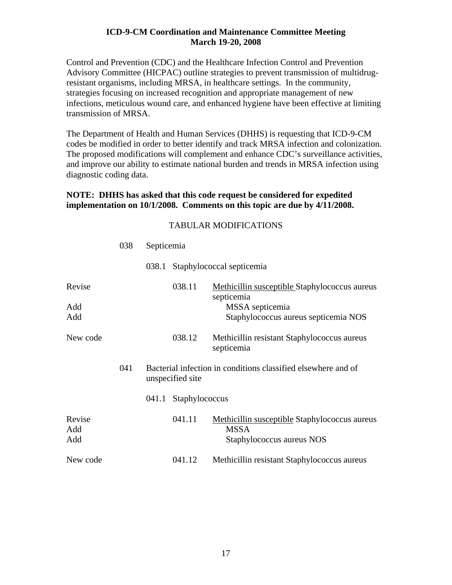Control and Prevention (CDC) and the Healthcare Infection Control and Prevention Advisory Committee (HICPAC) outline strategies to prevent transmission of multidrugresistant organisms, including MRSA, in healthcare settings. In the community, strategies focusing on increased recognition and appropriate management of new infections, meticulous wound care, and enhanced hygiene have been effective at limiting transmission of MRSA.

The Department of Health and Human Services (DHHS) is requesting that ICD-9-CM codes be modified in order to better identify and track MRSA infection and colonization. The proposed modifications will complement and enhance CDC's surveillance activities, and improve our ability to estimate national burden and trends in MRSA infection using diagnostic coding data.

#### **NOTE: DHHS has asked that this code request be considered for expedited implementation on 10/1/2008. Comments on this topic are due by 4/11/2008.**

#### TABULAR MODIFICATIONS

|                      | 038 | Septicemia |                  |                                                                                                                        |
|----------------------|-----|------------|------------------|------------------------------------------------------------------------------------------------------------------------|
|                      |     | 038.1      |                  | Staphylococcal septicemia                                                                                              |
| Revise<br>Add<br>Add |     |            | 038.11           | Methicillin susceptible Staphylococcus aureus<br>septicemia<br>MSSA septicemia<br>Staphylococcus aureus septicemia NOS |
| New code             |     |            | 038.12           | Methicillin resistant Staphylococcus aureus<br>septicemia                                                              |
|                      | 041 |            | unspecified site | Bacterial infection in conditions classified elsewhere and of                                                          |
|                      |     | 041.1      | Staphylococcus   |                                                                                                                        |
| Revise<br>Add<br>Add |     |            | 041.11           | <b>Methicillin susceptible Staphylococcus aureus</b><br><b>MSSA</b><br>Staphylococcus aureus NOS                       |
| New code             |     |            | 041.12           | Methicillin resistant Staphylococcus aureus                                                                            |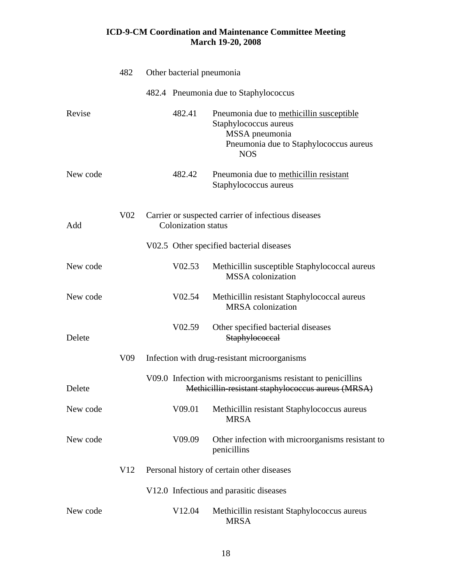|          | 482             | Other bacterial pneumonia  |                                                                                                                                             |
|----------|-----------------|----------------------------|---------------------------------------------------------------------------------------------------------------------------------------------|
|          |                 |                            | 482.4 Pneumonia due to Staphylococcus                                                                                                       |
| Revise   |                 | 482.41                     | Pneumonia due to methicillin susceptible<br>Staphylococcus aureus<br>MSSA pneumonia<br>Pneumonia due to Staphylococcus aureus<br><b>NOS</b> |
| New code |                 | 482.42                     | Pneumonia due to methicillin resistant<br>Staphylococcus aureus                                                                             |
| Add      | V <sub>02</sub> | <b>Colonization</b> status | Carrier or suspected carrier of infectious diseases                                                                                         |
|          |                 |                            | V02.5 Other specified bacterial diseases                                                                                                    |
| New code |                 | V02.53                     | Methicillin susceptible Staphylococcal aureus<br><b>MSSA</b> colonization                                                                   |
| New code |                 | V02.54                     | Methicillin resistant Staphylococcal aureus<br><b>MRSA</b> colonization                                                                     |
| Delete   |                 | V <sub>02.59</sub>         | Other specified bacterial diseases<br>Staphylococcal                                                                                        |
|          | V <sub>09</sub> |                            | Infection with drug-resistant microorganisms                                                                                                |
| Delete   |                 |                            | V09.0 Infection with microorganisms resistant to penicillins<br>Methicillin resistant staphylococcus aureus (MRSA)                          |
| New code |                 | V09.01                     | Methicillin resistant Staphylococcus aureus<br><b>MRSA</b>                                                                                  |
| New code |                 | V09.09                     | Other infection with microorganisms resistant to<br>penicillins                                                                             |
|          | V12             |                            | Personal history of certain other diseases                                                                                                  |
|          |                 |                            | V12.0 Infectious and parasitic diseases                                                                                                     |
| New code |                 | V <sub>12.04</sub>         | Methicillin resistant Staphylococcus aureus<br><b>MRSA</b>                                                                                  |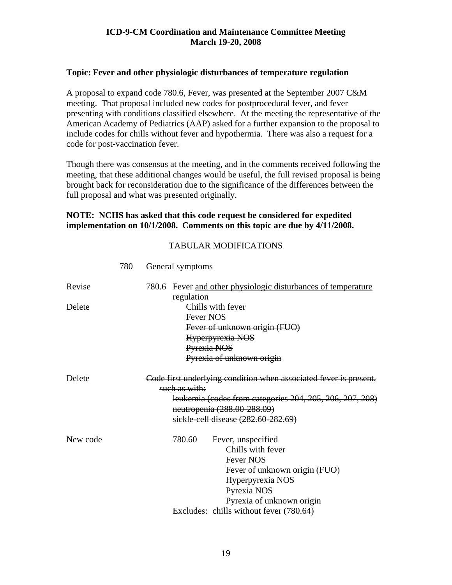#### <span id="page-18-0"></span>**Topic: Fever and other physiologic disturbances of temperature regulation**

A proposal to expand code 780.6, Fever, was presented at the September 2007 C&M meeting. That proposal included new codes for postprocedural fever, and fever presenting with conditions classified elsewhere. At the meeting the representative of the American Academy of Pediatrics (AAP) asked for a further expansion to the proposal to include codes for chills without fever and hypothermia. There was also a request for a code for post-vaccination fever.

Though there was consensus at the meeting, and in the comments received following the meeting, that these additional changes would be useful, the full revised proposal is being brought back for reconsideration due to the significance of the differences between the full proposal and what was presented originally.

#### **NOTE: NCHS has asked that this code request be considered for expedited implementation on 10/1/2008. Comments on this topic are due by 4/11/2008.**

#### TABULAR MODIFICATIONS

| Revise   | 780.6 Fever and other physiologic disturbances of temperature                           |
|----------|-----------------------------------------------------------------------------------------|
|          | regulation                                                                              |
| Delete   | Chills with fever                                                                       |
|          | Fever NOS                                                                               |
|          | Fever of unknown origin (FUO)                                                           |
|          | Hyperpyrexia NOS                                                                        |
|          | Pyrexia NOS                                                                             |
|          | Pyrexia of unknown origin                                                               |
| Delete   | Code first underlying condition when associated fever is present,<br>such as with:      |
|          | leukemia (codes from categories 204, 205, 206, 207, 208)<br>neutropenia (288.00-288.09) |
|          | sickle-cell disease (282.60-282.69)                                                     |
| New code | 780.60<br>Fever, unspecified                                                            |
|          | Chills with fever                                                                       |
|          | <b>Fever NOS</b>                                                                        |
|          | Fever of unknown origin (FUO)                                                           |
|          | Hyperpyrexia NOS                                                                        |
|          | Pyrexia NOS                                                                             |
|          | Pyrexia of unknown origin                                                               |
|          | Excludes: chills without fever (780.64)                                                 |

780 General symptoms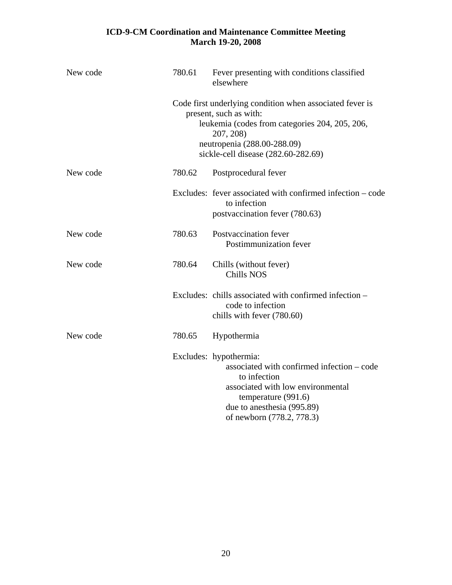| New code | 780.61 | Fever presenting with conditions classified<br>elsewhere                                                                                                                                                                |
|----------|--------|-------------------------------------------------------------------------------------------------------------------------------------------------------------------------------------------------------------------------|
|          |        | Code first underlying condition when associated fever is<br>present, such as with:<br>leukemia (codes from categories 204, 205, 206,<br>207, 208)<br>neutropenia (288.00-288.09)<br>sickle-cell disease (282.60-282.69) |
| New code | 780.62 | Postprocedural fever                                                                                                                                                                                                    |
|          |        | Excludes: fever associated with confirmed infection – code<br>to infection<br>postvaccination fever (780.63)                                                                                                            |
| New code | 780.63 | Postvaccination fever<br>Postimmunization fever                                                                                                                                                                         |
| New code | 780.64 | Chills (without fever)<br><b>Chills NOS</b>                                                                                                                                                                             |
|          |        | Excludes: chills associated with confirmed infection -<br>code to infection<br>chills with fever (780.60)                                                                                                               |
| New code | 780.65 | Hypothermia                                                                                                                                                                                                             |
|          |        | Excludes: hypothermia:<br>associated with confirmed infection – code<br>to infection<br>associated with low environmental<br>temperature (991.6)<br>due to anesthesia (995.89)<br>of newborn (778.2, 778.3)             |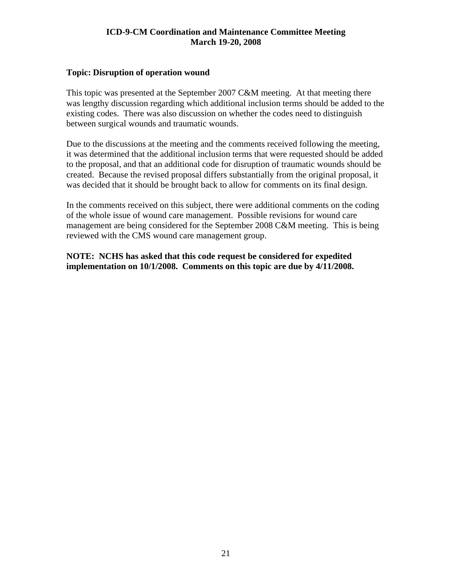#### <span id="page-20-0"></span>**Topic: Disruption of operation wound**

This topic was presented at the September 2007 C&M meeting. At that meeting there was lengthy discussion regarding which additional inclusion terms should be added to the existing codes. There was also discussion on whether the codes need to distinguish between surgical wounds and traumatic wounds.

Due to the discussions at the meeting and the comments received following the meeting, it was determined that the additional inclusion terms that were requested should be added to the proposal, and that an additional code for disruption of traumatic wounds should be created. Because the revised proposal differs substantially from the original proposal, it was decided that it should be brought back to allow for comments on its final design.

In the comments received on this subject, there were additional comments on the coding of the whole issue of wound care management. Possible revisions for wound care management are being considered for the September 2008 C&M meeting. This is being reviewed with the CMS wound care management group.

**NOTE: NCHS has asked that this code request be considered for expedited implementation on 10/1/2008. Comments on this topic are due by 4/11/2008.**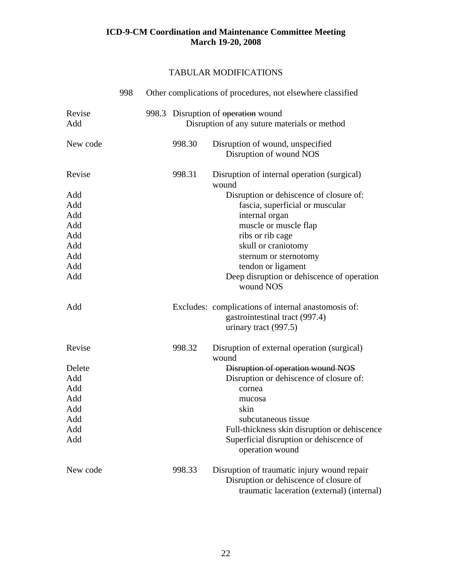#### TABULAR MODIFICATIONS

|               | 998 |        | Other complications of procedures, not elsewhere classified                                                                         |
|---------------|-----|--------|-------------------------------------------------------------------------------------------------------------------------------------|
| Revise<br>Add |     |        | 998.3 Disruption of operation wound<br>Disruption of any suture materials or method                                                 |
| New code      |     | 998.30 | Disruption of wound, unspecified<br>Disruption of wound NOS                                                                         |
| Revise        |     | 998.31 | Disruption of internal operation (surgical)<br>wound                                                                                |
| Add           |     |        | Disruption or dehiscence of closure of:                                                                                             |
| Add           |     |        | fascia, superficial or muscular                                                                                                     |
| Add           |     |        | internal organ                                                                                                                      |
| Add           |     |        | muscle or muscle flap                                                                                                               |
| Add           |     |        | ribs or rib cage                                                                                                                    |
| Add           |     |        | skull or craniotomy                                                                                                                 |
| Add           |     |        | sternum or sternotomy                                                                                                               |
| Add           |     |        | tendon or ligament                                                                                                                  |
| Add           |     |        | Deep disruption or dehiscence of operation<br>wound NOS                                                                             |
| Add           |     |        | Excludes: complications of internal anastomosis of:<br>gastrointestinal tract (997.4)<br>urinary tract (997.5)                      |
| Revise        |     | 998.32 | Disruption of external operation (surgical)<br>wound                                                                                |
| Delete        |     |        | Disruption of operation wound NOS                                                                                                   |
| Add           |     |        | Disruption or dehiscence of closure of:                                                                                             |
| Add           |     |        | cornea                                                                                                                              |
| Add           |     |        | mucosa                                                                                                                              |
| Add           |     |        | skin                                                                                                                                |
| Add           |     |        | subcutaneous tissue                                                                                                                 |
| Add           |     |        | Full-thickness skin disruption or dehiscence                                                                                        |
| Add           |     |        | Superficial disruption or dehiscence of<br>operation wound                                                                          |
| New code      |     | 998.33 | Disruption of traumatic injury wound repair<br>Disruption or dehiscence of closure of<br>traumatic laceration (external) (internal) |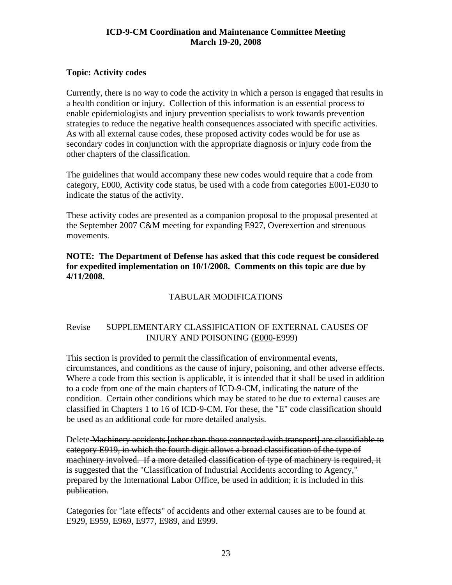#### <span id="page-22-0"></span>**Topic: Activity codes**

Currently, there is no way to code the activity in which a person is engaged that results in a health condition or injury. Collection of this information is an essential process to enable epidemiologists and injury prevention specialists to work towards prevention strategies to reduce the negative health consequences associated with specific activities. As with all external cause codes, these proposed activity codes would be for use as secondary codes in conjunction with the appropriate diagnosis or injury code from the other chapters of the classification.

The guidelines that would accompany these new codes would require that a code from category, E000, Activity code status, be used with a code from categories E001-E030 to indicate the status of the activity.

These activity codes are presented as a companion proposal to the proposal presented at the September 2007 C&M meeting for expanding E927, Overexertion and strenuous movements.

**NOTE: The Department of Defense has asked that this code request be considered for expedited implementation on 10/1/2008. Comments on this topic are due by 4/11/2008.** 

#### TABULAR MODIFICATIONS

#### Revise SUPPLEMENTARY CLASSIFICATION OF EXTERNAL CAUSES OF INJURY AND POISONING (E000-E999)

This section is provided to permit the classification of environmental events, circumstances, and conditions as the cause of injury, poisoning, and other adverse effects. Where a code from this section is applicable, it is intended that it shall be used in addition to a code from one of the main chapters of ICD-9-CM, indicating the nature of the condition. Certain other conditions which may be stated to be due to external causes are classified in Chapters 1 to 16 of ICD-9-CM. For these, the "E" code classification should be used as an additional code for more detailed analysis.

Delete Machinery accidents [other than those connected with transport] are classifiable to category E919, in which the fourth digit allows a broad classification of the type of machinery involved. If a more detailed classification of type of machinery is required, it is suggested that the "Classification of Industrial Accidents according to Agency," prepared by the International Labor Office, be used in addition; it is included in this publication.

Categories for "late effects" of accidents and other external causes are to be found at E929, E959, E969, E977, E989, and E999.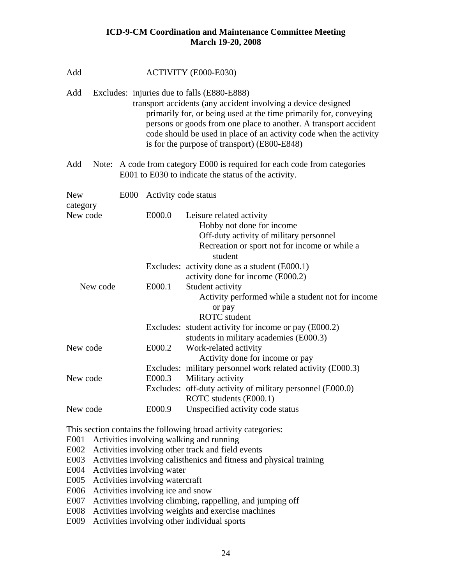| Add                    | ACTIVITY (E000-E030) |                      |                                                                                                                                                                                                                                                                                                                                                                             |  |
|------------------------|----------------------|----------------------|-----------------------------------------------------------------------------------------------------------------------------------------------------------------------------------------------------------------------------------------------------------------------------------------------------------------------------------------------------------------------------|--|
| Add                    |                      |                      | Excludes: injuries due to falls (E880-E888)<br>transport accidents (any accident involving a device designed<br>primarily for, or being used at the time primarily for, conveying<br>persons or goods from one place to another. A transport accident<br>code should be used in place of an activity code when the activity<br>is for the purpose of transport) (E800-E848) |  |
| Add                    |                      |                      | Note: A code from category E000 is required for each code from categories<br>E001 to E030 to indicate the status of the activity.                                                                                                                                                                                                                                           |  |
| <b>New</b><br>category | <b>E000</b>          | Activity code status |                                                                                                                                                                                                                                                                                                                                                                             |  |
| New code               |                      | E000.0               | Leisure related activity<br>Hobby not done for income<br>Off-duty activity of military personnel<br>Recreation or sport not for income or while a<br>student                                                                                                                                                                                                                |  |
|                        |                      |                      | Excludes: activity done as a student (E000.1)<br>activity done for income (E000.2)                                                                                                                                                                                                                                                                                          |  |
| New code               |                      | E000.1               | Student activity<br>Activity performed while a student not for income<br>or pay<br><b>ROTC</b> student                                                                                                                                                                                                                                                                      |  |
|                        |                      |                      | Excludes: student activity for income or pay (E000.2)<br>students in military academies (E000.3)                                                                                                                                                                                                                                                                            |  |
| New code               |                      | E000.2               | Work-related activity<br>Activity done for income or pay<br>Excludes: military personnel work related activity (E000.3)                                                                                                                                                                                                                                                     |  |
| New code               |                      | E000.3               | Military activity<br>Excludes: off-duty activity of military personnel (E000.0)<br>ROTC students (E000.1)                                                                                                                                                                                                                                                                   |  |
| New code               |                      | E000.9               | Unspecified activity code status                                                                                                                                                                                                                                                                                                                                            |  |

This section contains the following broad activity categories:

E001 Activities involving walking and running

- E002 Activities involving other track and field events
- E003 Activities involving calisthenics and fitness and physical training
- E004 Activities involving water
- E005 Activities involving watercraft
- E006 Activities involving ice and snow
- E007 Activities involving climbing, rappelling, and jumping off
- E008 Activities involving weights and exercise machines
- E009 Activities involving other individual sports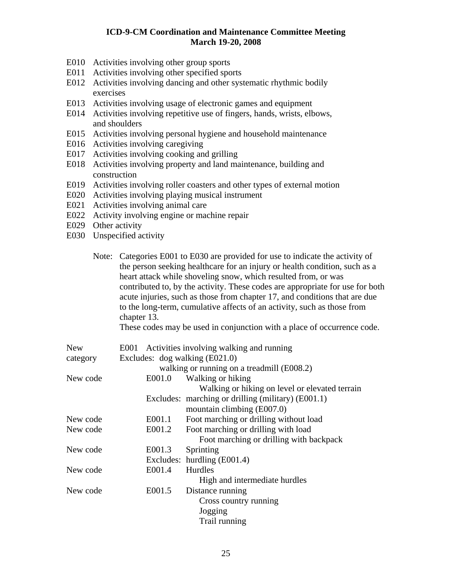- E010 Activities involving other group sports
- E011 Activities involving other specified sports
- E012 Activities involving dancing and other systematic rhythmic bodily exercises
- E013 Activities involving usage of electronic games and equipment
- E014 Activities involving repetitive use of fingers, hands, wrists, elbows, and shoulders
- E015 Activities involving personal hygiene and household maintenance
- E016 Activities involving caregiving
- E017 Activities involving cooking and grilling
- E018 Activities involving property and land maintenance, building and construction
- E019 Activities involving roller coasters and other types of external motion
- E020 Activities involving playing musical instrument
- E021 Activities involving animal care
- E022 Activity involving engine or machine repair
- E029 Other activity
- E030 Unspecified activity

|          | chapter 13.                    | Note: Categories E001 to E030 are provided for use to indicate the activity of<br>the person seeking healthcare for an injury or health condition, such as a<br>heart attack while shoveling snow, which resulted from, or was<br>contributed to, by the activity. These codes are appropriate for use for both<br>acute injuries, such as those from chapter 17, and conditions that are due<br>to the long-term, cumulative affects of an activity, such as those from<br>These codes may be used in conjunction with a place of occurrence code. |
|----------|--------------------------------|-----------------------------------------------------------------------------------------------------------------------------------------------------------------------------------------------------------------------------------------------------------------------------------------------------------------------------------------------------------------------------------------------------------------------------------------------------------------------------------------------------------------------------------------------------|
| New      |                                | E001 Activities involving walking and running                                                                                                                                                                                                                                                                                                                                                                                                                                                                                                       |
| category | Excludes: dog walking (E021.0) |                                                                                                                                                                                                                                                                                                                                                                                                                                                                                                                                                     |
|          |                                | walking or running on a treadmill (E008.2)                                                                                                                                                                                                                                                                                                                                                                                                                                                                                                          |
| New code | E001.0                         | Walking or hiking                                                                                                                                                                                                                                                                                                                                                                                                                                                                                                                                   |
|          |                                | Walking or hiking on level or elevated terrain                                                                                                                                                                                                                                                                                                                                                                                                                                                                                                      |
|          |                                | Excludes: marching or drilling (military) (E001.1)                                                                                                                                                                                                                                                                                                                                                                                                                                                                                                  |
|          |                                | mountain climbing (E007.0)                                                                                                                                                                                                                                                                                                                                                                                                                                                                                                                          |
| New code | E001.1                         | Foot marching or drilling without load                                                                                                                                                                                                                                                                                                                                                                                                                                                                                                              |
| New code | E001.2                         | Foot marching or drilling with load                                                                                                                                                                                                                                                                                                                                                                                                                                                                                                                 |
|          |                                | Foot marching or drilling with backpack                                                                                                                                                                                                                                                                                                                                                                                                                                                                                                             |
| New code | E001.3                         | Sprinting                                                                                                                                                                                                                                                                                                                                                                                                                                                                                                                                           |
|          | Excludes:                      | hurdling (E001.4)                                                                                                                                                                                                                                                                                                                                                                                                                                                                                                                                   |
| New code | E001.4                         | Hurdles                                                                                                                                                                                                                                                                                                                                                                                                                                                                                                                                             |
|          |                                | High and intermediate hurdles                                                                                                                                                                                                                                                                                                                                                                                                                                                                                                                       |
| New code | E001.5                         | Distance running                                                                                                                                                                                                                                                                                                                                                                                                                                                                                                                                    |
|          |                                | Cross country running                                                                                                                                                                                                                                                                                                                                                                                                                                                                                                                               |
|          |                                | Jogging                                                                                                                                                                                                                                                                                                                                                                                                                                                                                                                                             |
|          |                                | Trail running                                                                                                                                                                                                                                                                                                                                                                                                                                                                                                                                       |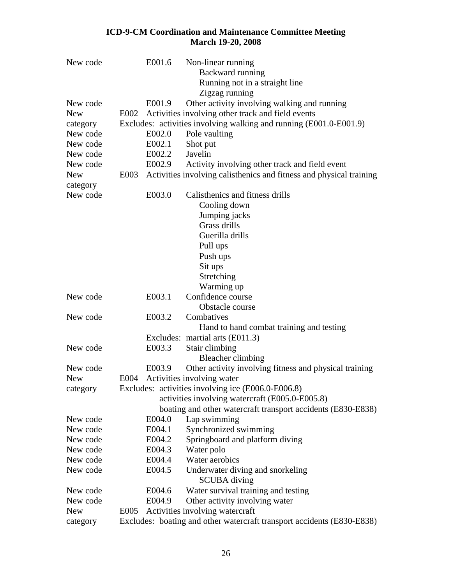| New code   | E001.6 | Non-linear running                                                     |
|------------|--------|------------------------------------------------------------------------|
|            |        | Backward running                                                       |
|            |        | Running not in a straight line                                         |
|            |        | Zigzag running                                                         |
| New code   | E001.9 | Other activity involving walking and running                           |
| <b>New</b> | E002   | Activities involving other track and field events                      |
| category   |        | Excludes: activities involving walking and running (E001.0-E001.9)     |
| New code   | E002.0 | Pole vaulting                                                          |
| New code   | E002.1 | Shot put                                                               |
| New code   | E002.2 | Javelin                                                                |
| New code   | E002.9 | Activity involving other track and field event                         |
| <b>New</b> | E003   | Activities involving calisthenics and fitness and physical training    |
| category   |        |                                                                        |
| New code   | E003.0 | Calisthenics and fitness drills                                        |
|            |        | Cooling down                                                           |
|            |        | Jumping jacks                                                          |
|            |        | Grass drills                                                           |
|            |        | Guerilla drills                                                        |
|            |        | Pull ups                                                               |
|            |        | Push ups                                                               |
|            |        | Sit ups                                                                |
|            |        | Stretching                                                             |
|            |        | Warming up                                                             |
| New code   | E003.1 | Confidence course                                                      |
|            |        | Obstacle course                                                        |
| New code   | E003.2 | Combatives                                                             |
|            |        | Hand to hand combat training and testing                               |
|            |        | Excludes: martial arts (E011.3)                                        |
| New code   | E003.3 | Stair climbing                                                         |
|            |        | <b>Bleacher climbing</b>                                               |
| New code   | E003.9 | Other activity involving fitness and physical training                 |
| <b>New</b> | E004   | Activities involving water                                             |
| category   |        | Excludes: activities involving ice (E006.0-E006.8)                     |
|            |        | activities involving watercraft (E005.0-E005.8)                        |
|            |        | boating and other watercraft transport accidents (E830-E838)           |
| New code   | E004.0 | Lap swimming                                                           |
| New code   | E004.1 | Synchronized swimming                                                  |
| New code   | E004.2 | Springboard and platform diving                                        |
| New code   | E004.3 | Water polo                                                             |
| New code   | E004.4 | Water aerobics                                                         |
| New code   | E004.5 | Underwater diving and snorkeling                                       |
|            |        | <b>SCUBA</b> diving                                                    |
| New code   | E004.6 | Water survival training and testing                                    |
| New code   | E004.9 | Other activity involving water                                         |
| <b>New</b> | E005   | Activities involving watercraft                                        |
| category   |        | Excludes: boating and other watercraft transport accidents (E830-E838) |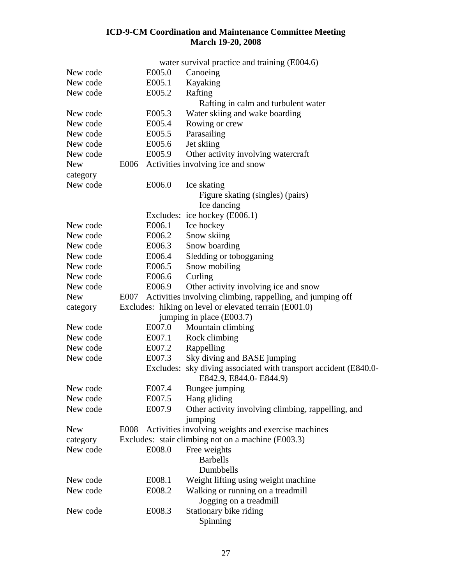|            |      |        | water survival practice and training (E004.6)                                               |
|------------|------|--------|---------------------------------------------------------------------------------------------|
| New code   |      | E005.0 | Canoeing                                                                                    |
| New code   |      | E005.1 | Kayaking                                                                                    |
| New code   |      | E005.2 | Rafting                                                                                     |
|            |      |        | Rafting in calm and turbulent water                                                         |
| New code   |      | E005.3 | Water skiing and wake boarding                                                              |
| New code   |      | E005.4 | Rowing or crew                                                                              |
| New code   |      | E005.5 | Parasailing                                                                                 |
| New code   |      | E005.6 | Jet skiing                                                                                  |
| New code   |      | E005.9 | Other activity involving watercraft                                                         |
| <b>New</b> |      |        | E006 Activities involving ice and snow                                                      |
| category   |      |        |                                                                                             |
| New code   |      | E006.0 | Ice skating                                                                                 |
|            |      |        | Figure skating (singles) (pairs)                                                            |
|            |      |        | Ice dancing                                                                                 |
|            |      |        | Excludes: ice hockey (E006.1)                                                               |
| New code   |      | E006.1 | Ice hockey                                                                                  |
| New code   |      | E006.2 | Snow skiing                                                                                 |
| New code   |      | E006.3 | Snow boarding                                                                               |
| New code   |      | E006.4 | Sledding or tobogganing                                                                     |
| New code   |      | E006.5 | Snow mobiling                                                                               |
| New code   |      | E006.6 | Curling                                                                                     |
| New code   |      | E006.9 | Other activity involving ice and snow                                                       |
| <b>New</b> | E007 |        | Activities involving climbing, rappelling, and jumping off                                  |
| category   |      |        | Excludes: hiking on level or elevated terrain (E001.0)                                      |
|            |      |        | jumping in place (E003.7)                                                                   |
| New code   |      | E007.0 | Mountain climbing                                                                           |
| New code   |      | E007.1 | Rock climbing                                                                               |
| New code   |      | E007.2 | Rappelling                                                                                  |
| New code   |      | E007.3 | Sky diving and BASE jumping                                                                 |
|            |      |        | Excludes: sky diving associated with transport accident (E840.0-<br>E842.9, E844.0- E844.9) |
| New code   |      | E007.4 | Bungee jumping                                                                              |
| New code   |      | E007.5 | Hang gliding                                                                                |
| New code   |      | E007.9 | Other activity involving climbing, rappelling, and                                          |
|            |      |        | jumping                                                                                     |
| <b>New</b> |      |        | E008 Activities involving weights and exercise machines                                     |
| category   |      |        | Excludes: stair climbing not on a machine (E003.3)                                          |
| New code   |      | E008.0 | Free weights                                                                                |
|            |      |        | <b>Barbells</b>                                                                             |
|            |      |        | Dumbbells                                                                                   |
| New code   |      | E008.1 | Weight lifting using weight machine                                                         |
| New code   |      | E008.2 | Walking or running on a treadmill                                                           |
|            |      |        | Jogging on a treadmill                                                                      |
| New code   |      | E008.3 | Stationary bike riding                                                                      |
|            |      |        | Spinning                                                                                    |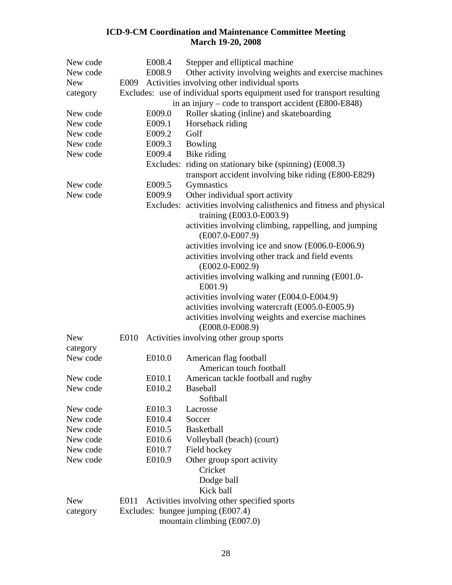| New code   |      | E008.4 | Stepper and elliptical machine                                            |
|------------|------|--------|---------------------------------------------------------------------------|
| New code   |      | E008.9 | Other activity involving weights and exercise machines                    |
| <b>New</b> |      |        | E009 Activities involving other individual sports                         |
| category   |      |        | Excludes: use of individual sports equipment used for transport resulting |
|            |      |        | in an injury – code to transport accident (E800-E848)                     |
| New code   |      | E009.0 | Roller skating (inline) and skateboarding                                 |
| New code   |      | E009.1 | Horseback riding                                                          |
| New code   |      | E009.2 | Golf                                                                      |
| New code   |      | E009.3 | Bowling                                                                   |
| New code   |      | E009.4 | Bike riding                                                               |
|            |      |        | Excludes: riding on stationary bike (spinning) (E008.3)                   |
|            |      |        | transport accident involving bike riding (E800-E829)                      |
| New code   |      | E009.5 | Gymnastics                                                                |
| New code   |      | E009.9 | Other individual sport activity                                           |
|            |      |        | Excludes: activities involving calisthenics and fitness and physical      |
|            |      |        | training (E003.0-E003.9)                                                  |
|            |      |        | activities involving climbing, rappelling, and jumping                    |
|            |      |        | $(E007.0-E007.9)$                                                         |
|            |      |        | activities involving ice and snow (E006.0-E006.9)                         |
|            |      |        | activities involving other track and field events                         |
|            |      |        | $(E002.0-E002.9)$                                                         |
|            |      |        | activities involving walking and running (E001.0-                         |
|            |      |        | E001.9                                                                    |
|            |      |        | activities involving water (E004.0-E004.9)                                |
|            |      |        | activities involving watercraft (E005.0-E005.9)                           |
|            |      |        | activities involving weights and exercise machines                        |
|            |      |        | $(E008.0-E008.9)$                                                         |
| <b>New</b> | E010 |        | Activities involving other group sports                                   |
| category   |      |        |                                                                           |
| New code   |      | E010.0 | American flag football                                                    |
|            |      |        | American touch football                                                   |
| New code   |      | E010.1 | American tackle football and rugby                                        |
| New code   |      | E010.2 | Baseball                                                                  |
|            |      |        | Softball                                                                  |
| New code   |      | E010.3 | Lacrosse                                                                  |
| New code   |      | E010.4 | Soccer                                                                    |
| New code   |      | E010.5 | <b>Basketball</b>                                                         |
| New code   |      | E010.6 | Volleyball (beach) (court)                                                |
| New code   |      | E010.7 | Field hockey                                                              |
| New code   |      | E010.9 | Other group sport activity                                                |
|            |      |        | Cricket                                                                   |
|            |      |        | Dodge ball                                                                |
|            |      |        | Kick ball                                                                 |
| <b>New</b> | E011 |        | Activities involving other specified sports                               |
| category   |      |        | Excludes: bungee jumping (E007.4)                                         |
|            |      |        | mountain climbing (E007.0)                                                |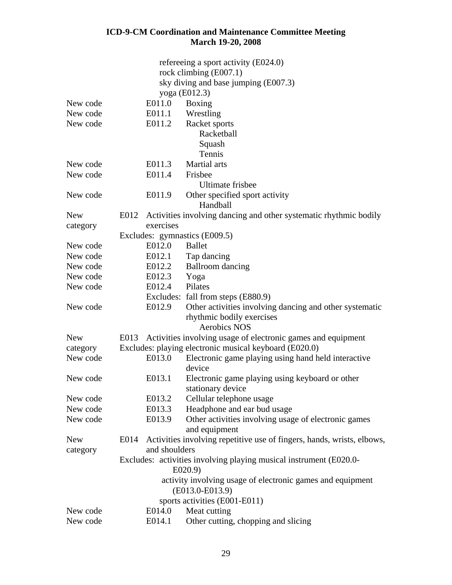|            |      |               | refereeing a sport activity (E024.0)                                         |
|------------|------|---------------|------------------------------------------------------------------------------|
|            |      |               | rock climbing (E007.1)                                                       |
|            |      |               | sky diving and base jumping (E007.3)                                         |
|            |      |               | yoga (E012.3)                                                                |
| New code   |      | E011.0        | Boxing                                                                       |
| New code   |      | E011.1        | Wrestling                                                                    |
| New code   |      | E011.2        | Racket sports                                                                |
|            |      |               | Racketball                                                                   |
|            |      |               | Squash                                                                       |
|            |      |               | Tennis                                                                       |
| New code   |      | E011.3        | Martial arts                                                                 |
| New code   |      | E011.4        | Frisbee                                                                      |
|            |      |               | <b>Ultimate frisbee</b>                                                      |
| New code   |      | E011.9        | Other specified sport activity                                               |
|            |      |               | Handball                                                                     |
| <b>New</b> | E012 |               | Activities involving dancing and other systematic rhythmic bodily            |
| category   |      | exercises     |                                                                              |
|            |      |               | Excludes: gymnastics (E009.5)                                                |
| New code   |      | E012.0        | <b>Ballet</b>                                                                |
| New code   |      | E012.1        | Tap dancing                                                                  |
| New code   |      | E012.2        | <b>Ballroom</b> dancing                                                      |
| New code   |      | E012.3        | Yoga                                                                         |
| New code   |      | E012.4        | Pilates                                                                      |
|            |      |               | Excludes: fall from steps (E880.9)                                           |
| New code   |      | E012.9        | Other activities involving dancing and other systematic                      |
|            |      |               | rhythmic bodily exercises                                                    |
|            |      |               | <b>Aerobics NOS</b>                                                          |
| <b>New</b> |      |               | E013 Activities involving usage of electronic games and equipment            |
| category   |      |               | Excludes: playing electronic musical keyboard (E020.0)                       |
| New code   |      | E013.0        | Electronic game playing using hand held interactive                          |
|            |      |               | device                                                                       |
| New code   |      | E013.1        | Electronic game playing using keyboard or other                              |
|            |      |               | stationary device                                                            |
| New code   |      | E013.2        | Cellular telephone usage                                                     |
| New code   |      | E013.3        | Headphone and ear bud usage                                                  |
| New code   |      | E013.9        | Other activities involving usage of electronic games                         |
|            |      |               | and equipment                                                                |
| <b>New</b> | E014 |               | Activities involving repetitive use of fingers, hands, wrists, elbows,       |
| category   |      | and shoulders |                                                                              |
|            |      |               | Excludes: activities involving playing musical instrument (E020.0-<br>E020.9 |
|            |      |               | activity involving usage of electronic games and equipment                   |
|            |      |               | (E013.0-E013.9)                                                              |
|            |      |               | sports activities (E001-E011)                                                |
| New code   |      | E014.0        | Meat cutting                                                                 |
| New code   |      | E014.1        | Other cutting, chopping and slicing                                          |
|            |      |               |                                                                              |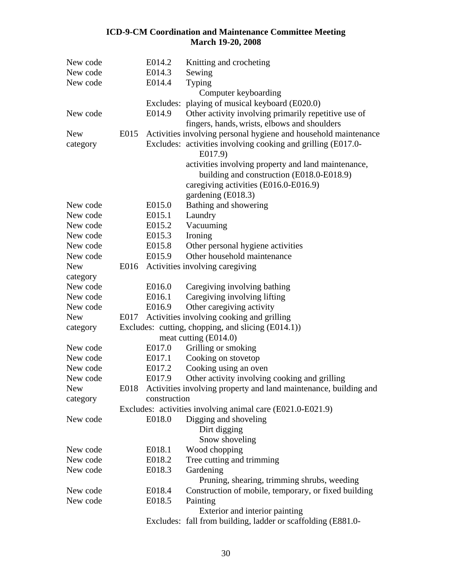| New code   |      | E014.2       | Knitting and crocheting                                                 |
|------------|------|--------------|-------------------------------------------------------------------------|
| New code   |      | E014.3       | Sewing                                                                  |
| New code   |      | E014.4       | Typing                                                                  |
|            |      |              | Computer keyboarding                                                    |
|            |      |              | Excludes: playing of musical keyboard (E020.0)                          |
| New code   |      | E014.9       | Other activity involving primarily repetitive use of                    |
|            |      |              | fingers, hands, wrists, elbows and shoulders                            |
| <b>New</b> | E015 |              | Activities involving personal hygiene and household maintenance         |
| category   |      |              | Excludes: activities involving cooking and grilling (E017.0-<br>E017.9) |
|            |      |              | activities involving property and land maintenance,                     |
|            |      |              | building and construction (E018.0-E018.9)                               |
|            |      |              | caregiving activities (E016.0-E016.9)                                   |
|            |      |              | gardening (E018.3)                                                      |
| New code   |      | E015.0       | Bathing and showering                                                   |
| New code   |      | E015.1       | Laundry                                                                 |
| New code   |      | E015.2       | Vacuuming                                                               |
| New code   |      | E015.3       | Ironing                                                                 |
| New code   |      | E015.8       | Other personal hygiene activities                                       |
| New code   |      | E015.9       | Other household maintenance                                             |
| <b>New</b> |      |              | E016 Activities involving caregiving                                    |
| category   |      |              |                                                                         |
| New code   |      | E016.0       | Caregiving involving bathing                                            |
| New code   |      | E016.1       | Caregiving involving lifting                                            |
| New code   |      | E016.9       | Other caregiving activity                                               |
| <b>New</b> | E017 |              | Activities involving cooking and grilling                               |
| category   |      |              | Excludes: cutting, chopping, and slicing (E014.1))                      |
|            |      |              | meat cutting (E014.0)                                                   |
| New code   |      | E017.0       | Grilling or smoking                                                     |
| New code   |      | E017.1       | Cooking on stovetop                                                     |
| New code   |      | E017.2       | Cooking using an oven                                                   |
| New code   |      | E017.9       | Other activity involving cooking and grilling                           |
| New        |      |              | E018 Activities involving property and land maintenance, building and   |
| category   |      | construction |                                                                         |
|            |      |              | Excludes: activities involving animal care (E021.0-E021.9)              |
| New code   |      | E018.0       | Digging and shoveling<br>Dirt digging                                   |
|            |      |              | Snow shoveling                                                          |
| New code   |      | E018.1       | Wood chopping                                                           |
| New code   |      | E018.2       | Tree cutting and trimming                                               |
| New code   |      | E018.3       | Gardening                                                               |
|            |      |              | Pruning, shearing, trimming shrubs, weeding                             |
| New code   |      | E018.4       | Construction of mobile, temporary, or fixed building                    |
| New code   |      | E018.5       | Painting                                                                |
|            |      |              | Exterior and interior painting                                          |
|            |      |              | Excludes: fall from building, ladder or scaffolding (E881.0-            |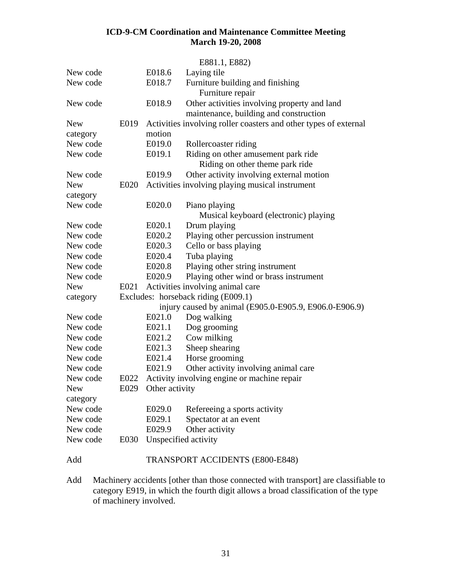|            |      |                     | E881.1, E882)                                                    |
|------------|------|---------------------|------------------------------------------------------------------|
| New code   |      | E018.6              | Laying tile                                                      |
| New code   |      | E018.7              | Furniture building and finishing                                 |
|            |      |                     | Furniture repair                                                 |
| New code   |      | E018.9              | Other activities involving property and land                     |
|            |      |                     | maintenance, building and construction                           |
| <b>New</b> | E019 |                     | Activities involving roller coasters and other types of external |
| category   |      | motion              |                                                                  |
| New code   |      | E019.0              | Rollercoaster riding                                             |
| New code   |      | E019.1              | Riding on other amusement park ride                              |
|            |      |                     | Riding on other theme park ride                                  |
| New code   |      | E019.9              | Other activity involving external motion                         |
| <b>New</b> | E020 |                     | Activities involving playing musical instrument                  |
| category   |      |                     |                                                                  |
| New code   |      | E020.0              | Piano playing                                                    |
|            |      |                     | Musical keyboard (electronic) playing                            |
| New code   |      | E020.1              | Drum playing                                                     |
| New code   |      | E020.2              | Playing other percussion instrument                              |
| New code   |      | E020.3              | Cello or bass playing                                            |
| New code   |      | E020.4              | Tuba playing                                                     |
| New code   |      | E020.8              | Playing other string instrument                                  |
| New code   |      | E020.9              | Playing other wind or brass instrument                           |
| <b>New</b> | E021 |                     | Activities involving animal care                                 |
| category   |      |                     | Excludes: horseback riding (E009.1)                              |
|            |      |                     | injury caused by animal (E905.0-E905.9, E906.0-E906.9)           |
| New code   |      | E021.0              | Dog walking                                                      |
| New code   |      | E021.1              | Dog grooming                                                     |
| New code   |      | E021.2              | Cow milking                                                      |
| New code   |      | E021.3              | Sheep shearing                                                   |
| New code   |      | E021.4              | Horse grooming                                                   |
| New code   |      | E021.9              | Other activity involving animal care                             |
| New code   | E022 |                     | Activity involving engine or machine repair                      |
| New        |      | E029 Other activity |                                                                  |
| category   |      |                     |                                                                  |
| New code   |      | E029.0              | Refereeing a sports activity                                     |
| New code   |      | E029.1              | Spectator at an event                                            |
| New code   |      | E029.9              | Other activity                                                   |
| New code   | E030 |                     | Unspecified activity                                             |
| Add        |      |                     | <b>TRANSPORT ACCIDENTS (E800-E848)</b>                           |

Add Machinery accidents [other than those connected with transport] are classifiable to category E919, in which the fourth digit allows a broad classification of the type of machinery involved.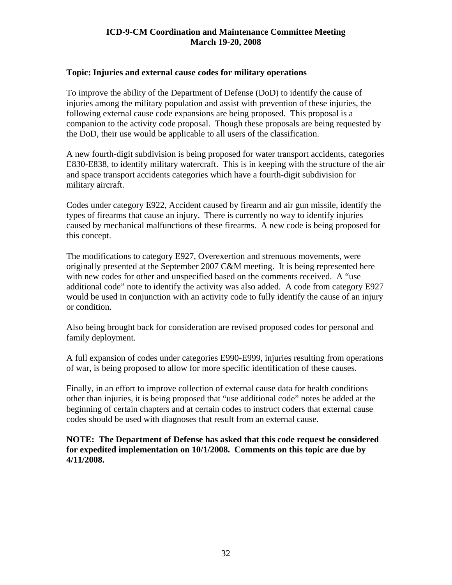#### <span id="page-31-0"></span>**Topic: Injuries and external cause codes for military operations**

To improve the ability of the Department of Defense (DoD) to identify the cause of injuries among the military population and assist with prevention of these injuries, the following external cause code expansions are being proposed. This proposal is a companion to the activity code proposal. Though these proposals are being requested by the DoD, their use would be applicable to all users of the classification.

A new fourth-digit subdivision is being proposed for water transport accidents, categories E830-E838, to identify military watercraft. This is in keeping with the structure of the air and space transport accidents categories which have a fourth-digit subdivision for military aircraft.

Codes under category E922, Accident caused by firearm and air gun missile, identify the types of firearms that cause an injury. There is currently no way to identify injuries caused by mechanical malfunctions of these firearms. A new code is being proposed for this concept.

The modifications to category E927, Overexertion and strenuous movements, were originally presented at the September 2007 C&M meeting. It is being represented here with new codes for other and unspecified based on the comments received. A "use additional code" note to identify the activity was also added. A code from category E927 would be used in conjunction with an activity code to fully identify the cause of an injury or condition.

Also being brought back for consideration are revised proposed codes for personal and family deployment.

A full expansion of codes under categories E990-E999, injuries resulting from operations of war, is being proposed to allow for more specific identification of these causes.

Finally, in an effort to improve collection of external cause data for health conditions other than injuries, it is being proposed that "use additional code" notes be added at the beginning of certain chapters and at certain codes to instruct coders that external cause codes should be used with diagnoses that result from an external cause.

**NOTE: The Department of Defense has asked that this code request be considered for expedited implementation on 10/1/2008. Comments on this topic are due by 4/11/2008.**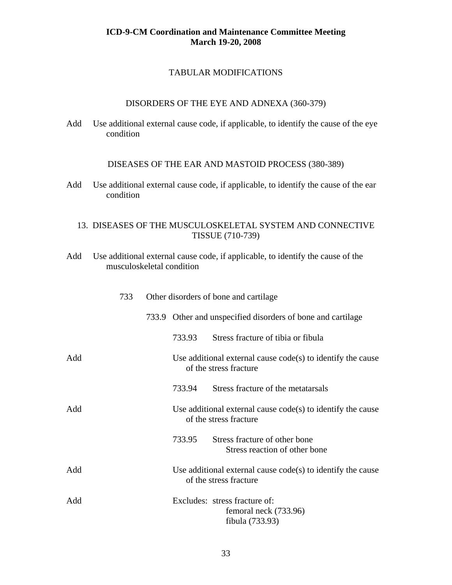#### TABULAR MODIFICATIONS

#### DISORDERS OF THE EYE AND ADNEXA (360-379)

Add Use additional external cause code, if applicable, to identify the cause of the eye condition

DISEASES OF THE EAR AND MASTOID PROCESS (380-389)

Add Use additional external cause code, if applicable, to identify the cause of the ear condition

#### 13. DISEASES OF THE MUSCULOSKELETAL SYSTEM AND CONNECTIVE TISSUE (710-739)

Add Use additional external cause code, if applicable, to identify the cause of the musculoskeletal condition

|     | 733 | Other disorders of bone and cartilage |        |                                                                                         |
|-----|-----|---------------------------------------|--------|-----------------------------------------------------------------------------------------|
|     |     |                                       |        | 733.9 Other and unspecified disorders of bone and cartilage                             |
|     |     |                                       | 733.93 | Stress fracture of tibia or fibula                                                      |
| Add |     |                                       |        | Use additional external cause $code(s)$ to identify the cause<br>of the stress fracture |
|     |     |                                       | 733.94 | Stress fracture of the metatarsals                                                      |
| Add |     |                                       |        | Use additional external cause $code(s)$ to identify the cause<br>of the stress fracture |
|     |     |                                       | 733.95 | Stress fracture of other bone<br>Stress reaction of other bone                          |
| Add |     |                                       |        | Use additional external cause $code(s)$ to identify the cause<br>of the stress fracture |
| Add |     |                                       |        | Excludes: stress fracture of:<br>femoral neck (733.96)<br>fibula (733.93)               |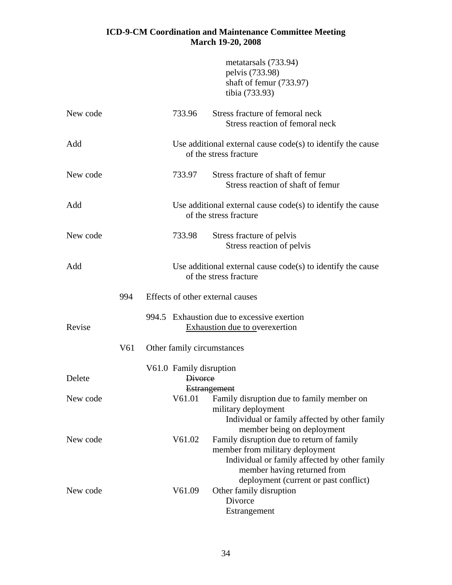|          |     |                                           | metatarsals (733.94)<br>pelvis (733.98)<br>shaft of femur (733.97)<br>tibia (733.93)                                                                                                       |
|----------|-----|-------------------------------------------|--------------------------------------------------------------------------------------------------------------------------------------------------------------------------------------------|
| New code |     | 733.96                                    | Stress fracture of femoral neck<br>Stress reaction of femoral neck                                                                                                                         |
| Add      |     |                                           | Use additional external cause $code(s)$ to identify the cause<br>of the stress fracture                                                                                                    |
| New code |     | 733.97                                    | Stress fracture of shaft of femur<br>Stress reaction of shaft of femur                                                                                                                     |
| Add      |     |                                           | Use additional external cause $code(s)$ to identify the cause<br>of the stress fracture                                                                                                    |
| New code |     | 733.98                                    | Stress fracture of pelvis<br>Stress reaction of pelvis                                                                                                                                     |
| Add      |     |                                           | Use additional external cause $code(s)$ to identify the cause<br>of the stress fracture                                                                                                    |
|          | 994 | Effects of other external causes          |                                                                                                                                                                                            |
| Revise   |     |                                           | 994.5 Exhaustion due to excessive exertion<br><b>Exhaustion due to overexertion</b>                                                                                                        |
|          | V61 | Other family circumstances                |                                                                                                                                                                                            |
| Delete   |     | V61.0 Family disruption<br><b>Divorce</b> |                                                                                                                                                                                            |
| New code |     | V61.01                                    | <b>Estrangement</b><br>Family disruption due to family member on<br>military deployment<br>Individual or family affected by other family                                                   |
| New code |     | V61.02                                    | member being on deployment<br>Family disruption due to return of family<br>member from military deployment<br>Individual or family affected by other family<br>member having returned from |
| New code |     | V61.09                                    | deployment (current or past conflict)<br>Other family disruption<br>Divorce<br>Estrangement                                                                                                |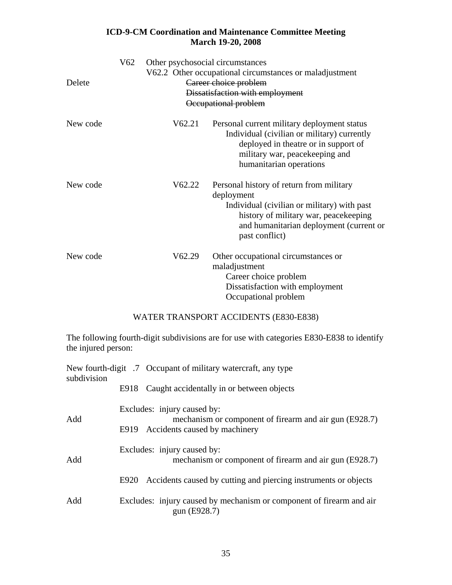| Delete   | V62 | Other psychosocial circumstances | V62.2 Other occupational circumstances or maladjustment<br>Career choice problem<br>Dissatisfaction with employment<br>Occupational problem                                                                 |
|----------|-----|----------------------------------|-------------------------------------------------------------------------------------------------------------------------------------------------------------------------------------------------------------|
| New code |     | V62.21                           | Personal current military deployment status<br>Individual (civilian or military) currently<br>deployed in the atre or in support of<br>military war, peacekeeping and<br>humanitarian operations            |
| New code |     | V62.22                           | Personal history of return from military<br>deployment<br>Individual (civilian or military) with past<br>history of military war, peacekeeping<br>and humanitarian deployment (current or<br>past conflict) |
| New code |     | V62.29                           | Other occupational circumstances or<br>maladjustment<br>Career choice problem<br>Dissatisfaction with employment<br>Occupational problem                                                                    |

#### WATER TRANSPORT ACCIDENTS (E830-E838)

The following fourth-digit subdivisions are for use with categories E830-E838 to identify the injured person:

| subdivision | New fourth-digit .7 Occupant of military watercraft, any type                         |
|-------------|---------------------------------------------------------------------------------------|
|             | Caught accidentally in or between objects<br>E918                                     |
| Add         | Excludes: injury caused by:<br>mechanism or component of firearm and air gun (E928.7) |
|             | Accidents caused by machinery<br>E919                                                 |
| Add         | Excludes: injury caused by:<br>mechanism or component of firearm and air gun (E928.7) |
|             | Accidents caused by cutting and piercing instruments or objects<br>E920               |
|             |                                                                                       |
| Add         | Excludes: injury caused by mechanism or component of firearm and air<br>gun (E928.7)  |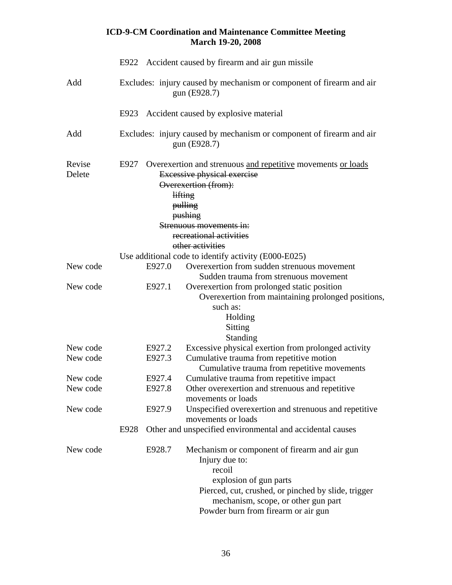|                  |                                                                                      |        | <b>March 19-20, 2008</b>                                                                                                                                                                                                                 |  |
|------------------|--------------------------------------------------------------------------------------|--------|------------------------------------------------------------------------------------------------------------------------------------------------------------------------------------------------------------------------------------------|--|
|                  |                                                                                      |        | E922 Accident caused by firearm and air gun missile                                                                                                                                                                                      |  |
| Add              | Excludes: injury caused by mechanism or component of firearm and air<br>gun (E928.7) |        |                                                                                                                                                                                                                                          |  |
|                  |                                                                                      |        | E923 Accident caused by explosive material                                                                                                                                                                                               |  |
| Add              | Excludes: injury caused by mechanism or component of firearm and air<br>gun (E928.7) |        |                                                                                                                                                                                                                                          |  |
| Revise<br>Delete | E927                                                                                 |        | Overexertion and strenuous and repetitive movements or loads<br><b>Excessive physical exercise</b><br>Overexertion (from):<br>lifting<br>pulling<br>pushing<br>Strenuous movements in:<br>recreational activities<br>other activities    |  |
|                  |                                                                                      |        | Use additional code to identify activity (E000-E025)                                                                                                                                                                                     |  |
| New code         |                                                                                      | E927.0 | Overexertion from sudden strenuous movement                                                                                                                                                                                              |  |
| New code         |                                                                                      | E927.1 | Sudden trauma from strenuous movement<br>Overexertion from prolonged static position<br>Overexertion from maintaining prolonged positions,<br>such as:<br>Holding<br>Sitting<br>Standing                                                 |  |
| New code         |                                                                                      | E927.2 | Excessive physical exertion from prolonged activity                                                                                                                                                                                      |  |
| New code         |                                                                                      | E927.3 | Cumulative trauma from repetitive motion<br>Cumulative trauma from repetitive movements                                                                                                                                                  |  |
| New code         |                                                                                      | E927.4 | Cumulative trauma from repetitive impact                                                                                                                                                                                                 |  |
| New code         |                                                                                      | E927.8 | Other overexertion and strenuous and repetitive<br>movements or loads                                                                                                                                                                    |  |
| New code         |                                                                                      | E927.9 | Unspecified overexertion and strenuous and repetitive<br>movements or loads                                                                                                                                                              |  |
|                  | E928                                                                                 |        | Other and unspecified environmental and accidental causes                                                                                                                                                                                |  |
| New code         |                                                                                      | E928.7 | Mechanism or component of firearm and air gun<br>Injury due to:<br>recoil<br>explosion of gun parts<br>Pierced, cut, crushed, or pinched by slide, trigger<br>mechanism, scope, or other gun part<br>Powder burn from firearm or air gun |  |

## **ICD-9-CM Coordination and Maintenance Committee Meeting**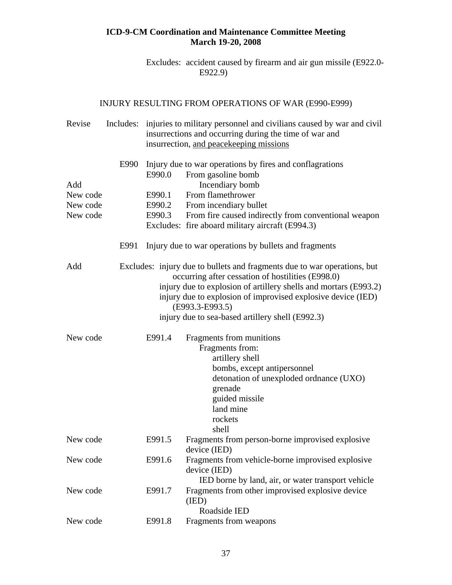Excludes: accident caused by firearm and air gun missile (E922.0- E922.9)

# INJURY RESULTING FROM OPERATIONS OF WAR (E990-E999)

| Revise   | Includes: | injuries to military personnel and civilians caused by war and civil<br>insurrections and occurring during the time of war and<br>insurrection, and peacekeeping missions                                                                                                                                                                |                                                                   |  |  |
|----------|-----------|------------------------------------------------------------------------------------------------------------------------------------------------------------------------------------------------------------------------------------------------------------------------------------------------------------------------------------------|-------------------------------------------------------------------|--|--|
| Add      | E990      | Injury due to war operations by fires and conflagrations<br>E990.0<br>From gasoline bomb<br>Incendiary bomb                                                                                                                                                                                                                              |                                                                   |  |  |
| New code |           | E990.1                                                                                                                                                                                                                                                                                                                                   | From flamethrower                                                 |  |  |
| New code |           | E990.2                                                                                                                                                                                                                                                                                                                                   | From incendiary bullet                                            |  |  |
| New code |           | E990.3                                                                                                                                                                                                                                                                                                                                   | From fire caused indirectly from conventional weapon              |  |  |
|          |           |                                                                                                                                                                                                                                                                                                                                          | Excludes: fire aboard military aircraft (E994.3)                  |  |  |
|          | E991      |                                                                                                                                                                                                                                                                                                                                          | Injury due to war operations by bullets and fragments             |  |  |
| Add      |           | Excludes: injury due to bullets and fragments due to war operations, but<br>occurring after cessation of hostilities (E998.0)<br>injury due to explosion of artillery shells and mortars (E993.2)<br>injury due to explosion of improvised explosive device (IED)<br>(E993.3-E993.5)<br>injury due to sea-based artillery shell (E992.3) |                                                                   |  |  |
| New code |           | E991.4                                                                                                                                                                                                                                                                                                                                   | Fragments from munitions                                          |  |  |
|          |           |                                                                                                                                                                                                                                                                                                                                          | Fragments from:                                                   |  |  |
|          |           |                                                                                                                                                                                                                                                                                                                                          | artillery shell                                                   |  |  |
|          |           |                                                                                                                                                                                                                                                                                                                                          | bombs, except antipersonnel                                       |  |  |
|          |           |                                                                                                                                                                                                                                                                                                                                          | detonation of unexploded ordnance (UXO)                           |  |  |
|          |           |                                                                                                                                                                                                                                                                                                                                          | grenade                                                           |  |  |
|          |           |                                                                                                                                                                                                                                                                                                                                          | guided missile                                                    |  |  |
|          |           |                                                                                                                                                                                                                                                                                                                                          | land mine                                                         |  |  |
|          |           |                                                                                                                                                                                                                                                                                                                                          | rockets                                                           |  |  |
|          |           |                                                                                                                                                                                                                                                                                                                                          | shell                                                             |  |  |
| New code |           | E991.5                                                                                                                                                                                                                                                                                                                                   | Fragments from person-borne improvised explosive                  |  |  |
| New code |           | E991.6                                                                                                                                                                                                                                                                                                                                   | device (IED)<br>Fragments from vehicle-borne improvised explosive |  |  |
|          |           |                                                                                                                                                                                                                                                                                                                                          | device (IED)                                                      |  |  |
|          |           |                                                                                                                                                                                                                                                                                                                                          | IED borne by land, air, or water transport vehicle                |  |  |
| New code |           | E991.7                                                                                                                                                                                                                                                                                                                                   | Fragments from other improvised explosive device                  |  |  |
|          |           |                                                                                                                                                                                                                                                                                                                                          | (IED)                                                             |  |  |
|          |           |                                                                                                                                                                                                                                                                                                                                          | Roadside IED                                                      |  |  |
| New code |           | E991.8                                                                                                                                                                                                                                                                                                                                   | Fragments from weapons                                            |  |  |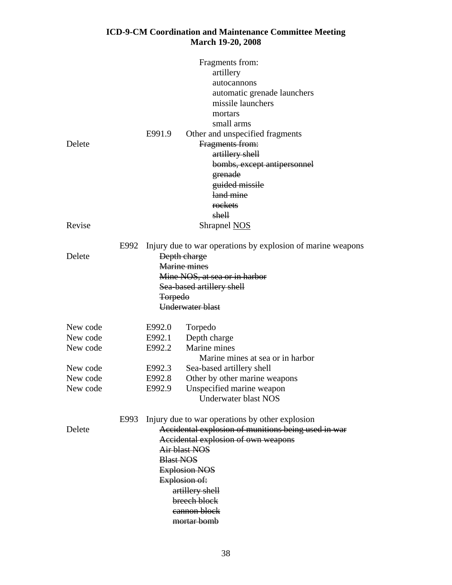|          |      |                  | Fragments from:                                             |  |  |  |
|----------|------|------------------|-------------------------------------------------------------|--|--|--|
|          |      |                  | artillery                                                   |  |  |  |
|          |      |                  | autocannons                                                 |  |  |  |
|          |      |                  | automatic grenade launchers                                 |  |  |  |
|          |      |                  | missile launchers                                           |  |  |  |
|          |      |                  | mortars                                                     |  |  |  |
|          |      |                  | small arms                                                  |  |  |  |
|          |      | E991.9           | Other and unspecified fragments                             |  |  |  |
| Delete   |      |                  | Fragments from:                                             |  |  |  |
|          |      |                  | artillery shell                                             |  |  |  |
|          |      |                  | bombs, except antipersonnel                                 |  |  |  |
|          |      |                  | grenade                                                     |  |  |  |
|          |      |                  | guided missile                                              |  |  |  |
|          |      |                  | land mine                                                   |  |  |  |
|          |      |                  | rockets                                                     |  |  |  |
|          |      |                  | shell                                                       |  |  |  |
| Revise   |      |                  | Shrapnel NOS                                                |  |  |  |
|          | E992 |                  | Injury due to war operations by explosion of marine weapons |  |  |  |
| Delete   |      |                  | Depth charge                                                |  |  |  |
|          |      | Marine mines     |                                                             |  |  |  |
|          |      |                  | Mine NOS, at sea or in harbor                               |  |  |  |
|          |      |                  | Sea based artillery shell                                   |  |  |  |
|          |      | <b>Torpedo</b>   |                                                             |  |  |  |
|          |      |                  | Underwater blast                                            |  |  |  |
| New code |      | E992.0           | Torpedo                                                     |  |  |  |
| New code |      | E992.1           | Depth charge                                                |  |  |  |
| New code |      | E992.2           | Marine mines                                                |  |  |  |
|          |      |                  | Marine mines at sea or in harbor                            |  |  |  |
| New code |      | E992.3           | Sea-based artillery shell                                   |  |  |  |
| New code |      | E992.8           | Other by other marine weapons                               |  |  |  |
| New code |      | E992.9           | Unspecified marine weapon                                   |  |  |  |
|          |      |                  | Underwater blast NOS                                        |  |  |  |
|          | E993 |                  | Injury due to war operations by other explosion             |  |  |  |
| Delete   |      |                  | Accidental explosion of munitions being used in war         |  |  |  |
|          |      |                  | Accidental explosion of own weapons                         |  |  |  |
|          |      |                  | Air blast NOS                                               |  |  |  |
|          |      | <b>Blast NOS</b> |                                                             |  |  |  |
|          |      |                  | <b>Explosion NOS</b>                                        |  |  |  |
|          |      |                  | Explosion of:                                               |  |  |  |
|          |      |                  | artillery shell                                             |  |  |  |
|          |      |                  | breech block                                                |  |  |  |
|          |      |                  | eannon block                                                |  |  |  |
|          |      |                  | mortar bomb                                                 |  |  |  |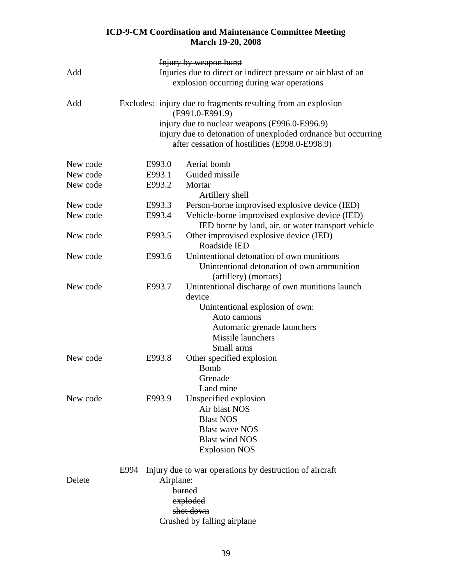|          |                                                                                                             | <b>Injury by weapon burst</b>                                                                                   |  |  |  |
|----------|-------------------------------------------------------------------------------------------------------------|-----------------------------------------------------------------------------------------------------------------|--|--|--|
| Add      | Injuries due to direct or indirect pressure or air blast of an<br>explosion occurring during war operations |                                                                                                                 |  |  |  |
| Add      |                                                                                                             | Excludes: injury due to fragments resulting from an explosion<br>(E991.0-E991.9)                                |  |  |  |
|          |                                                                                                             | injury due to nuclear weapons (E996.0-E996.9)                                                                   |  |  |  |
|          |                                                                                                             | injury due to detonation of unexploded ordnance but occurring<br>after cessation of hostilities (E998.0-E998.9) |  |  |  |
| New code | E993.0                                                                                                      | Aerial bomb                                                                                                     |  |  |  |
| New code | E993.1                                                                                                      | Guided missile                                                                                                  |  |  |  |
| New code | E993.2                                                                                                      | Mortar                                                                                                          |  |  |  |
|          |                                                                                                             | Artillery shell                                                                                                 |  |  |  |
| New code | E993.3                                                                                                      | Person-borne improvised explosive device (IED)                                                                  |  |  |  |
| New code | E993.4                                                                                                      | Vehicle-borne improvised explosive device (IED)                                                                 |  |  |  |
|          |                                                                                                             | IED borne by land, air, or water transport vehicle                                                              |  |  |  |
| New code | E993.5                                                                                                      | Other improvised explosive device (IED)                                                                         |  |  |  |
|          |                                                                                                             | Roadside IED                                                                                                    |  |  |  |
| New code | E993.6                                                                                                      | Unintentional detonation of own munitions                                                                       |  |  |  |
|          |                                                                                                             | Unintentional detonation of own ammunition                                                                      |  |  |  |
|          |                                                                                                             | (artillery) (mortars)                                                                                           |  |  |  |
| New code | E993.7                                                                                                      | Unintentional discharge of own munitions launch                                                                 |  |  |  |
|          |                                                                                                             | device                                                                                                          |  |  |  |
|          |                                                                                                             | Unintentional explosion of own:<br>Auto cannons                                                                 |  |  |  |
|          |                                                                                                             | Automatic grenade launchers                                                                                     |  |  |  |
|          |                                                                                                             | Missile launchers                                                                                               |  |  |  |
|          |                                                                                                             | Small arms                                                                                                      |  |  |  |
| New code | E993.8                                                                                                      | Other specified explosion                                                                                       |  |  |  |
|          |                                                                                                             | <b>Bomb</b>                                                                                                     |  |  |  |
|          |                                                                                                             | Grenade                                                                                                         |  |  |  |
|          |                                                                                                             | Land mine                                                                                                       |  |  |  |
| New code | E993.9                                                                                                      | Unspecified explosion                                                                                           |  |  |  |
|          |                                                                                                             | Air blast NOS                                                                                                   |  |  |  |
|          |                                                                                                             | <b>Blast NOS</b>                                                                                                |  |  |  |
|          |                                                                                                             | <b>Blast wave NOS</b>                                                                                           |  |  |  |
|          |                                                                                                             | <b>Blast wind NOS</b>                                                                                           |  |  |  |
|          |                                                                                                             | <b>Explosion NOS</b>                                                                                            |  |  |  |
|          | E994                                                                                                        | Injury due to war operations by destruction of aircraft                                                         |  |  |  |
| Delete   |                                                                                                             | Airplane:                                                                                                       |  |  |  |
|          |                                                                                                             | burned                                                                                                          |  |  |  |
|          |                                                                                                             | exploded                                                                                                        |  |  |  |
|          |                                                                                                             | shot down                                                                                                       |  |  |  |
|          |                                                                                                             | Crushed by falling airplane                                                                                     |  |  |  |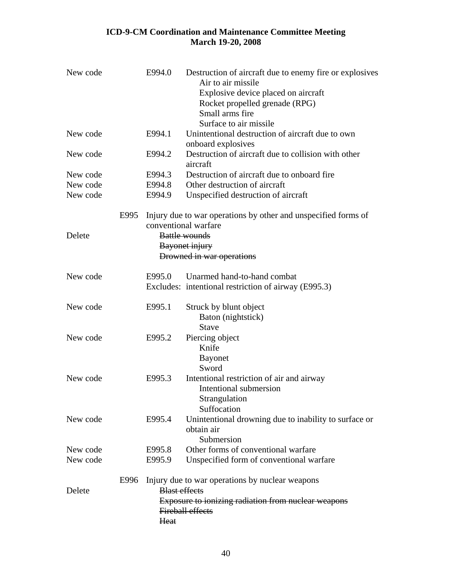| New code | E994.0 | Destruction of aircraft due to enemy fire or explosives<br>Air to air missile  |
|----------|--------|--------------------------------------------------------------------------------|
|          |        | Explosive device placed on aircraft                                            |
|          |        | Rocket propelled grenade (RPG)                                                 |
|          |        | Small arms fire                                                                |
|          |        | Surface to air missile                                                         |
| New code | E994.1 | Unintentional destruction of aircraft due to own                               |
|          |        | onboard explosives                                                             |
| New code | E994.2 | Destruction of aircraft due to collision with other                            |
|          |        | aircraft                                                                       |
| New code | E994.3 | Destruction of aircraft due to onboard fire                                    |
| New code | E994.8 | Other destruction of aircraft                                                  |
| New code | E994.9 | Unspecified destruction of aircraft                                            |
|          | E995   | Injury due to war operations by other and unspecified forms of                 |
|          |        | conventional warfare                                                           |
| Delete   |        | <b>Battle wounds</b>                                                           |
|          |        | Bayonet injury                                                                 |
|          |        | Drowned in war operations                                                      |
| New code | E995.0 | Unarmed hand-to-hand combat                                                    |
|          |        | Excludes: intentional restriction of airway (E995.3)                           |
| New code | E995.1 | Struck by blunt object                                                         |
|          |        | Baton (nightstick)                                                             |
|          |        | <b>Stave</b>                                                                   |
| New code | E995.2 | Piercing object                                                                |
|          |        | Knife                                                                          |
|          |        | <b>Bayonet</b>                                                                 |
|          |        | Sword                                                                          |
| New code | E995.3 | Intentional restriction of air and airway                                      |
|          |        | Intentional submersion                                                         |
|          |        | Strangulation                                                                  |
|          |        | Suffocation                                                                    |
| New code | E995.4 | Unintentional drowning due to inability to surface or                          |
|          |        | obtain air                                                                     |
|          |        | Submersion                                                                     |
| New code | E995.8 | Other forms of conventional warfare                                            |
| New code | E995.9 | Unspecified form of conventional warfare                                       |
|          | E996   | Injury due to war operations by nuclear weapons                                |
| Delete   |        | <b>Blast effects</b>                                                           |
|          |        | Exposure to ionizing radiation from nuclear weapons<br><b>Fireball effects</b> |
|          | Heat   |                                                                                |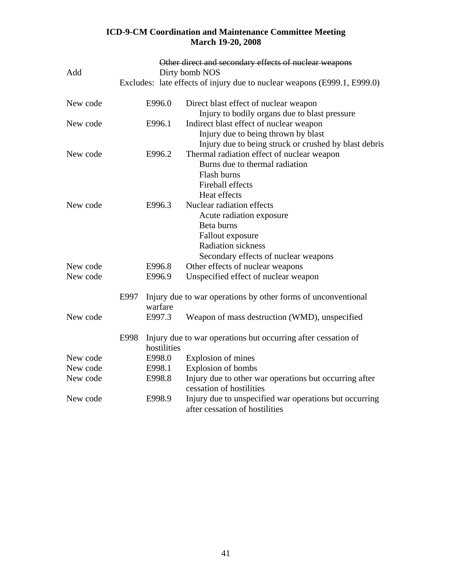|          |                |             | Other direct and secondary effects of nuclear weapons                                    |
|----------|----------------|-------------|------------------------------------------------------------------------------------------|
| Add      | Dirty bomb NOS |             |                                                                                          |
|          |                |             | Excludes: late effects of injury due to nuclear weapons (E999.1, E999.0)                 |
| New code |                | E996.0      | Direct blast effect of nuclear weapon                                                    |
|          |                |             | Injury to bodily organs due to blast pressure                                            |
| New code |                | E996.1      | Indirect blast effect of nuclear weapon                                                  |
|          |                |             | Injury due to being thrown by blast                                                      |
|          |                |             | Injury due to being struck or crushed by blast debris                                    |
| New code |                | E996.2      | Thermal radiation effect of nuclear weapon                                               |
|          |                |             | Burns due to thermal radiation                                                           |
|          |                |             | Flash burns                                                                              |
|          |                |             | <b>Fireball effects</b>                                                                  |
|          |                |             | Heat effects                                                                             |
| New code |                | E996.3      | Nuclear radiation effects                                                                |
|          |                |             | Acute radiation exposure                                                                 |
|          |                |             | Beta burns                                                                               |
|          |                |             | Fallout exposure                                                                         |
|          |                |             | <b>Radiation sickness</b>                                                                |
|          |                |             | Secondary effects of nuclear weapons                                                     |
| New code |                | E996.8      | Other effects of nuclear weapons                                                         |
| New code |                | E996.9      | Unspecified effect of nuclear weapon                                                     |
|          | E997           | warfare     | Injury due to war operations by other forms of unconventional                            |
| New code |                | E997.3      | Weapon of mass destruction (WMD), unspecified                                            |
|          | E998           |             | Injury due to war operations but occurring after cessation of                            |
|          |                | hostilities |                                                                                          |
| New code |                | E998.0      | Explosion of mines                                                                       |
| New code |                | E998.1      | Explosion of bombs                                                                       |
| New code |                | E998.8      | Injury due to other war operations but occurring after<br>cessation of hostilities       |
| New code |                | E998.9      | Injury due to unspecified war operations but occurring<br>after cessation of hostilities |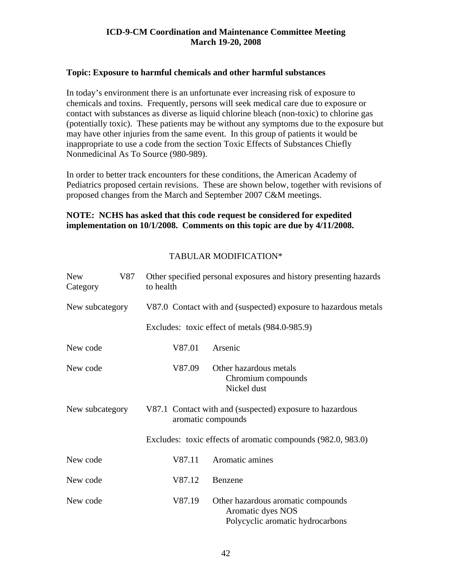#### **Topic: Exposure to harmful chemicals and other harmful substances**

In today's environment there is an unfortunate ever increasing risk of exposure to chemicals and toxins. Frequently, persons will seek medical care due to exposure or contact with substances as diverse as liquid chlorine bleach (non-toxic) to chlorine gas (potentially toxic). These patients may be without any symptoms due to the exposure but may have other injuries from the same event. In this group of patients it would be inappropriate to use a code from the section Toxic Effects of Substances Chiefly Nonmedicinal As To Source (980-989).

In order to better track encounters for these conditions, the American Academy of Pediatrics proposed certain revisions. These are shown below, together with revisions of proposed changes from the March and September 2007 C&M meetings.

## **NOTE: NCHS has asked that this code request be considered for expedited implementation on 10/1/2008. Comments on this topic are due by 4/11/2008.**

| <b>New</b><br>Category | V87 | Other specified personal exposures and history presenting hazards<br>to health |                                                                                             |  |  |  |  |
|------------------------|-----|--------------------------------------------------------------------------------|---------------------------------------------------------------------------------------------|--|--|--|--|
| New subcategory        |     |                                                                                | V87.0 Contact with and (suspected) exposure to hazardous metals                             |  |  |  |  |
|                        |     |                                                                                | Excludes: toxic effect of metals (984.0-985.9)                                              |  |  |  |  |
| New code               |     | V87.01                                                                         | Arsenic                                                                                     |  |  |  |  |
| New code               |     | V87.09                                                                         | Other hazardous metals<br>Chromium compounds<br>Nickel dust                                 |  |  |  |  |
| New subcategory        |     | V87.1 Contact with and (suspected) exposure to hazardous<br>aromatic compounds |                                                                                             |  |  |  |  |
|                        |     |                                                                                | Excludes: toxic effects of aromatic compounds (982.0, 983.0)                                |  |  |  |  |
| New code               |     | V87.11                                                                         | Aromatic amines                                                                             |  |  |  |  |
| New code               |     | V87.12                                                                         | Benzene                                                                                     |  |  |  |  |
| New code               |     | V87.19                                                                         | Other hazardous aromatic compounds<br>Aromatic dyes NOS<br>Polycyclic aromatic hydrocarbons |  |  |  |  |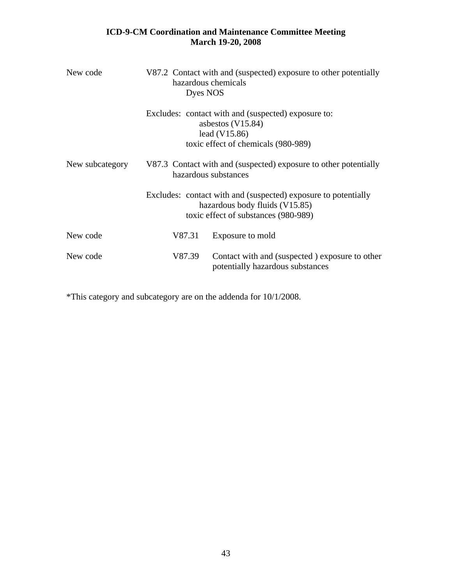| New code        | V87.2 Contact with and (suspected) exposure to other potentially<br>hazardous chemicals<br>Dyes NOS |                                                                                                                                          |  |  |  |
|-----------------|-----------------------------------------------------------------------------------------------------|------------------------------------------------------------------------------------------------------------------------------------------|--|--|--|
|                 |                                                                                                     | Excludes: contact with and (suspected) exposure to:<br>asbestos $(V15.84)$<br>lead $(V15.86)$<br>toxic effect of chemicals (980-989)     |  |  |  |
| New subcategory | V87.3 Contact with and (suspected) exposure to other potentially<br>hazardous substances            |                                                                                                                                          |  |  |  |
|                 |                                                                                                     | Excludes: contact with and (suspected) exposure to potentially<br>hazardous body fluids (V15.85)<br>toxic effect of substances (980-989) |  |  |  |
| New code        | V87.31                                                                                              | Exposure to mold                                                                                                                         |  |  |  |
| New code        | V87.39                                                                                              | Contact with and (suspected) exposure to other<br>potentially hazardous substances                                                       |  |  |  |

\*This category and subcategory are on the addenda for 10/1/2008.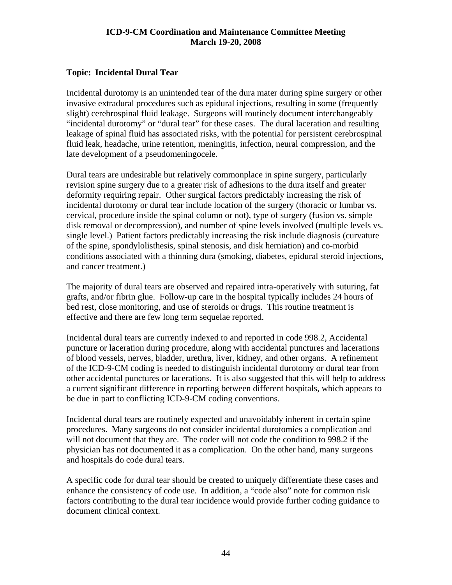## **Topic: Incidental Dural Tear**

Incidental durotomy is an unintended tear of the dura mater during spine surgery or other invasive extradural procedures such as epidural injections, resulting in some (frequently slight) cerebrospinal fluid leakage. Surgeons will routinely document interchangeably "incidental durotomy" or "dural tear" for these cases. The dural laceration and resulting leakage of spinal fluid has associated risks, with the potential for persistent cerebrospinal fluid leak, headache, urine retention, meningitis, infection, neural compression, and the late development of a pseudomeningocele.

Dural tears are undesirable but relatively commonplace in spine surgery, particularly revision spine surgery due to a greater risk of adhesions to the dura itself and greater deformity requiring repair. Other surgical factors predictably increasing the risk of incidental durotomy or dural tear include location of the surgery (thoracic or lumbar vs. cervical, procedure inside the spinal column or not), type of surgery (fusion vs. simple disk removal or decompression), and number of spine levels involved (multiple levels vs. single level.) Patient factors predictably increasing the risk include diagnosis (curvature of the spine, spondylolisthesis, spinal stenosis, and disk herniation) and co-morbid conditions associated with a thinning dura (smoking, diabetes, epidural steroid injections, and cancer treatment.)

The majority of dural tears are observed and repaired intra-operatively with suturing, fat grafts, and/or fibrin glue. Follow-up care in the hospital typically includes 24 hours of bed rest, close monitoring, and use of steroids or drugs. This routine treatment is effective and there are few long term sequelae reported.

Incidental dural tears are currently indexed to and reported in code 998.2, Accidental puncture or laceration during procedure, along with accidental punctures and lacerations of blood vessels, nerves, bladder, urethra, liver, kidney, and other organs. A refinement of the ICD-9-CM coding is needed to distinguish incidental durotomy or dural tear from other accidental punctures or lacerations. It is also suggested that this will help to address a current significant difference in reporting between different hospitals, which appears to be due in part to conflicting ICD-9-CM coding conventions.

Incidental dural tears are routinely expected and unavoidably inherent in certain spine procedures. Many surgeons do not consider incidental durotomies a complication and will not document that they are. The coder will not code the condition to 998.2 if the physician has not documented it as a complication. On the other hand, many surgeons and hospitals do code dural tears.

A specific code for dural tear should be created to uniquely differentiate these cases and enhance the consistency of code use. In addition, a "code also" note for common risk factors contributing to the dural tear incidence would provide further coding guidance to document clinical context.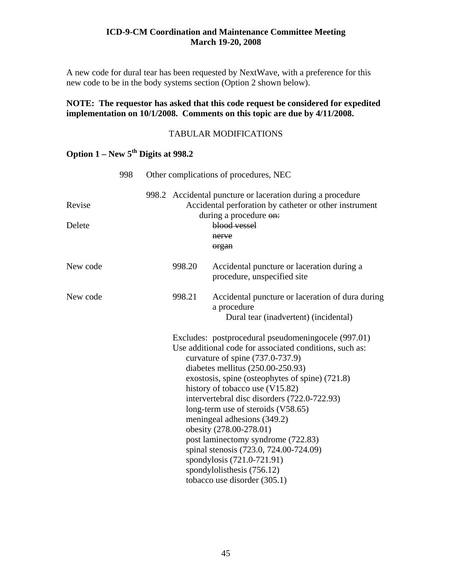A new code for dural tear has been requested by NextWave, with a preference for this new code to be in the body systems section (Option 2 shown below).

## **NOTE: The requestor has asked that this code request be considered for expedited implementation on 10/1/2008. Comments on this topic are due by 4/11/2008.**

## TABULAR MODIFICATIONS

|                  | 998 | Other complications of procedures, NEC |        |                                                                                                                                                                                                                                                                                                                                                                                                                                                                                                                                                                                                              |
|------------------|-----|----------------------------------------|--------|--------------------------------------------------------------------------------------------------------------------------------------------------------------------------------------------------------------------------------------------------------------------------------------------------------------------------------------------------------------------------------------------------------------------------------------------------------------------------------------------------------------------------------------------------------------------------------------------------------------|
| Revise<br>Delete |     |                                        |        | 998.2 Accidental puncture or laceration during a procedure<br>Accidental perforation by catheter or other instrument<br>during a procedure on:<br>blood vessel<br>nerve<br>organ                                                                                                                                                                                                                                                                                                                                                                                                                             |
| New code         |     |                                        | 998.20 | Accidental puncture or laceration during a<br>procedure, unspecified site                                                                                                                                                                                                                                                                                                                                                                                                                                                                                                                                    |
| New code         |     |                                        | 998.21 | Accidental puncture or laceration of dura during<br>a procedure<br>Dural tear (inadvertent) (incidental)                                                                                                                                                                                                                                                                                                                                                                                                                                                                                                     |
|                  |     |                                        |        | Excludes: postprocedural pseudomening ocele (997.01)<br>Use additional code for associated conditions, such as:<br>curvature of spine (737.0-737.9)<br>diabetes mellitus $(250.00-250.93)$<br>exostosis, spine (osteophytes of spine) (721.8)<br>history of tobacco use (V15.82)<br>intervertebral disc disorders (722.0-722.93)<br>long-term use of steroids (V58.65)<br>meningeal adhesions (349.2)<br>obesity (278.00-278.01)<br>post laminectomy syndrome (722.83)<br>spinal stenosis (723.0, 724.00-724.09)<br>spondylosis (721.0-721.91)<br>spondylolisthesis (756.12)<br>tobacco use disorder (305.1) |

# **Option 1 – New 5th Digits at 998.2**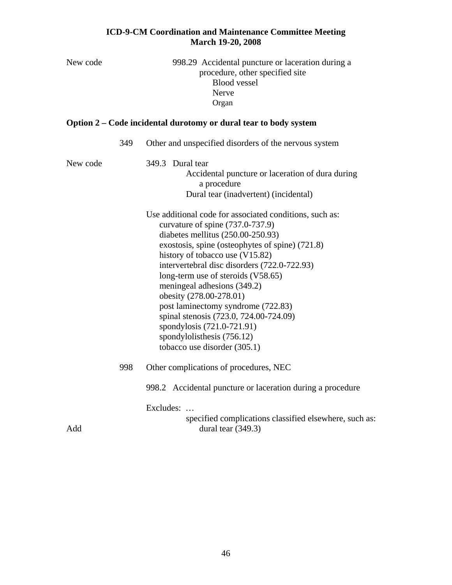| New code |     | 998.29 Accidental puncture or laceration during a<br>procedure, other specified site<br><b>Blood vessel</b><br>Nerve<br>Organ                                                                                                                                                                                                                                                                                                                                                                                                                          |
|----------|-----|--------------------------------------------------------------------------------------------------------------------------------------------------------------------------------------------------------------------------------------------------------------------------------------------------------------------------------------------------------------------------------------------------------------------------------------------------------------------------------------------------------------------------------------------------------|
|          |     | Option 2 – Code incidental durotomy or dural tear to body system                                                                                                                                                                                                                                                                                                                                                                                                                                                                                       |
|          | 349 | Other and unspecified disorders of the nervous system                                                                                                                                                                                                                                                                                                                                                                                                                                                                                                  |
| New code |     | 349.3 Dural tear<br>Accidental puncture or laceration of dura during<br>a procedure<br>Dural tear (inadvertent) (incidental)                                                                                                                                                                                                                                                                                                                                                                                                                           |
|          |     | Use additional code for associated conditions, such as:<br>curvature of spine $(737.0-737.9)$<br>diabetes mellitus $(250.00-250.93)$<br>exostosis, spine (osteophytes of spine) (721.8)<br>history of tobacco use (V15.82)<br>intervertebral disc disorders (722.0-722.93)<br>long-term use of steroids (V58.65)<br>meningeal adhesions (349.2)<br>obesity (278.00-278.01)<br>post laminectomy syndrome (722.83)<br>spinal stenosis (723.0, 724.00-724.09)<br>spondylosis (721.0-721.91)<br>spondylolisthesis (756.12)<br>tobacco use disorder (305.1) |
|          | 998 | Other complications of procedures, NEC                                                                                                                                                                                                                                                                                                                                                                                                                                                                                                                 |
| Add      |     | 998.2 Accidental puncture or laceration during a procedure<br>Excludes:<br>specified complications classified elsewhere, such as:<br>dural tear $(349.3)$                                                                                                                                                                                                                                                                                                                                                                                              |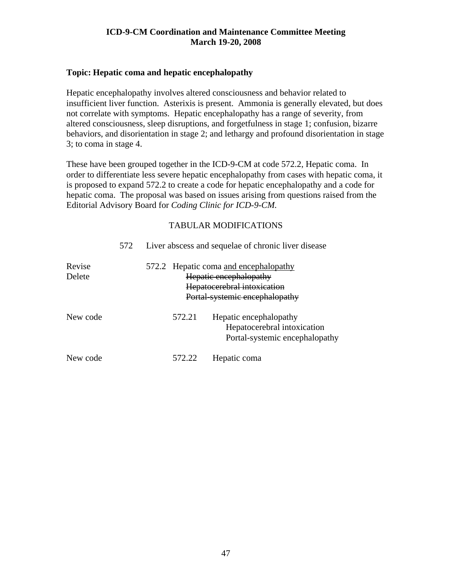#### **Topic: Hepatic coma and hepatic encephalopathy**

Hepatic encephalopathy involves altered consciousness and behavior related to insufficient liver function. Asterixis is present. Ammonia is generally elevated, but does not correlate with symptoms. Hepatic encephalopathy has a range of severity, from altered consciousness, sleep disruptions, and forgetfulness in stage 1; confusion, bizarre behaviors, and disorientation in stage 2; and lethargy and profound disorientation in stage 3; to coma in stage 4.

These have been grouped together in the ICD-9-CM at code 572.2, Hepatic coma. In order to differentiate less severe hepatic encephalopathy from cases with hepatic coma, it is proposed to expand 572.2 to create a code for hepatic encephalopathy and a code for hepatic coma. The proposal was based on issues arising from questions raised from the Editorial Advisory Board for *Coding Clinic for ICD-9-CM.*

|                  | 572 |        | Liver abscess and sequelae of chronic liver disease                                                                              |
|------------------|-----|--------|----------------------------------------------------------------------------------------------------------------------------------|
| Revise<br>Delete |     |        | 572.2 Hepatic coma and encephalopathy<br>Hepatic encephalopathy<br>Hepatocerebral intoxication<br>Portal-systemic encephalopathy |
| New code         |     | 572.21 | Hepatic encephalopathy<br>Hepatocerebral intoxication<br>Portal-systemic encephalopathy                                          |
| New code         |     | 572.22 | Hepatic coma                                                                                                                     |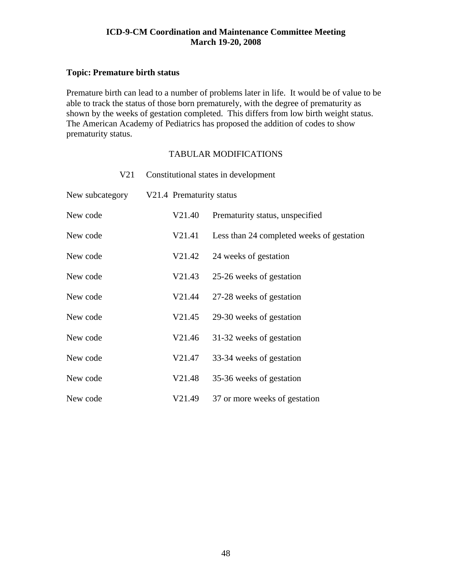## **Topic: Premature birth status**

Premature birth can lead to a number of problems later in life. It would be of value to be able to track the status of those born prematurely, with the degree of prematurity as shown by the weeks of gestation completed. This differs from low birth weight status. The American Academy of Pediatrics has proposed the addition of codes to show prematurity status.

| V21             |                          | Constitutional states in development      |
|-----------------|--------------------------|-------------------------------------------|
| New subcategory | V21.4 Prematurity status |                                           |
| New code        | V21.40                   | Prematurity status, unspecified           |
| New code        | V21.41                   | Less than 24 completed weeks of gestation |
| New code        | V21.42                   | 24 weeks of gestation                     |
| New code        | V21.43                   | 25-26 weeks of gestation                  |
| New code        | V21.44                   | 27-28 weeks of gestation                  |
| New code        | V21.45                   | 29-30 weeks of gestation                  |
| New code        | V21.46                   | 31-32 weeks of gestation                  |
| New code        | V21.47                   | 33-34 weeks of gestation                  |
| New code        | V21.48                   | 35-36 weeks of gestation                  |
| New code        | V21.49                   | 37 or more weeks of gestation             |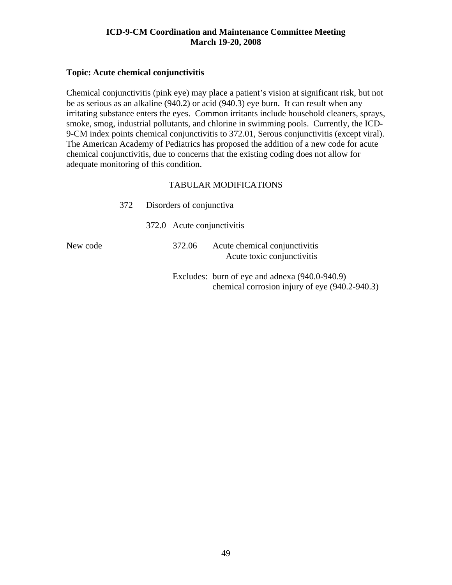#### **Topic: Acute chemical conjunctivitis**

Chemical conjunctivitis (pink eye) may place a patient's vision at significant risk, but not be as serious as an alkaline (940.2) or acid (940.3) eye burn. It can result when any irritating substance enters the eyes. Common irritants include household cleaners, sprays, smoke, smog, industrial pollutants, and chlorine in swimming pools. Currently, the ICD-9-CM index points chemical conjunctivitis to 372.01, Serous conjunctivitis (except viral). The American Academy of Pediatrics has proposed the addition of a new code for acute chemical conjunctivitis, due to concerns that the existing coding does not allow for adequate monitoring of this condition.

|          | 372 | Disorders of conjunctiva   |                                                                                                  |  |
|----------|-----|----------------------------|--------------------------------------------------------------------------------------------------|--|
|          |     | 372.0 Acute conjunctivitis |                                                                                                  |  |
| New code |     | 372.06                     | Acute chemical conjunctivitis<br>Acute toxic conjunctivitis                                      |  |
|          |     |                            | Excludes: burn of eye and adnexa (940.0-940.9)<br>chemical corrosion injury of eye (940.2-940.3) |  |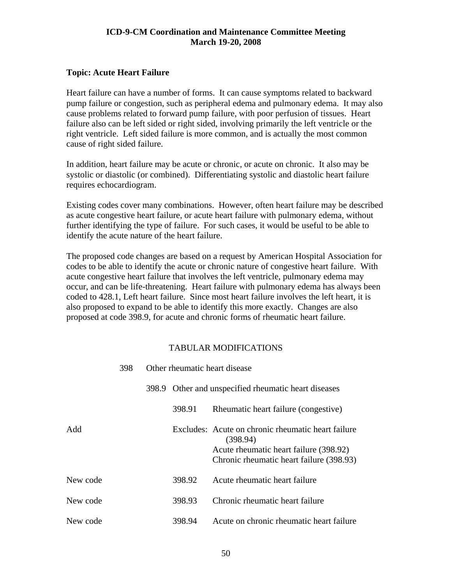## **Topic: Acute Heart Failure**

Heart failure can have a number of forms. It can cause symptoms related to backward pump failure or congestion, such as peripheral edema and pulmonary edema. It may also cause problems related to forward pump failure, with poor perfusion of tissues. Heart failure also can be left sided or right sided, involving primarily the left ventricle or the right ventricle. Left sided failure is more common, and is actually the most common cause of right sided failure.

In addition, heart failure may be acute or chronic, or acute on chronic. It also may be systolic or diastolic (or combined). Differentiating systolic and diastolic heart failure requires echocardiogram.

Existing codes cover many combinations. However, often heart failure may be described as acute congestive heart failure, or acute heart failure with pulmonary edema, without further identifying the type of failure. For such cases, it would be useful to be able to identify the acute nature of the heart failure.

The proposed code changes are based on a request by American Hospital Association for codes to be able to identify the acute or chronic nature of congestive heart failure. With acute congestive heart failure that involves the left ventricle, pulmonary edema may occur, and can be life-threatening. Heart failure with pulmonary edema has always been coded to 428.1, Left heart failure. Since most heart failure involves the left heart, it is also proposed to expand to be able to identify this more exactly. Changes are also proposed at code 398.9, for acute and chronic forms of rheumatic heart failure.

|          | 398 | Other rheumatic heart disease |                                                                                                          |  |
|----------|-----|-------------------------------|----------------------------------------------------------------------------------------------------------|--|
|          |     |                               | 398.9 Other and unspecified rheumatic heart diseases                                                     |  |
|          |     | 398.91                        | Rheumatic heart failure (congestive)                                                                     |  |
| Add      |     |                               | Excludes: Acute on chronic rheumatic heart failure<br>(398.94)<br>Acute rheumatic heart failure (398.92) |  |
|          |     |                               | Chronic rheumatic heart failure (398.93)                                                                 |  |
| New code |     | 398.92                        | Acute rheumatic heart failure                                                                            |  |
| New code |     | 398.93                        | Chronic rheumatic heart failure                                                                          |  |
| New code |     | 398.94                        | Acute on chronic rheumatic heart failure                                                                 |  |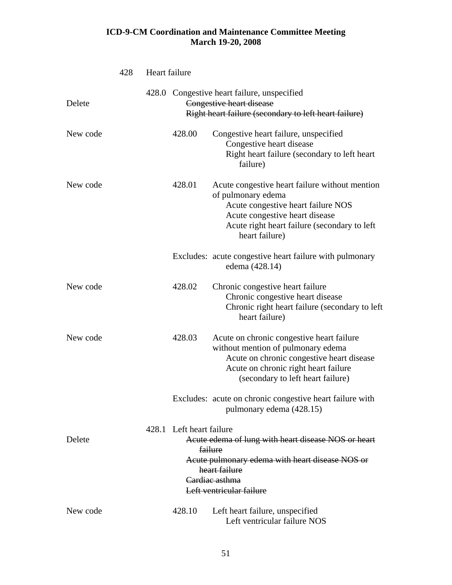|          | 428 | Heart failure |                          |                                                                                                                                                                                                                |
|----------|-----|---------------|--------------------------|----------------------------------------------------------------------------------------------------------------------------------------------------------------------------------------------------------------|
| Delete   |     | 428.0         |                          | Congestive heart failure, unspecified<br>Congestive heart disease<br>Right heart failure (secondary to left heart failure)                                                                                     |
| New code |     |               | 428.00                   | Congestive heart failure, unspecified<br>Congestive heart disease<br>Right heart failure (secondary to left heart<br>failure)                                                                                  |
| New code |     |               | 428.01                   | Acute congestive heart failure without mention<br>of pulmonary edema<br>Acute congestive heart failure NOS<br>Acute congestive heart disease<br>Acute right heart failure (secondary to left<br>heart failure) |
|          |     |               |                          | Excludes: acute congestive heart failure with pulmonary<br>edema (428.14)                                                                                                                                      |
| New code |     |               | 428.02                   | Chronic congestive heart failure<br>Chronic congestive heart disease<br>Chronic right heart failure (secondary to left<br>heart failure)                                                                       |
| New code |     |               | 428.03                   | Acute on chronic congestive heart failure<br>without mention of pulmonary edema<br>Acute on chronic congestive heart disease<br>Acute on chronic right heart failure<br>(secondary to left heart failure)      |
|          |     |               |                          | Excludes: acute on chronic congestive heart failure with<br>pulmonary edema (428.15)                                                                                                                           |
| Delete   |     |               | 428.1 Left heart failure | Acute edema of lung with heart disease NOS or heart<br><b>failure</b><br>Acute pulmonary edema with heart disease NOS or<br>heart failure<br>Cardiac asthma<br>Left ventricular failure                        |
| New code |     |               | 428.10                   | Left heart failure, unspecified<br>Left ventricular failure NOS                                                                                                                                                |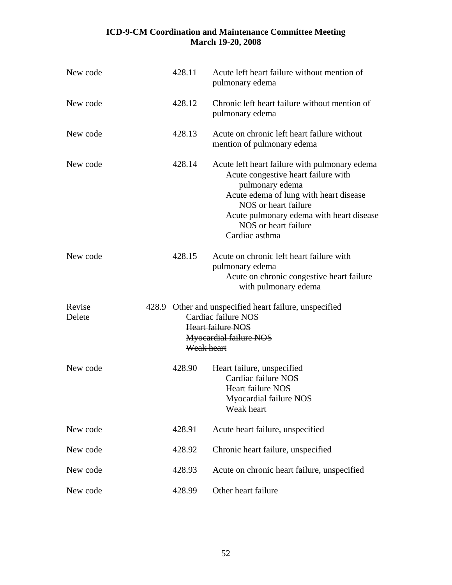| New code         | 428.11     | Acute left heart failure without mention of<br>pulmonary edema                                                                                                                                                                                                  |
|------------------|------------|-----------------------------------------------------------------------------------------------------------------------------------------------------------------------------------------------------------------------------------------------------------------|
| New code         | 428.12     | Chronic left heart failure without mention of<br>pulmonary edema                                                                                                                                                                                                |
| New code         | 428.13     | Acute on chronic left heart failure without<br>mention of pulmonary edema                                                                                                                                                                                       |
| New code         | 428.14     | Acute left heart failure with pulmonary edema<br>Acute congestive heart failure with<br>pulmonary edema<br>Acute edema of lung with heart disease<br>NOS or heart failure<br>Acute pulmonary edema with heart disease<br>NOS or heart failure<br>Cardiac asthma |
| New code         | 428.15     | Acute on chronic left heart failure with<br>pulmonary edema<br>Acute on chronic congestive heart failure<br>with pulmonary edema                                                                                                                                |
| Revise<br>Delete | Weak heart | 428.9 Other and unspecified heart failure, unspecified<br>Cardiac failure NOS<br>Heart failure NOS<br>Myocardial failure NOS                                                                                                                                    |
| New code         | 428.90     | Heart failure, unspecified<br>Cardiac failure NOS<br><b>Heart failure NOS</b><br>Myocardial failure NOS<br>Weak heart                                                                                                                                           |
| New code         | 428.91     | Acute heart failure, unspecified                                                                                                                                                                                                                                |
| New code         | 428.92     | Chronic heart failure, unspecified                                                                                                                                                                                                                              |
| New code         | 428.93     | Acute on chronic heart failure, unspecified                                                                                                                                                                                                                     |
| New code         | 428.99     | Other heart failure                                                                                                                                                                                                                                             |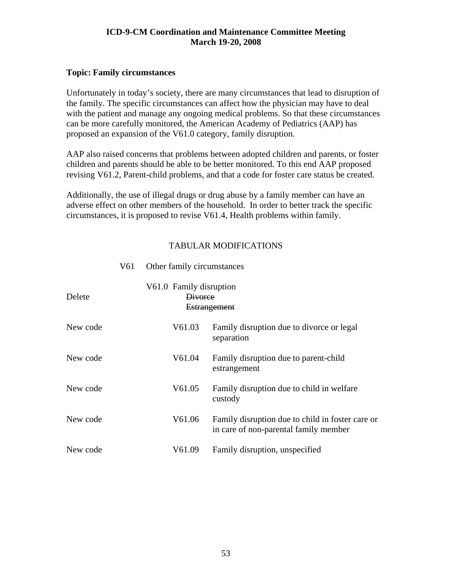## **Topic: Family circumstances**

Unfortunately in today's society, there are many circumstances that lead to disruption of the family. The specific circumstances can affect how the physician may have to deal with the patient and manage any ongoing medical problems. So that these circumstances can be more carefully monitored, the American Academy of Pediatrics (AAP) has proposed an expansion of the V61.0 category, family disruption.

AAP also raised concerns that problems between adopted children and parents, or foster children and parents should be able to be better monitored. To this end AAP proposed revising V61.2, Parent-child problems, and that a code for foster care status be created.

Additionally, the use of illegal drugs or drug abuse by a family member can have an adverse effect on other members of the household. In order to better track the specific circumstances, it is proposed to revise V61.4, Health problems within family.

## TABULAR MODIFICATIONS

| Delete   | V61.0 Family disruption<br><b>Divorce</b> | <b>Estrangement</b>                                                                       |
|----------|-------------------------------------------|-------------------------------------------------------------------------------------------|
| New code | V61.03                                    | Family disruption due to divorce or legal<br>separation                                   |
| New code | V61.04                                    | Family disruption due to parent-child<br>estrangement                                     |
| New code | V61.05                                    | Family disruption due to child in welfare<br>custody                                      |
| New code | V61.06                                    | Family disruption due to child in foster care or<br>in care of non-parental family member |
| New code | V61.09                                    | Family disruption, unspecified                                                            |

V61 Other family circumstances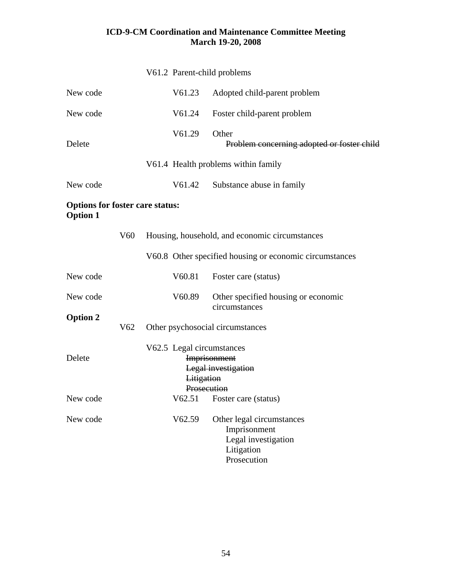|                                                           |                 | V61.2 Parent-child problems                                                                          |                                                                                               |
|-----------------------------------------------------------|-----------------|------------------------------------------------------------------------------------------------------|-----------------------------------------------------------------------------------------------|
| New code                                                  |                 | V61.23                                                                                               | Adopted child-parent problem                                                                  |
| New code                                                  |                 | V61.24                                                                                               | Foster child-parent problem                                                                   |
| Delete                                                    |                 | V61.29                                                                                               | Other<br>Problem concerning adopted or foster child                                           |
|                                                           |                 |                                                                                                      | V61.4 Health problems within family                                                           |
| New code                                                  |                 | V61.42                                                                                               | Substance abuse in family                                                                     |
| <b>Options for foster care status:</b><br><b>Option 1</b> |                 |                                                                                                      |                                                                                               |
|                                                           | V <sub>60</sub> |                                                                                                      | Housing, household, and economic circumstances                                                |
|                                                           |                 |                                                                                                      | V60.8 Other specified housing or economic circumstances                                       |
| New code                                                  |                 | V60.81                                                                                               | Foster care (status)                                                                          |
| New code                                                  |                 | V60.89                                                                                               | Other specified housing or economic<br>circumstances                                          |
| <b>Option 2</b>                                           | V <sub>62</sub> |                                                                                                      | Other psychosocial circumstances                                                              |
| Delete                                                    |                 | V62.5 Legal circumstances<br><b>Imprisonment</b><br>Legal investigation<br>Litigation<br>Prosecution |                                                                                               |
| New code                                                  |                 |                                                                                                      | V62.51 Foster care (status)                                                                   |
| New code                                                  |                 | V62.59                                                                                               | Other legal circumstances<br>Imprisonment<br>Legal investigation<br>Litigation<br>Prosecution |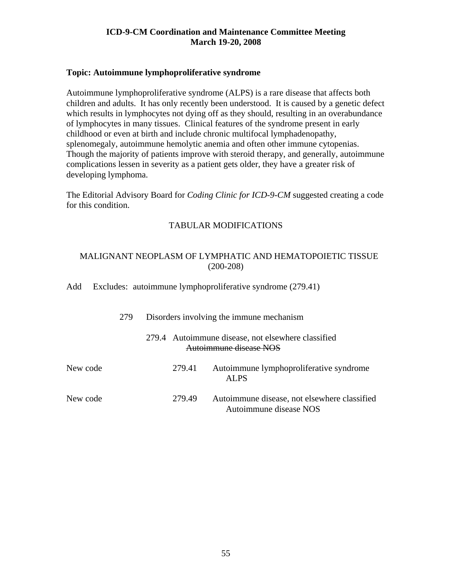#### **Topic: Autoimmune lymphoproliferative syndrome**

Autoimmune lymphoproliferative syndrome (ALPS) is a rare disease that affects both children and adults. It has only recently been understood. It is caused by a genetic defect which results in lymphocytes not dying off as they should, resulting in an overabundance of lymphocytes in many tissues. Clinical features of the syndrome present in early childhood or even at birth and include chronic multifocal lymphadenopathy, splenomegaly, autoimmune hemolytic anemia and often other immune cytopenias. Though the majority of patients improve with steroid therapy, and generally, autoimmune complications lessen in severity as a patient gets older, they have a greater risk of developing lymphoma.

The Editorial Advisory Board for *Coding Clinic for ICD-9-CM* suggested creating a code for this condition.

## TABULAR MODIFICATIONS

## MALIGNANT NEOPLASM OF LYMPHATIC AND HEMATOPOIETIC TISSUE (200-208)

Add Excludes: autoimmune lymphoproliferative syndrome (279.41)

|          | 279 |        | Disorders involving the immune mechanism |                                                                              |  |
|----------|-----|--------|------------------------------------------|------------------------------------------------------------------------------|--|
|          |     |        |                                          | 279.4 Autoimmune disease, not elsewhere classified<br>Autoimmune disease NOS |  |
| New code |     | 279.41 |                                          | Autoimmune lymphoproliferative syndrome<br>ALPS                              |  |
| New code |     | 279.49 |                                          | Autoimmune disease, not elsewhere classified<br>Autoimmune disease NOS       |  |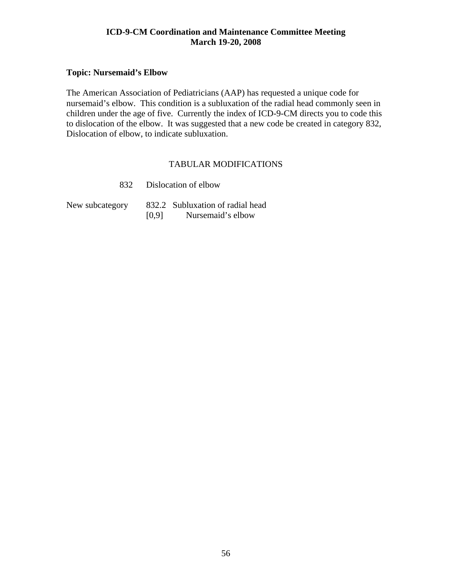## **Topic: Nursemaid's Elbow**

The American Association of Pediatricians (AAP) has requested a unique code for nursemaid's elbow. This condition is a subluxation of the radial head commonly seen in children under the age of five. Currently the index of ICD-9-CM directs you to code this to dislocation of the elbow. It was suggested that a new code be created in category 832, Dislocation of elbow, to indicate subluxation.

|                 |       | 832 Dislocation of elbow                              |
|-----------------|-------|-------------------------------------------------------|
| New subcategory | [0.9] | 832.2 Subluxation of radial head<br>Nursemaid's elbow |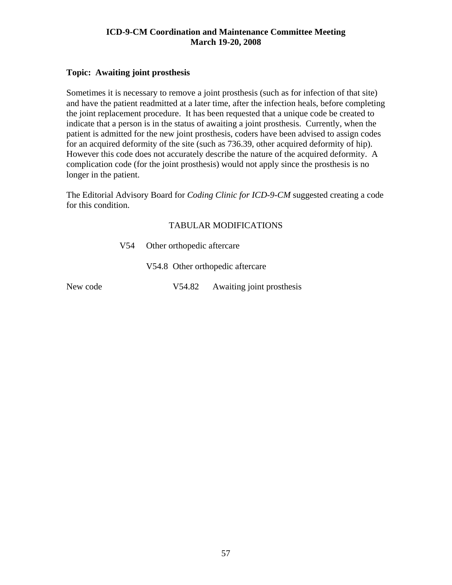## **Topic: Awaiting joint prosthesis**

Sometimes it is necessary to remove a joint prosthesis (such as for infection of that site) and have the patient readmitted at a later time, after the infection heals, before completing the joint replacement procedure. It has been requested that a unique code be created to indicate that a person is in the status of awaiting a joint prosthesis. Currently, when the patient is admitted for the new joint prosthesis, coders have been advised to assign codes for an acquired deformity of the site (such as 736.39, other acquired deformity of hip). However this code does not accurately describe the nature of the acquired deformity. A complication code (for the joint prosthesis) would not apply since the prosthesis is no longer in the patient.

The Editorial Advisory Board for *Coding Clinic for ICD-9-CM* suggested creating a code for this condition.

## TABULAR MODIFICATIONS

V54 Other orthopedic aftercare

V54.8 Other orthopedic aftercare

New code  $V54.82$  Awaiting joint prosthesis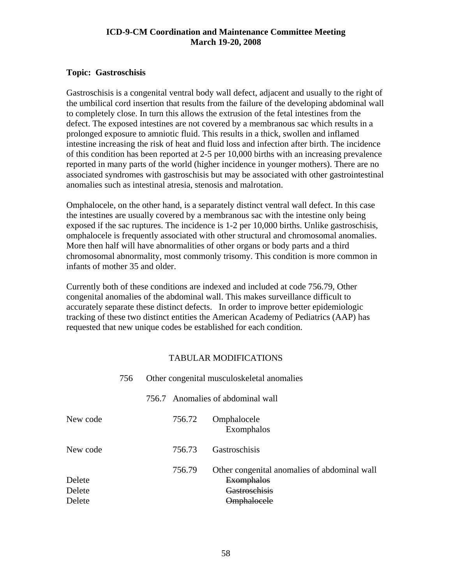## **Topic: Gastroschisis**

Gastroschisis is a congenital ventral body wall defect, adjacent and usually to the right of the umbilical cord insertion that results from the failure of the developing abdominal wall to completely close. In turn this allows the extrusion of the fetal intestines from the defect. The exposed intestines are not covered by a membranous sac which results in a prolonged exposure to amniotic fluid. This results in a thick, swollen and inflamed intestine increasing the risk of heat and fluid loss and infection after birth. The incidence of this condition has been reported at 2-5 per 10,000 births with an increasing prevalence reported in many parts of the world (higher incidence in younger mothers). There are no associated syndromes with gastroschisis but may be associated with other gastrointestinal anomalies such as intestinal atresia, stenosis and malrotation.

Omphalocele, on the other hand, is a separately distinct ventral wall defect. In this case the intestines are usually covered by a membranous sac with the intestine only being exposed if the sac ruptures. The incidence is 1-2 per 10,000 births. Unlike gastroschisis, omphalocele is frequently associated with other structural and chromosomal anomalies. More then half will have abnormalities of other organs or body parts and a third chromosomal abnormality, most commonly trisomy. This condition is more common in infants of mother 35 and older.

Currently both of these conditions are indexed and included at code 756.79, Other congenital anomalies of the abdominal wall. This makes surveillance difficult to accurately separate these distinct defects. In order to improve better epidemiologic tracking of these two distinct entities the American Academy of Pediatrics (AAP) has requested that new unique codes be established for each condition.

|          | 756 |        | Other congenital musculoskeletal anomalies |                                                                   |  |
|----------|-----|--------|--------------------------------------------|-------------------------------------------------------------------|--|
|          |     |        |                                            | 756.7 Anomalies of abdominal wall                                 |  |
| New code |     | 756.72 |                                            | Omphalocele<br>Exomphalos                                         |  |
| New code |     | 756.73 |                                            | Gastroschisis                                                     |  |
| Delete   |     | 756.79 |                                            | Other congenital anomalies of abdominal wall<br><b>Exomphalos</b> |  |
| Delete   |     |        |                                            | <del>I</del> astroschisis                                         |  |
| Delete   |     |        |                                            | <del>)mphalocele</del>                                            |  |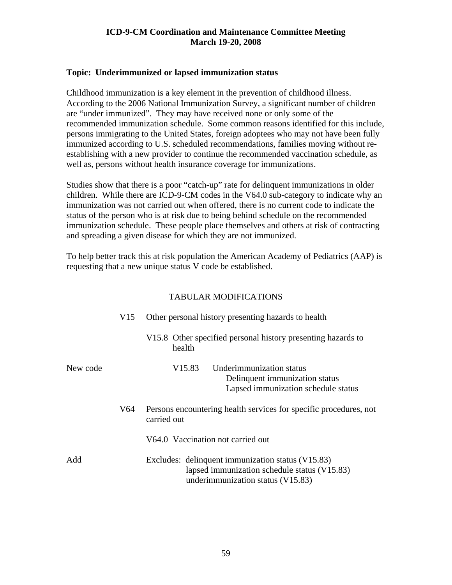#### **Topic: Underimmunized or lapsed immunization status**

Childhood immunization is a key element in the prevention of childhood illness. According to the 2006 National Immunization Survey, a significant number of children are "under immunized". They may have received none or only some of the recommended immunization schedule. Some common reasons identified for this include, persons immigrating to the United States, foreign adoptees who may not have been fully immunized according to U.S. scheduled recommendations, families moving without reestablishing with a new provider to continue the recommended vaccination schedule, as well as, persons without health insurance coverage for immunizations.

Studies show that there is a poor "catch-up" rate for delinquent immunizations in older children. While there are ICD-9-CM codes in the V64.0 sub-category to indicate why an immunization was not carried out when offered, there is no current code to indicate the status of the person who is at risk due to being behind schedule on the recommended immunization schedule. These people place themselves and others at risk of contracting and spreading a given disease for which they are not immunized.

To help better track this at risk population the American Academy of Pediatrics (AAP) is requesting that a new unique status V code be established.

|          | V15 | Other personal history presenting hazards to health                                                                                    |  |  |
|----------|-----|----------------------------------------------------------------------------------------------------------------------------------------|--|--|
|          |     | V15.8 Other specified personal history presenting hazards to<br>health                                                                 |  |  |
| New code |     | V <sub>15.83</sub><br>Underimmunization status<br>Delinquent immunization status<br>Lapsed immunization schedule status                |  |  |
|          | V64 | Persons encountering health services for specific procedures, not<br>carried out                                                       |  |  |
|          |     | V64.0 Vaccination not carried out                                                                                                      |  |  |
| Add      |     | Excludes: delinquent immunization status (V15.83)<br>lapsed immunization schedule status (V15.83)<br>underimmunization status (V15.83) |  |  |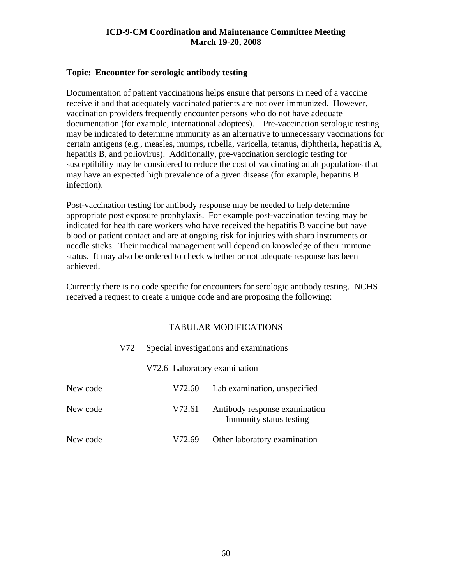#### **Topic: Encounter for serologic antibody testing**

Documentation of patient vaccinations helps ensure that persons in need of a vaccine receive it and that adequately vaccinated patients are not over immunized. However, vaccination providers frequently encounter persons who do not have adequate documentation (for example, international adoptees). Pre-vaccination serologic testing may be indicated to determine immunity as an alternative to unnecessary vaccinations for certain antigens (e.g., measles, mumps, rubella, varicella, tetanus, diphtheria, hepatitis A, hepatitis B, and poliovirus). Additionally, pre-vaccination serologic testing for susceptibility may be considered to reduce the cost of vaccinating adult populations that may have an expected high prevalence of a given disease (for example, hepatitis B infection).

Post-vaccination testing for antibody response may be needed to help determine appropriate post exposure prophylaxis. For example post-vaccination testing may be indicated for health care workers who have received the hepatitis B vaccine but have blood or patient contact and are at ongoing risk for injuries with sharp instruments or needle sticks. Their medical management will depend on knowledge of their immune status. It may also be ordered to check whether or not adequate response has been achieved.

Currently there is no code specific for encounters for serologic antibody testing. NCHS received a request to create a unique code and are proposing the following:

|          | V72 |                              | Special investigations and examinations                  |
|----------|-----|------------------------------|----------------------------------------------------------|
|          |     | V72.6 Laboratory examination |                                                          |
| New code |     | V72.60                       | Lab examination, unspecified                             |
| New code |     | V72.61                       | Antibody response examination<br>Immunity status testing |
| New code |     | V72.69                       | Other laboratory examination                             |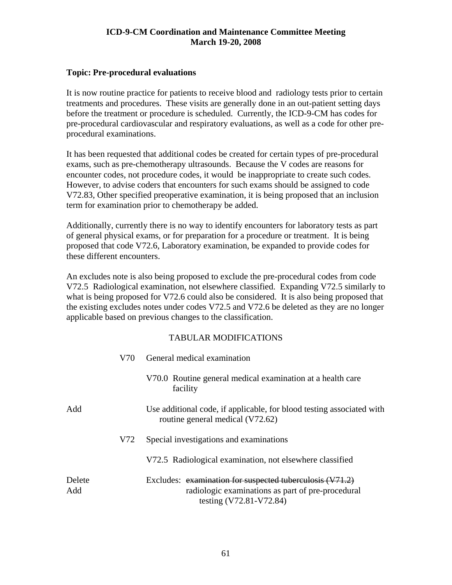#### **Topic: Pre-procedural evaluations**

It is now routine practice for patients to receive blood and radiology tests prior to certain treatments and procedures. These visits are generally done in an out-patient setting days before the treatment or procedure is scheduled. Currently, the ICD-9-CM has codes for pre-procedural cardiovascular and respiratory evaluations, as well as a code for other preprocedural examinations.

It has been requested that additional codes be created for certain types of pre-procedural exams, such as pre-chemotherapy ultrasounds. Because the V codes are reasons for encounter codes, not procedure codes, it would be inappropriate to create such codes. However, to advise coders that encounters for such exams should be assigned to code V72.83, Other specified preoperative examination, it is being proposed that an inclusion term for examination prior to chemotherapy be added.

Additionally, currently there is no way to identify encounters for laboratory tests as part of general physical exams, or for preparation for a procedure or treatment. It is being proposed that code V72.6, Laboratory examination, be expanded to provide codes for these different encounters.

An excludes note is also being proposed to exclude the pre-procedural codes from code V72.5 Radiological examination, not elsewhere classified. Expanding V72.5 similarly to what is being proposed for V72.6 could also be considered. It is also being proposed that the existing excludes notes under codes V72.5 and V72.6 be deleted as they are no longer applicable based on previous changes to the classification.

|               | V70 | General medical examination                                                                                                              |  |  |
|---------------|-----|------------------------------------------------------------------------------------------------------------------------------------------|--|--|
|               |     | V70.0 Routine general medical examination at a health care<br>facility                                                                   |  |  |
| Add           |     | Use additional code, if applicable, for blood testing associated with<br>routine general medical (V72.62)                                |  |  |
|               | V72 | Special investigations and examinations                                                                                                  |  |  |
|               |     | V72.5 Radiological examination, not elsewhere classified                                                                                 |  |  |
| Delete<br>Add |     | Excludes: examination for suspected tuberculosis (V71.2)<br>radiologic examinations as part of pre-procedural<br>testing (V72.81-V72.84) |  |  |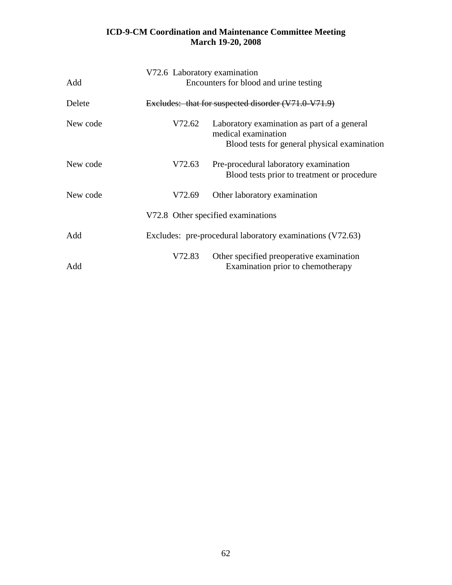| Add      | V72.6 Laboratory examination<br>Encounters for blood and urine testing |                                                                                                                    |  |
|----------|------------------------------------------------------------------------|--------------------------------------------------------------------------------------------------------------------|--|
| Delete   |                                                                        | Excludes: that for suspected disorder (V71.0 V71.9)                                                                |  |
| New code | V72.62                                                                 | Laboratory examination as part of a general<br>medical examination<br>Blood tests for general physical examination |  |
| New code | V72.63                                                                 | Pre-procedural laboratory examination<br>Blood tests prior to treatment or procedure                               |  |
| New code | V72.69                                                                 | Other laboratory examination                                                                                       |  |
|          |                                                                        | V72.8 Other specified examinations                                                                                 |  |
| Add      |                                                                        | Excludes: pre-procedural laboratory examinations (V72.63)                                                          |  |
| Add      | V72.83                                                                 | Other specified preoperative examination<br>Examination prior to chemotherapy                                      |  |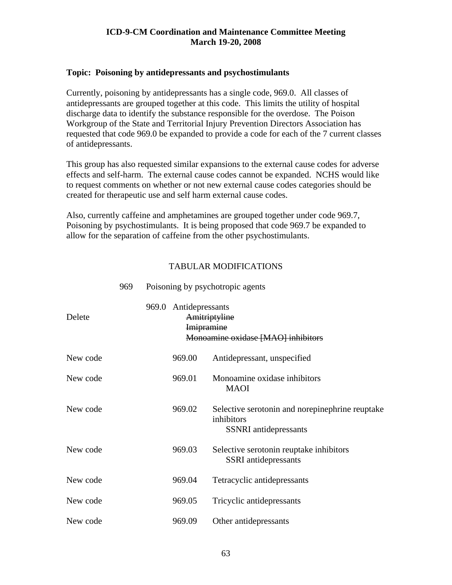#### **Topic: Poisoning by antidepressants and psychostimulants**

Currently, poisoning by antidepressants has a single code, 969.0. All classes of antidepressants are grouped together at this code. This limits the utility of hospital discharge data to identify the substance responsible for the overdose. The Poison Workgroup of the State and Territorial Injury Prevention Directors Association has requested that code 969.0 be expanded to provide a code for each of the 7 current classes of antidepressants.

This group has also requested similar expansions to the external cause codes for adverse effects and self-harm. The external cause codes cannot be expanded. NCHS would like to request comments on whether or not new external cause codes categories should be created for therapeutic use and self harm external cause codes.

Also, currently caffeine and amphetamines are grouped together under code 969.7, Poisoning by psychostimulants. It is being proposed that code 969.7 be expanded to allow for the separation of caffeine from the other psychostimulants.

|          | 969 |                                                      | Poisoning by psychotropic agents                                                              |
|----------|-----|------------------------------------------------------|-----------------------------------------------------------------------------------------------|
| Delete   |     | 969.0 Antidepressants<br>Amitriptyline<br>Imipramine | Monoamine oxidase [MAO] inhibitors                                                            |
| New code |     | 969.00                                               | Antidepressant, unspecified                                                                   |
| New code |     | 969.01                                               | Monoamine oxidase inhibitors<br><b>MAOI</b>                                                   |
| New code |     | 969.02                                               | Selective serotonin and norepinephrine reuptake<br>inhibitors<br><b>SSNRI</b> antidepressants |
| New code |     | 969.03                                               | Selective serotonin reuptake inhibitors<br><b>SSRI</b> antidepressants                        |
| New code |     | 969.04                                               | Tetracyclic antidepressants                                                                   |
| New code |     | 969.05                                               | Tricyclic antidepressants                                                                     |
| New code |     | 969.09                                               | Other antidepressants                                                                         |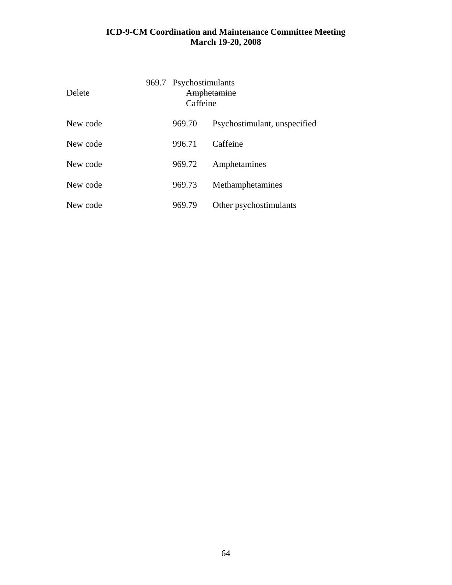| Delete   | 969.7 Psychostimulants<br>'affeine | Amphetamine                  |
|----------|------------------------------------|------------------------------|
| New code | 969.70                             | Psychostimulant, unspecified |
| New code | 996.71                             | Caffeine                     |
| New code | 969.72                             | Amphetamines                 |
| New code | 969.73                             | Methamphetamines             |
| New code | 969.79                             | Other psychostimulants       |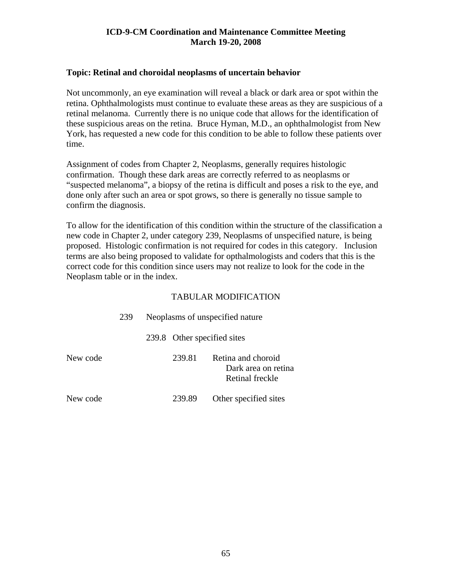#### **Topic: Retinal and choroidal neoplasms of uncertain behavior**

Not uncommonly, an eye examination will reveal a black or dark area or spot within the retina. Ophthalmologists must continue to evaluate these areas as they are suspicious of a retinal melanoma. Currently there is no unique code that allows for the identification of these suspicious areas on the retina. Bruce Hyman, M.D., an ophthalmologist from New York, has requested a new code for this condition to be able to follow these patients over time.

Assignment of codes from Chapter 2, Neoplasms, generally requires histologic confirmation. Though these dark areas are correctly referred to as neoplasms or "suspected melanoma", a biopsy of the retina is difficult and poses a risk to the eye, and done only after such an area or spot grows, so there is generally no tissue sample to confirm the diagnosis.

To allow for the identification of this condition within the structure of the classification a new code in Chapter 2, under category 239, Neoplasms of unspecified nature, is being proposed. Histologic confirmation is not required for codes in this category. Inclusion terms are also being proposed to validate for opthalmologists and coders that this is the correct code for this condition since users may not realize to look for the code in the Neoplasm table or in the index.

|          | 239 | Neoplasms of unspecified nature |        |                                                              |  |
|----------|-----|---------------------------------|--------|--------------------------------------------------------------|--|
|          |     |                                 |        | 239.8 Other specified sites                                  |  |
| New code |     |                                 | 239.81 | Retina and choroid<br>Dark area on retina<br>Retinal freckle |  |
| New code |     |                                 | 239.89 | Other specified sites                                        |  |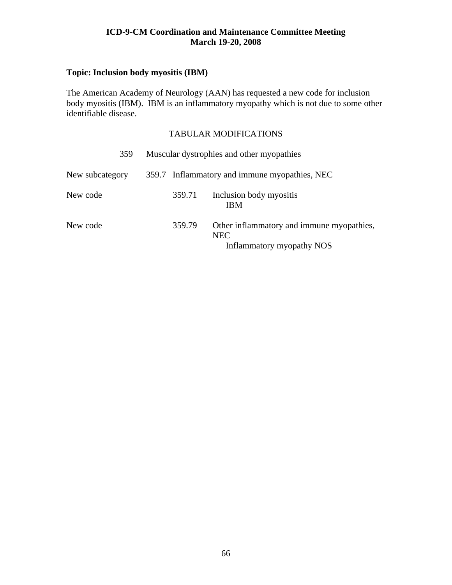## **Topic: Inclusion body myositis (IBM)**

The American Academy of Neurology (AAN) has requested a new code for inclusion body myositis (IBM). IBM is an inflammatory myopathy which is not due to some other identifiable disease.

| 359             |        | Muscular dystrophies and other myopathies                                            |
|-----------------|--------|--------------------------------------------------------------------------------------|
| New subcategory |        | 359.7 Inflammatory and immune myopathies, NEC                                        |
| New code        | 359.71 | Inclusion body myositis<br><b>IBM</b>                                                |
| New code        | 359.79 | Other inflammatory and immune myopathies,<br><b>NEC</b><br>Inflammatory myopathy NOS |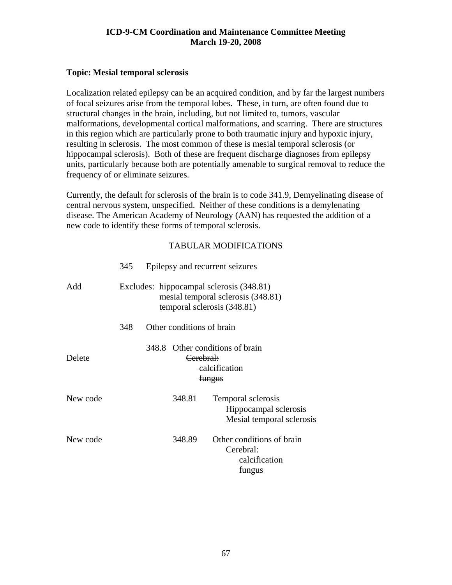## **Topic: Mesial temporal sclerosis**

Localization related epilepsy can be an acquired condition, and by far the largest numbers of focal seizures arise from the temporal lobes. These, in turn, are often found due to structural changes in the brain, including, but not limited to, tumors, vascular malformations, developmental cortical malformations, and scarring. There are structures in this region which are particularly prone to both traumatic injury and hypoxic injury, resulting in sclerosis. The most common of these is mesial temporal sclerosis (or hippocampal sclerosis). Both of these are frequent discharge diagnoses from epilepsy units, particularly because both are potentially amenable to surgical removal to reduce the frequency of or eliminate seizures.

Currently, the default for sclerosis of the brain is to code 341.9, Demyelinating disease of central nervous system, unspecified. Neither of these conditions is a demylenating disease. The American Academy of Neurology (AAN) has requested the addition of a new code to identify these forms of temporal sclerosis.

|          | 345                                                                                                           |  |                                | Epilepsy and recurrent seizures                                          |  |
|----------|---------------------------------------------------------------------------------------------------------------|--|--------------------------------|--------------------------------------------------------------------------|--|
| Add      | Excludes: hippocampal sclerosis (348.81)<br>mesial temporal sclerosis (348.81)<br>temporal sclerosis (348.81) |  |                                |                                                                          |  |
|          | 348                                                                                                           |  | Other conditions of brain      |                                                                          |  |
| Delete   |                                                                                                               |  | Cerebral:<br><del>fungus</del> | 348.8 Other conditions of brain<br>ealeification                         |  |
| New code |                                                                                                               |  | 348.81                         | Temporal sclerosis<br>Hippocampal sclerosis<br>Mesial temporal sclerosis |  |
| New code |                                                                                                               |  | 348.89                         | Other conditions of brain<br>Cerebral:<br>calcification<br>fungus        |  |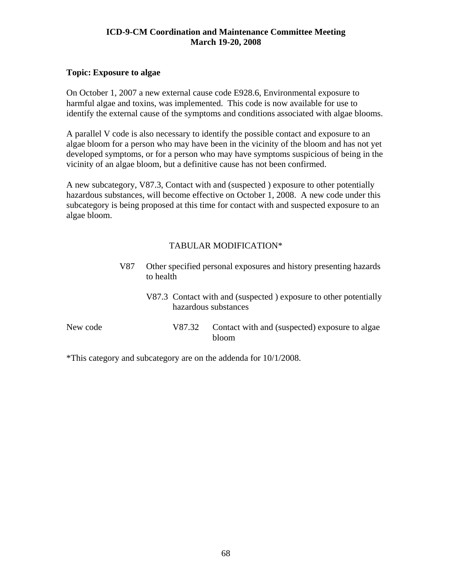## **Topic: Exposure to algae**

On October 1, 2007 a new external cause code E928.6, Environmental exposure to harmful algae and toxins, was implemented. This code is now available for use to identify the external cause of the symptoms and conditions associated with algae blooms.

A parallel V code is also necessary to identify the possible contact and exposure to an algae bloom for a person who may have been in the vicinity of the bloom and has not yet developed symptoms, or for a person who may have symptoms suspicious of being in the vicinity of an algae bloom, but a definitive cause has not been confirmed.

A new subcategory, V87.3, Contact with and (suspected ) exposure to other potentially hazardous substances, will become effective on October 1, 2008. A new code under this subcategory is being proposed at this time for contact with and suspected exposure to an algae bloom.

## TABULAR MODIFICATION\*

|          | V87 | Other specified personal exposures and history presenting hazards<br>to health |                                                                                          |  |  |
|----------|-----|--------------------------------------------------------------------------------|------------------------------------------------------------------------------------------|--|--|
|          |     |                                                                                | V87.3 Contact with and (suspected) exposure to other potentially<br>hazardous substances |  |  |
| New code |     | V87.32                                                                         | Contact with and (suspected) exposure to algae<br>bloom                                  |  |  |

\*This category and subcategory are on the addenda for 10/1/2008.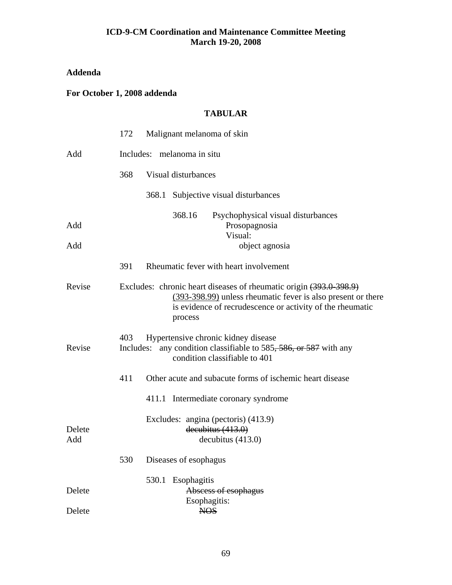# **Addenda**

## **For October 1, 2008 addenda**

# **TABULAR**

|               | 172              | Malignant melanoma of skin                                                                                                                                                                                 |
|---------------|------------------|------------------------------------------------------------------------------------------------------------------------------------------------------------------------------------------------------------|
| Add           |                  | Includes: melanoma in situ                                                                                                                                                                                 |
|               | 368              | Visual disturbances                                                                                                                                                                                        |
|               |                  | 368.1 Subjective visual disturbances                                                                                                                                                                       |
| Add<br>Add    |                  | 368.16<br>Psychophysical visual disturbances<br>Prosopagnosia<br>Visual:<br>object agnosia                                                                                                                 |
|               | 391              | Rheumatic fever with heart involvement                                                                                                                                                                     |
| Revise        |                  | Excludes: chronic heart diseases of rheumatic origin (393.0 398.9)<br>(393-398.99) unless rheumatic fever is also present or there<br>is evidence of recrudescence or activity of the rheumatic<br>process |
| Revise        | 403<br>Includes: | Hypertensive chronic kidney disease<br>any condition classifiable to 585, 586, or 587 with any<br>condition classifiable to 401                                                                            |
|               | 411              | Other acute and subacute forms of ischemic heart disease                                                                                                                                                   |
|               |                  | 411.1 Intermediate coronary syndrome<br>Excludes: angina (pectoris) (413.9)                                                                                                                                |
| Delete<br>Add |                  | decubitus (413.0)<br>decubitus (413.0)                                                                                                                                                                     |
|               | 530              | Diseases of esophagus                                                                                                                                                                                      |
| Delete        |                  | 530.1<br>Esophagitis<br>Abscess of esophagus<br>Esophagitis:                                                                                                                                               |
| Delete        |                  | <b>NOS</b>                                                                                                                                                                                                 |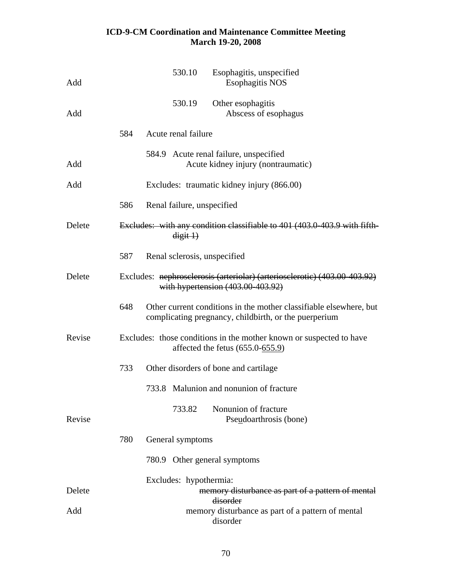| Add    |     | 530.10                       |          | Esophagitis, unspecified<br><b>Esophagitis NOS</b>                                                                          |
|--------|-----|------------------------------|----------|-----------------------------------------------------------------------------------------------------------------------------|
| Add    |     | 530.19                       |          | Other esophagitis<br>Abscess of esophagus                                                                                   |
|        | 584 | Acute renal failure          |          |                                                                                                                             |
| Add    |     |                              |          | 584.9 Acute renal failure, unspecified<br>Acute kidney injury (nontraumatic)                                                |
| Add    |     |                              |          | Excludes: traumatic kidney injury (866.00)                                                                                  |
|        | 586 | Renal failure, unspecified   |          |                                                                                                                             |
| Delete |     |                              | digit 1) | Excludes: with any condition classifiable to 401 (403.0-403.9 with fifth-                                                   |
|        | 587 | Renal sclerosis, unspecified |          |                                                                                                                             |
| Delete |     |                              |          | Excludes: nephroselerosis (arteriolar) (arterioselerotic) (403.00-403.92)<br>with hypertension $(403.00-403.92)$            |
|        | 648 |                              |          | Other current conditions in the mother classifiable elsewhere, but<br>complicating pregnancy, childbirth, or the puerperium |
| Revise |     |                              |          | Excludes: those conditions in the mother known or suspected to have<br>affected the fetus $(655.0 - 655.9)$                 |
|        | 733 |                              |          | Other disorders of bone and cartilage                                                                                       |
|        |     |                              |          | 733.8 Malunion and nonunion of fracture                                                                                     |
| Revise |     |                              | 733.82   | Nonunion of fracture<br>Pseudoarthrosis (bone)                                                                              |
|        | 780 | General symptoms             |          |                                                                                                                             |
|        |     |                              |          | 780.9 Other general symptoms                                                                                                |
| Delete |     | Excludes: hypothermia:       |          | memory disturbance as part of a pattern of mental<br>disorder                                                               |
| Add    |     |                              |          | memory disturbance as part of a pattern of mental<br>disorder                                                               |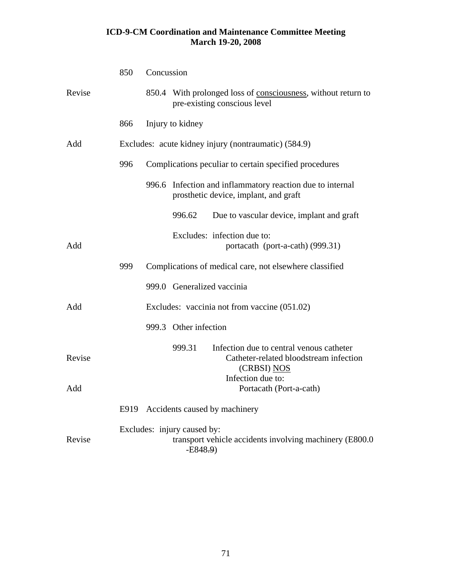|        | 850 | Concussion |                                          |                                                                                                    |
|--------|-----|------------|------------------------------------------|----------------------------------------------------------------------------------------------------|
| Revise |     |            |                                          | 850.4 With prolonged loss of consciousness, without return to<br>pre-existing conscious level      |
|        | 866 |            | Injury to kidney                         |                                                                                                    |
| Add    |     |            |                                          | Excludes: acute kidney injury (nontraumatic) (584.9)                                               |
|        | 996 |            |                                          | Complications peculiar to certain specified procedures                                             |
|        |     |            |                                          | 996.6 Infection and inflammatory reaction due to internal<br>prosthetic device, implant, and graft |
|        |     |            | 996.62                                   | Due to vascular device, implant and graft                                                          |
| Add    |     |            |                                          | Excludes: infection due to:<br>portacath (port-a-cath) (999.31)                                    |
|        | 999 |            |                                          | Complications of medical care, not elsewhere classified                                            |
|        |     |            | 999.0 Generalized vaccinia               |                                                                                                    |
| Add    |     |            |                                          | Excludes: vaccinia not from vaccine (051.02)                                                       |
|        |     |            | 999.3 Other infection                    |                                                                                                    |
| Revise |     |            | 999.31                                   | Infection due to central venous catheter<br>Catheter-related bloodstream infection<br>(CRBSI) NOS  |
| Add    |     |            |                                          | Infection due to:<br>Portacath (Port-a-cath)                                                       |
|        |     |            |                                          | E919 Accidents caused by machinery                                                                 |
| Revise |     |            | Excludes: injury caused by:<br>$-E848.9$ | transport vehicle accidents involving machinery (E800.0)                                           |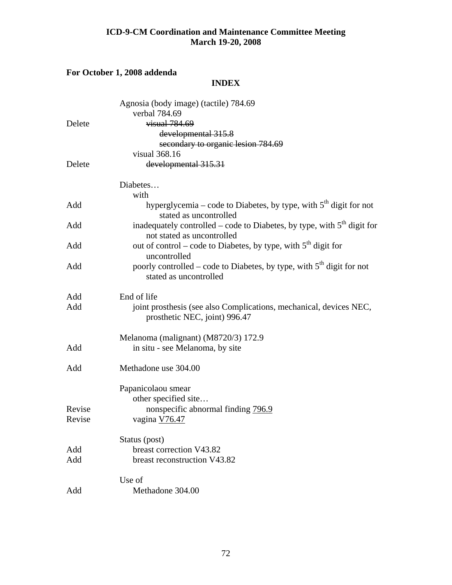# **For October 1, 2008 addenda**

# **INDEX**

|        | Agnosia (body image) (tactile) 784.69<br>verbal 784.69                                                  |
|--------|---------------------------------------------------------------------------------------------------------|
| Delete | visual 784.69                                                                                           |
|        | developmental 315.8                                                                                     |
|        | secondary to organic lesion 784.69                                                                      |
|        | visual 368.16                                                                                           |
| Delete | developmental 315.31                                                                                    |
|        | Diabetes                                                                                                |
|        | with                                                                                                    |
| Add    | hyperglycemia – code to Diabetes, by type, with $5th$ digit for not<br>stated as uncontrolled           |
| Add    | inadequately controlled – code to Diabetes, by type, with $5th$ digit for<br>not stated as uncontrolled |
| Add    | out of control – code to Diabetes, by type, with $5th$ digit for<br>uncontrolled                        |
| Add    | poorly controlled – code to Diabetes, by type, with $5th$ digit for not<br>stated as uncontrolled       |
| Add    | End of life                                                                                             |
| Add    | joint prosthesis (see also Complications, mechanical, devices NEC,<br>prosthetic NEC, joint) 996.47     |
|        | Melanoma (malignant) (M8720/3) 172.9                                                                    |
| Add    | in situ - see Melanoma, by site                                                                         |
| Add    | Methadone use 304.00                                                                                    |
|        | Papanicolaou smear                                                                                      |
|        | other specified site                                                                                    |
| Revise | nonspecific abnormal finding 796.9                                                                      |
| Revise | vagina V76.47                                                                                           |
|        | Status (post)                                                                                           |
| Add    | breast correction V43.82                                                                                |
| Add    | breast reconstruction V43.82                                                                            |
|        | Use of                                                                                                  |
| Add    | Methadone 304.00                                                                                        |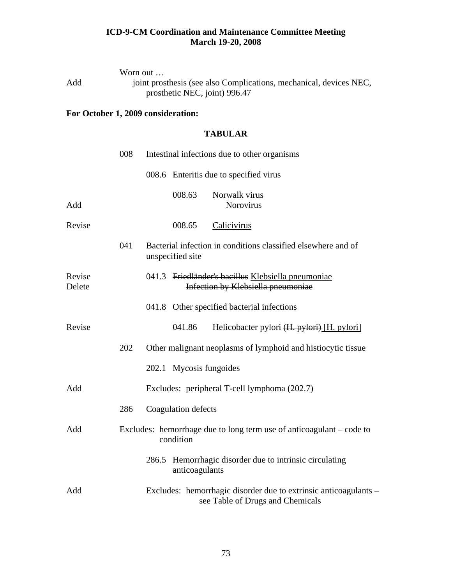|     | Worn out $\dots$                                                   |
|-----|--------------------------------------------------------------------|
| Add | joint prosthesis (see also Complications, mechanical, devices NEC, |
|     | prosthetic NEC, joint) 996.47                                      |

# **For October 1, 2009 consideration:**

## **TABULAR**

|                  | 008 | Intestinal infections due to other organisms                                                         |  |
|------------------|-----|------------------------------------------------------------------------------------------------------|--|
|                  |     | 008.6 Enteritis due to specified virus                                                               |  |
| Add              |     | 008.63<br>Norwalk virus<br>Norovirus                                                                 |  |
| Revise           |     | 008.65<br>Calicivirus                                                                                |  |
|                  | 041 | Bacterial infection in conditions classified elsewhere and of<br>unspecified site                    |  |
| Revise<br>Delete |     | 041.3 Friedländer's bacillus Klebsiella pneumoniae<br>Infection by Klebsiella pneumoniae             |  |
|                  |     | 041.8 Other specified bacterial infections                                                           |  |
| Revise           |     | 041.86<br>Helicobacter pylori (H. pylori) [H. pylori]                                                |  |
|                  | 202 | Other malignant neoplasms of lymphoid and histiocytic tissue                                         |  |
|                  |     | 202.1 Mycosis fungoides                                                                              |  |
| Add              |     | Excludes: peripheral T-cell lymphoma (202.7)                                                         |  |
|                  | 286 | Coagulation defects                                                                                  |  |
| Add              |     | Excludes: hemorrhage due to long term use of anticoagulant – code to<br>condition                    |  |
|                  |     | Hemorrhagic disorder due to intrinsic circulating<br>286.5<br>anticoagulants                         |  |
| Add              |     | Excludes: hemorrhagic disorder due to extrinsic anticoagulants –<br>see Table of Drugs and Chemicals |  |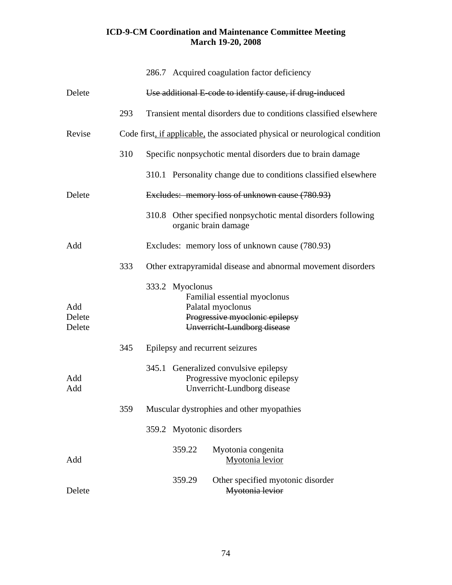|                         |     |                          | 286.7 Acquired coagulation factor deficiency                                                                       |
|-------------------------|-----|--------------------------|--------------------------------------------------------------------------------------------------------------------|
| Delete                  |     |                          | Use additional E-code to identify cause, if drug-induced                                                           |
|                         | 293 |                          | Transient mental disorders due to conditions classified elsewhere                                                  |
| Revise                  |     |                          | Code first, if applicable, the associated physical or neurological condition                                       |
|                         | 310 |                          | Specific nonpsychotic mental disorders due to brain damage                                                         |
|                         |     |                          | 310.1 Personality change due to conditions classified elsewhere                                                    |
| Delete                  |     |                          | Excludes: memory loss of unknown cause (780.93)                                                                    |
|                         |     |                          | 310.8 Other specified nonpsychotic mental disorders following<br>organic brain damage                              |
| Add                     |     |                          | Excludes: memory loss of unknown cause (780.93)                                                                    |
|                         | 333 |                          | Other extrapyramidal disease and abnormal movement disorders                                                       |
| Add<br>Delete<br>Delete |     | 333.2 Myoclonus          | Familial essential myoclonus<br>Palatal myoclonus<br>Progressive myoclonic epilepsy<br>Unverricht-Lundborg disease |
|                         | 345 |                          | Epilepsy and recurrent seizures                                                                                    |
| Add<br>Add              |     |                          | 345.1 Generalized convulsive epilepsy<br>Progressive myoclonic epilepsy<br>Unverricht-Lundborg disease             |
|                         | 359 |                          | Muscular dystrophies and other myopathies                                                                          |
|                         |     | 359.2 Myotonic disorders |                                                                                                                    |
| Add                     |     | 359.22                   | Myotonia congenita<br>Myotonia levior                                                                              |
| Delete                  |     | 359.29                   | Other specified myotonic disorder<br>Myotonia levior                                                               |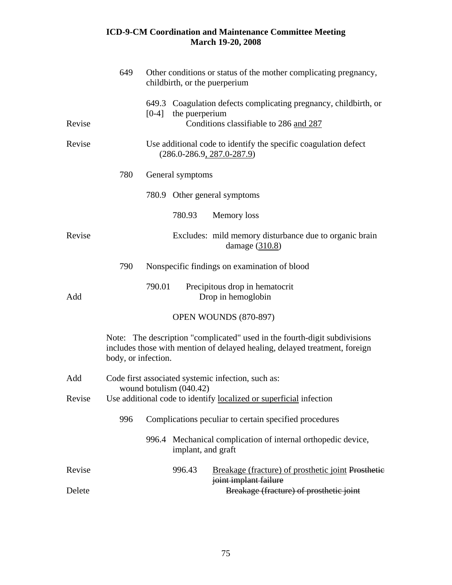|        | 649                 |         |                         | Other conditions or status of the mother complicating pregnancy,<br>childbirth, or the puerperium                                                       |
|--------|---------------------|---------|-------------------------|---------------------------------------------------------------------------------------------------------------------------------------------------------|
| Revise |                     | $[0-4]$ | the puerperium          | 649.3 Coagulation defects complicating pregnancy, childbirth, or<br>Conditions classifiable to 286 and 287                                              |
| Revise |                     |         |                         | Use additional code to identify the specific coagulation defect<br>$(286.0 - 286.9, 287.0 - 287.9)$                                                     |
|        | 780                 |         | General symptoms        |                                                                                                                                                         |
|        |                     |         |                         | 780.9 Other general symptoms                                                                                                                            |
|        |                     |         | 780.93                  | Memory loss                                                                                                                                             |
| Revise |                     |         |                         | Excludes: mild memory disturbance due to organic brain<br>damage $(310.8)$                                                                              |
|        | 790                 |         |                         | Nonspecific findings on examination of blood                                                                                                            |
| Add    |                     | 790.01  |                         | Precipitous drop in hematocrit<br>Drop in hemoglobin                                                                                                    |
|        |                     |         |                         | OPEN WOUNDS (870-897)                                                                                                                                   |
|        | body, or infection. |         |                         | Note: The description "complicated" used in the fourth-digit subdivisions<br>includes those with mention of delayed healing, delayed treatment, foreign |
| Add    |                     |         |                         | Code first associated systemic infection, such as:                                                                                                      |
| Revise |                     |         | wound botulism (040.42) | Use additional code to identify localized or superficial infection                                                                                      |
|        | 996                 |         |                         | Complications peculiar to certain specified procedures                                                                                                  |
|        |                     |         | implant, and graft      | 996.4 Mechanical complication of internal orthopedic device,                                                                                            |
| Revise |                     |         | 996.43                  | Breakage (fracture) of prosthetic joint Prosthetic<br>joint implant failure                                                                             |
| Delete |                     |         |                         | Breakage (fracture) of prosthetic joint                                                                                                                 |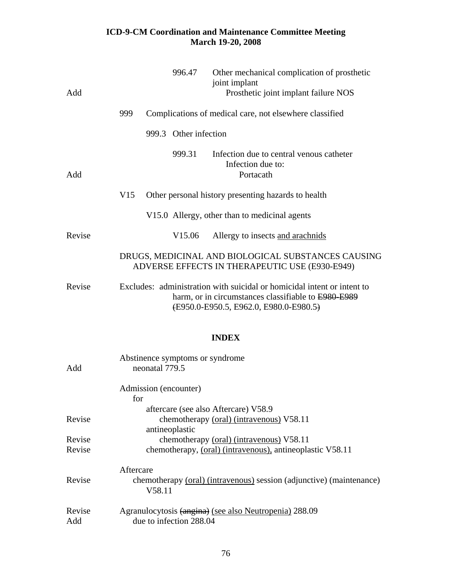| Add    |     | 996.47                | Other mechanical complication of prosthetic<br>joint implant<br>Prosthetic joint implant failure NOS                                                                     |
|--------|-----|-----------------------|--------------------------------------------------------------------------------------------------------------------------------------------------------------------------|
|        | 999 |                       | Complications of medical care, not elsewhere classified                                                                                                                  |
|        |     | 999.3 Other infection |                                                                                                                                                                          |
| Add    |     | 999.31                | Infection due to central venous catheter<br>Infection due to:<br>Portacath                                                                                               |
|        | V15 |                       | Other personal history presenting hazards to health                                                                                                                      |
|        |     |                       | V15.0 Allergy, other than to medicinal agents                                                                                                                            |
| Revise |     | V <sub>15.06</sub>    | Allergy to insects and arachnids                                                                                                                                         |
|        |     |                       | DRUGS, MEDICINAL AND BIOLOGICAL SUBSTANCES CAUSING<br>ADVERSE EFFECTS IN THERAPEUTIC USE (E930-E949)                                                                     |
| Revise |     |                       | Excludes: administration with suicidal or homicidal intent or intent to<br>harm, or in circumstances classifiable to E980 E989<br>(E950.0-E950.5, E962.0, E980.0-E980.5) |

# **INDEX**

| Add           | Abstinence symptoms or syndrome<br>neonatal 779.5                                           |
|---------------|---------------------------------------------------------------------------------------------|
|               | Admission (encounter)                                                                       |
|               | for                                                                                         |
|               | aftercare (see also Aftercare) V58.9                                                        |
| Revise        | chemotherapy (oral) (intravenous) V58.11                                                    |
|               | antineoplastic                                                                              |
| Revise        | chemotherapy (oral) (intravenous) V58.11                                                    |
| Revise        | chemotherapy, (oral) (intravenous), antineoplastic V58.11                                   |
| Revise        | Aftercare<br>chemotherapy (oral) (intravenous) session (adjunctive) (maintenance)<br>V58.11 |
| Revise<br>Add | Agranulocytosis (angina) (see also Neutropenia) 288.09<br>due to infection 288.04           |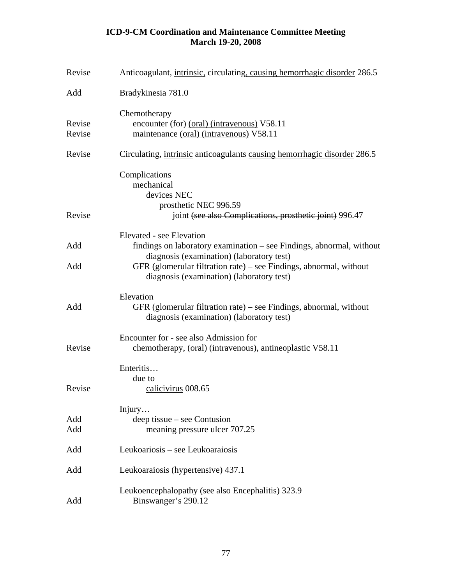| Revise           | Anticoagulant, <i>intrinsic</i> , <i>circulating</i> , <i>causing hemorrhagic disorder</i> 286.5                                                                                                                    |
|------------------|---------------------------------------------------------------------------------------------------------------------------------------------------------------------------------------------------------------------|
| Add              | Bradykinesia 781.0                                                                                                                                                                                                  |
| Revise<br>Revise | Chemotherapy<br>encounter (for) (oral) (intravenous) V58.11<br>maintenance (oral) (intravenous) V58.11                                                                                                              |
| Revise           | Circulating, <i>intrinsic</i> anticoagulants causing hemorrhagic disorder 286.5                                                                                                                                     |
| Revise           | Complications<br>mechanical<br>devices NEC<br>prosthetic NEC 996.59<br>joint (see also Complications, prosthetic joint) 996.47                                                                                      |
| Add<br>Add       | Elevated - see Elevation<br>findings on laboratory examination – see Findings, abnormal, without<br>diagnosis (examination) (laboratory test)<br>GFR (glomerular filtration rate) – see Findings, abnormal, without |
|                  | diagnosis (examination) (laboratory test)                                                                                                                                                                           |
| Add              | Elevation<br>GFR (glomerular filtration rate) – see Findings, abnormal, without<br>diagnosis (examination) (laboratory test)                                                                                        |
| Revise           | Encounter for - see also Admission for<br>chemotherapy, (oral) (intravenous), antineoplastic V58.11                                                                                                                 |
| Revise           | Enteritis<br>due to<br>calicivirus 008.65                                                                                                                                                                           |
| Add<br>Add       | Injury<br>deep tissue – see Contusion<br>meaning pressure ulcer 707.25                                                                                                                                              |
| Add              | Leukoariosis – see Leukoaraiosis                                                                                                                                                                                    |
| Add              | Leukoaraiosis (hypertensive) 437.1                                                                                                                                                                                  |
| Add              | Leukoencephalopathy (see also Encephalitis) 323.9<br>Binswanger's 290.12                                                                                                                                            |